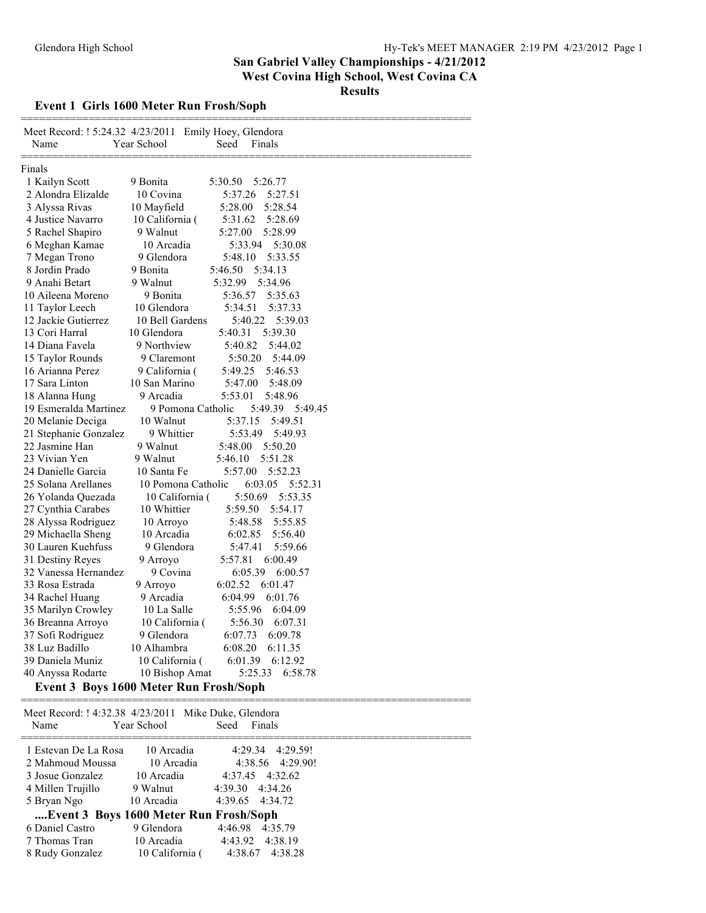### **Event 1 Girls 1600 Meter Run Frosh/Soph**

| Meet Record: ! 5:24.32 4/23/2011 Emily Hoey, Glendora<br>Name | Year School        | Seed<br>Finals      |
|---------------------------------------------------------------|--------------------|---------------------|
| Finals                                                        |                    |                     |
| 1 Kailyn Scott                                                | 9 Bonita           | 5:30.50<br>5:26.77  |
| 2 Alondra Elizalde                                            | 10 Covina          | 5:37.26<br>5:27.51  |
| 3 Alyssa Rivas                                                | 10 Mayfield        | 5:28.00<br>5:28.54  |
| 4 Justice Navarro                                             | 10 California (    | 5:31.62<br>5:28.69  |
| 5 Rachel Shapiro                                              | 9 Walnut           | 5:27.00<br>5:28.99  |
| 6 Meghan Kamae                                                | 10 Arcadia         | 5:33.94<br>5:30.08  |
| 7 Megan Trono                                                 | 9 Glendora         | 5:48.10<br>5:33.55  |
| 8 Jordin Prado                                                | 9 Bonita           | 5:46.50<br>5:34.13  |
| 9 Anahi Betart                                                | 9 Walnut           | 5:32.99<br>5:34.96  |
| 10 Aileena Moreno                                             | 9 Bonita           | 5:35.63<br>5:36.57  |
| 11 Taylor Leech                                               | 10 Glendora        | 5:34.51<br>5:37.33  |
| 12 Jackie Gutierrez                                           | 10 Bell Gardens    | 5:40.22<br>5:39.03  |
| 13 Cori Harral                                                | 10 Glendora        | 5:40.31<br>5:39.30  |
| 14 Diana Favela                                               | 9 Northview        | 5:40.82<br>5:44.02  |
| 15 Taylor Rounds                                              | 9 Claremont        | 5:50.20<br>5:44.09  |
| 16 Arianna Perez                                              | 9 California (     | 5:49.25<br>5:46.53  |
| 17 Sara Linton                                                | 10 San Marino      | 5:47.00<br>5:48.09  |
| 18 Alanna Hung                                                | 9 Arcadia          | 5:53.01<br>5:48.96  |
| 19 Esmeralda Martinez                                         | 9 Pomona Catholic  | 5:49.45<br>5:49.39  |
| 20 Melanie Deciga                                             | 10 Walnut          | 5:49.51<br>5:37.15  |
| 21 Stephanie Gonzalez                                         | 9 Whittier         | 5:53.49<br>5:49.93  |
| 22 Jasmine Han                                                | 9 Walnut           | 5:48.00<br>5:50.20  |
| 23 Vivian Yen                                                 | 9 Walnut           | 5:51.28<br>5:46.10  |
| 24 Danielle Garcia                                            | 10 Santa Fe        | 5:57.00<br>5:52.23  |
| 25 Solana Arellanes                                           | 10 Pomona Catholic | 6:03.05<br>5:52.31  |
| 26 Yolanda Quezada                                            | 10 California (    | 5:50.69<br>5:53.35  |
| 27 Cynthia Carabes                                            | 10 Whittier        | 5:59.50<br>5:54.17  |
| 28 Alyssa Rodriguez                                           | 10 Arroyo          | 5:48.58<br>5:55.85  |
| 29 Michaella Sheng                                            | 10 Arcadia         | 5:56.40<br>6:02.85  |
| 30 Lauren Kuehfuss                                            | 9 Glendora         | 5:59.66<br>5:47.41  |
| 31 Destiny Reyes                                              | 9 Arroyo           | 5:57.81<br>6:00.49  |
| 32 Vanessa Hernandez                                          | 9 Covina           | 6:05.39<br>6:00.57  |
| 33 Rosa Estrada                                               | 9 Arroyo           | 6:02.52<br>6:01.47  |
| 34 Rachel Huang                                               | 9 Arcadia          | 6:04.99<br>6:01.76  |
| 35 Marilyn Crowley                                            | 10 La Salle        | 5:55.96<br>6:04.09  |
| 36 Breanna Arroyo                                             | 10 California (    | 5:56.30<br>6:07.31  |
| 37 Sofi Rodriguez                                             | 9 Glendora         | 6:07.73<br>6:09.78  |
| 38 Luz Badillo                                                | 10 Alhambra        | 6:08.20<br>6:11.35  |
| 39 Daniela Muniz                                              | 10 California (    | 6:01.39<br>6:12.92  |
| 40 Anyssa Rodarte                                             | 10 Bishop Amat     | 5:25.33<br>6:58.78  |
| Event 3 Boys 1600 Meter Run Frosh/Soph                        |                    |                     |
| Meet Record: ! 4:32.38 4/23/2011                              |                    | Mike Duke, Glendora |
| Name                                                          | Year School        | Seed<br>Finals      |
| 1 Estevan De La Rosa                                          | 10 Arcadia         | 4:29.34<br>4:29.59! |
| 2 Mahmoud Moussa                                              | 10 Arcadia         | 4:38.56<br>4:29.90! |
| 3 Josue Gonzalez                                              | 10 Arcadia         | 4:37.45<br>4:32.62  |

| 4 Millen Trujillo                      | 9 Walnut        | 4:39.30 4:34.26 |
|----------------------------------------|-----------------|-----------------|
| 5 Bryan Ngo                            | 10 Arcadia      | 4:39.65 4:34.72 |
| Event 3 Boys 1600 Meter Run Frosh/Soph |                 |                 |
| 6 Daniel Castro                        | 9 Glendora      | 4:46.98 4:35.79 |
| 7 Thomas Tran                          | 10 Arcadia      | 4:43.92 4:38.19 |
| 8 Rudy Gonzalez                        | 10 California ( | 4:38.67 4:38.28 |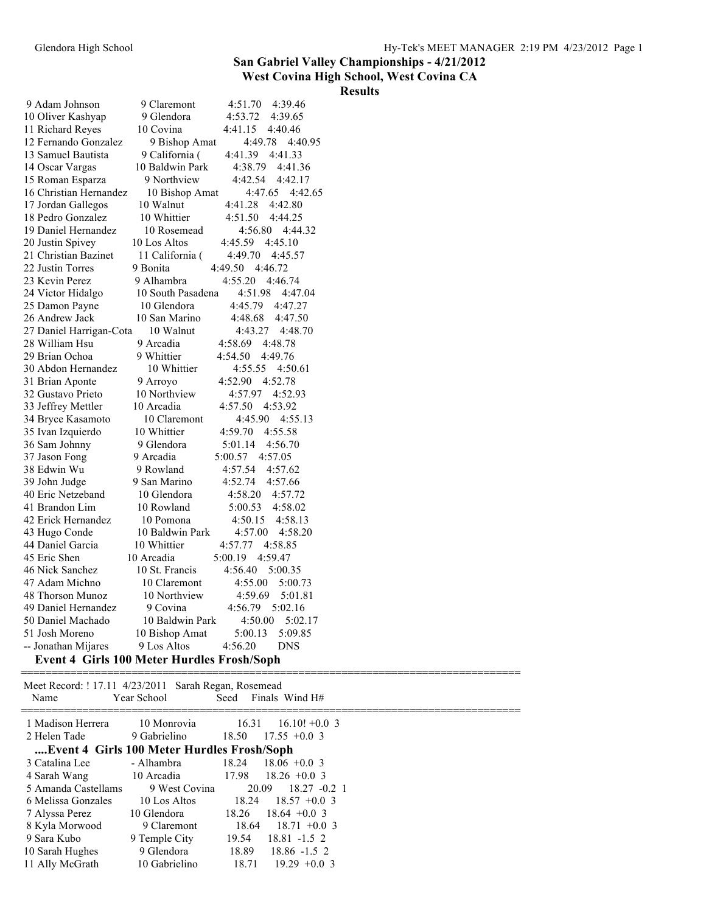#### **Results**

| 9 Adam Johnson          | 9 Claremont<br>4:51.70<br>4:39.46                 |
|-------------------------|---------------------------------------------------|
| 10 Oliver Kashyap       | 9 Glendora<br>4:53.72<br>4:39.65                  |
| 11 Richard Reyes        | 10 Covina<br>4:41.15<br>4:40.46                   |
| 12 Fernando Gonzalez    | 4:49.78 4:40.95<br>9 Bishop Amat                  |
| 13 Samuel Bautista      | 9 California (<br>4:41.39<br>4:41.33              |
| 14 Oscar Vargas         | 4:38.79<br>10 Baldwin Park<br>4:41.36             |
| 15 Roman Esparza        | 9 Northview<br>4:42.54<br>4:42.17                 |
| 16 Christian Hernandez  | 4:47.65 4:42.65<br>10 Bishop Amat                 |
| 17 Jordan Gallegos      | 10 Walnut<br>4:41.28<br>4:42.80                   |
| 18 Pedro Gonzalez       | 10 Whittier<br>4:51.50<br>4:44.25                 |
| 19 Daniel Hernandez     | 10 Rosemead<br>4:56.80 4:44.32                    |
| 20 Justin Spivey        | 4:45.59<br>4:45.10<br>10 Los Altos                |
| 21 Christian Bazinet    | 11 California (<br>4:49.70<br>4:45.57             |
| 22 Justin Torres        | 9 Bonita<br>4:49.50<br>4:46.72                    |
| 23 Kevin Perez          | 9 Alhambra<br>4:55.20<br>4:46.74                  |
| 24 Victor Hidalgo       | 10 South Pasadena<br>4:51.98<br>4:47.04           |
| 25 Damon Payne          | 10 Glendora<br>4:45.79<br>4:47.27                 |
| 26 Andrew Jack          | 10 San Marino<br>4:48.68<br>4:47.50               |
| 27 Daniel Harrigan-Cota | 10 Walnut<br>4:43.27<br>4:48.70                   |
| 28 William Hsu          | 9 Arcadia<br>4:58.69<br>4:48.78                   |
| 29 Brian Ochoa          | 9 Whittier<br>4:54.50<br>4:49.76                  |
| 30 Abdon Hernandez      | 10 Whittier<br>4:55.55<br>4:50.61                 |
| 31 Brian Aponte         | 4:52.78<br>4:52.90<br>9 Arroyo                    |
| 32 Gustavo Prieto       | 10 Northview<br>4:57.97<br>4:52.93                |
| 33 Jeffrey Mettler      | 10 Arcadia<br>4:57.50<br>4:53.92                  |
| 34 Bryce Kasamoto       | 10 Claremont<br>4:45.90 4:55.13                   |
| 35 Ivan Izquierdo       | 10 Whittier<br>4:59.70<br>4:55.58                 |
| 36 Sam Johnny           | 9 Glendora<br>5:01.14<br>4:56.70                  |
| 37 Jason Fong           | 9 Arcadia<br>5:00.57<br>4:57.05                   |
| 38 Edwin Wu             | 9 Rowland<br>4:57.54<br>4:57.62                   |
| 39 John Judge           | 9 San Marino<br>4:52.74<br>4:57.66                |
| 40 Eric Netzeband       | 10 Glendora<br>4:58.20<br>4:57.72                 |
| 41 Brandon Lim          | 10 Rowland<br>5:00.53<br>4:58.02                  |
| 42 Erick Hernandez      | 10 Pomona<br>4:50.15<br>4:58.13                   |
| 43 Hugo Conde           | 10 Baldwin Park<br>4:57.00<br>4:58.20             |
| 44 Daniel Garcia        | 10 Whittier<br>4:57.77<br>4:58.85                 |
| 45 Eric Shen            | 10 Arcadia<br>4:59.47<br>5:00.19                  |
| 46 Nick Sanchez         | 10 St. Francis<br>4:56.40<br>5:00.35              |
| 47 Adam Michno          | 10 Claremont<br>4:55.00<br>5:00.73                |
| 48 Thorson Munoz        | 10 Northview<br>4:59.69<br>5:01.81                |
| 49 Daniel Hernandez     | 5:02.16<br>9 Covina<br>4:56.79                    |
| 50 Daniel Machado       | 10 Baldwin Park<br>4:50.00<br>5:02.17             |
| 51 Josh Moreno          | 5:00.13<br>5:09.85<br>10 Bishop Amat              |
| -- Jonathan Mijares     | 4:56.20<br><b>DNS</b><br>9 Los Altos              |
|                         | <b>Event 4 Girls 100 Meter Hurdles Frosh/Soph</b> |
|                         |                                                   |

Meet Record: ! 17.11 4/23/2011 Sarah Regan, Rosemead<br>Name Year School Seed Finals Seed Finals Wind H#

| 1 Madison Herrera                          | 10 Monrovia   | 16.31 | $16.10! + 0.03$          |
|--------------------------------------------|---------------|-------|--------------------------|
| 2 Helen Tade                               | 9 Gabrielino  | 18.50 | $17.55 + 0.03$           |
| Event 4 Girls 100 Meter Hurdles Frosh/Soph |               |       |                          |
| 3 Catalina Lee                             | - Alhambra    | 18.24 | $18.06 + 0.03$           |
| 4 Sarah Wang                               | 10 Arcadia    |       | $17.98$ $18.26 + 0.03$   |
| 5 Amanda Castellams                        | 9 West Covina | 20.09 | $18.27 - 0.2$ 1          |
| 6 Melissa Gonzales                         | 10 Los Altos  |       | $18.24$ $18.57$ +0.0 3   |
| 7 Alyssa Perez                             | 10 Glendora   | 18.26 | $18.64 + 0.03$           |
| 8 Kyla Morwood                             | 9 Claremont   | 18.64 | $18.71 + 0.03$           |
| 9 Sara Kubo                                | 9 Temple City |       | $19.54$ $18.81$ $-1.5$ 2 |
| 10 Sarah Hughes                            | 9 Glendora    |       | 18.89 18.86 -1.5 2       |
| 11 Ally McGrath                            | 10 Gabrielino | 18.71 | $19.29 + 0.03$           |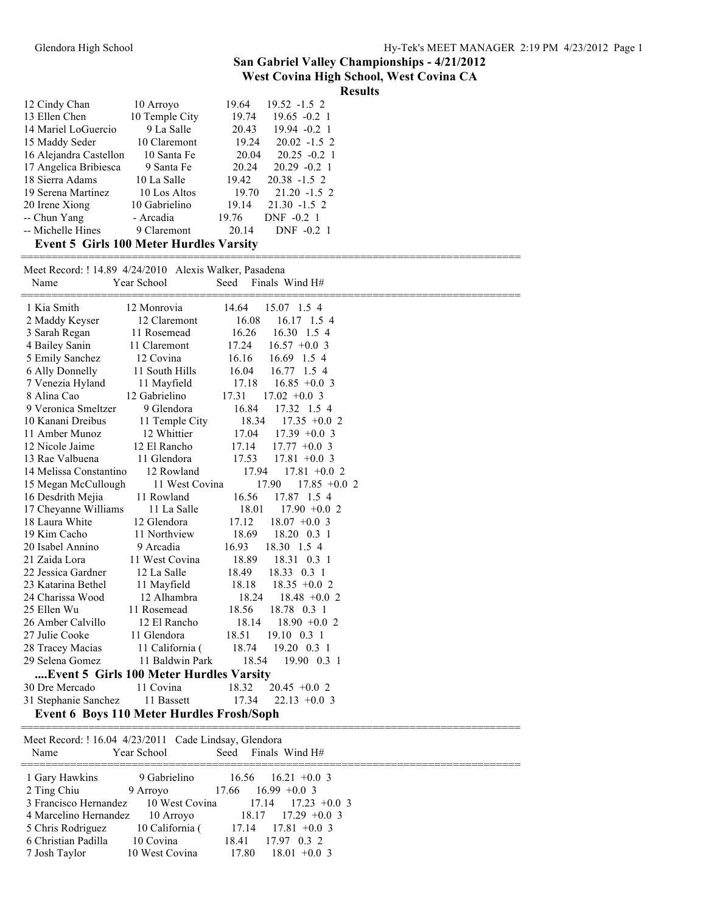=================================================================================

| 12 Cindy Chan                                  | 10 Arroyo      | $19.52 - 1.5$ 2<br>19.64 |
|------------------------------------------------|----------------|--------------------------|
| 13 Ellen Chen                                  | 10 Temple City | 19.74<br>$19.65 - 0.2$ 1 |
| 14 Mariel LoGuercio                            | 9 La Salle     | 20.43<br>$19.94 - 0.2$ 1 |
| 15 Maddy Seder                                 | 10 Claremont   | 19.24<br>$20.02 -1.5$ 2  |
| 16 Alejandra Castellon                         | 10 Santa Fe    | 20.04<br>$20.25 - 0.2$ 1 |
| 17 Angelica Bribiesca                          | 9 Santa Fe     | 20.24<br>$20.29 - 0.2$ 1 |
| 18 Sierra Adams                                | 10 La Salle    | $20.38 - 1.5$ 2<br>19.42 |
| 19 Serena Martinez                             | 10 Los Altos   | 19.70<br>$21.20 - 1.5$ 2 |
| 20 Irene Xiong                                 | 10 Gabrielino  | 19.14<br>$21.30 -1.5$ 2  |
| -- Chun Yang                                   | - Arcadia      | DNF -0.2 1<br>19.76      |
| -- Michelle Hines                              | 9 Claremont    | 20.14<br>DNF -0.2 1      |
| <b>Event 5 Girls 100 Meter Hurdles Varsity</b> |                |                          |

Meet Record: ! 14.89 4/24/2010 Alexis Walker, Pasadena

| Name                   | Year School                                           | Finals Wind H#<br>Seed             |  |
|------------------------|-------------------------------------------------------|------------------------------------|--|
| 1 Kia Smith            | 12 Monrovia                                           | 14.64<br>15.07 1.5 4               |  |
| 2 Maddy Keyser         | 12 Claremont                                          | 16.08<br>16.17 1.5 4               |  |
| 3 Sarah Regan          | 11 Rosemead                                           | 16.26<br>16.30 1.5 4               |  |
| 4 Bailey Sanin         | 11 Claremont                                          | 17.24<br>$16.57 +0.03$             |  |
| 5 Emily Sanchez        | 12 Covina                                             | 16.16<br>16.69 1.5 4               |  |
| 6 Ally Donnelly        | 11 South Hills                                        | 16.04<br>16.77 1.5 4               |  |
| 7 Venezia Hyland       | 11 Mayfield                                           | 17.18<br>$16.85 + 0.03$            |  |
| 8 Alina Cao            | 12 Gabrielino                                         | $17.02 +0.03$<br>17.31             |  |
| 9 Veronica Smeltzer    | 9 Glendora                                            | 16.84<br>17.32 1.5 4               |  |
| 10 Kanani Dreibus      | 11 Temple City                                        | 18.34<br>$17.35 +0.02$             |  |
| 11 Amber Munoz         | 12 Whittier                                           | 17.04<br>$17.39 + 0.03$            |  |
| 12 Nicole Jaime        | 12 El Rancho                                          | 17.14<br>$17.77 + 0.03$            |  |
| 13 Rae Valbuena        | 11 Glendora                                           | 17.53<br>$17.81 + 0.03$            |  |
| 14 Melissa Constantino | 12 Rowland                                            | 17.94<br>$17.81 + 0.02$            |  |
| 15 Megan McCullough    | 11 West Covina                                        | 17.90<br>$17.85 +0.02$             |  |
| 16 Desdrith Mejia      | 11 Rowland                                            | 16.56<br>17.87 1.5 4               |  |
| 17 Cheyanne Williams   | 11 La Salle                                           | 18.01<br>$17.90 +0.02$             |  |
| 18 Laura White         | 12 Glendora                                           | 17.12<br>$18.07 + 0.03$            |  |
| 19 Kim Cacho           | 11 Northview                                          | 18.69<br>18.20 0.3 1               |  |
| 20 Isabel Annino       | 9 Arcadia                                             | 16.93<br>18.30 1.5 4               |  |
| 21 Zaida Lora          | 11 West Covina                                        | 18.89<br>18.31 0.3 1               |  |
| 22 Jessica Gardner     | 12 La Salle                                           | 18.49<br>18.33 0.3 1               |  |
| 23 Katarina Bethel     | 11 Mayfield                                           | 18.18<br>$18.35 + 0.02$            |  |
| 24 Charissa Wood       | 12 Alhambra                                           | 18.24<br>$18.48 + 0.02$            |  |
| 25 Ellen Wu            | 11 Rosemead                                           | 18.56<br>18.78 0.3 1               |  |
| 26 Amber Calvillo      | 12 El Rancho                                          | 18.14<br>$18.90 + 0.02$            |  |
| 27 Julie Cooke         | 11 Glendora                                           | 18.51<br>$19.10 \quad 0.3 \quad 1$ |  |
| 28 Tracey Macias       | 11 California (                                       | 18.74<br>$19.20 \quad 0.3 \quad 1$ |  |
| 29 Selena Gomez        | 11 Baldwin Park                                       | 18.54<br>19.90 0.3 1               |  |
|                        | Event 5 Girls 100 Meter Hurdles Varsity               |                                    |  |
| 30 Dre Mercado         | 11 Covina                                             | 18.32<br>$20.45 +0.02$             |  |
| 31 Stephanie Sanchez   | 11 Bassett                                            | 17.34<br>$22.13 +0.03$             |  |
|                        | <b>Event 6 Boys 110 Meter Hurdles Frosh/Soph</b>      |                                    |  |
|                        | Meet Record: ! 16.04 4/23/2011 Cade Lindsay, Glendora |                                    |  |
| Name                   | Year School                                           | Seed<br>Finals Wind H#             |  |
| 1 Gary Hawkins         | 9 Gabrielino                                          | 16.56<br>$16.21 + 0.03$            |  |
| 2 Ting Chiu            | 9 Arroyo                                              | 17.66<br>$16.99 + 0.03$            |  |
| 3 Francisco Hernandez  | 10 West Covina                                        | 17.14<br>$17.23 +0.03$             |  |
| 4 Marcelino Hernandez  | 10 Arroyo                                             | 18.17<br>$17.29 +0.03$             |  |
| 5 Chris Rodriguez      | 10 California (                                       | 17.14<br>$17.81 + 0.03$            |  |
| 6 Christian Padilla    | 10 Covina                                             | 18.41<br>17.97 0.3 2               |  |
| 7 Josh Taylor          | 10 West Covina                                        | 17.80<br>$18.01 + 0.03$            |  |
|                        |                                                       |                                    |  |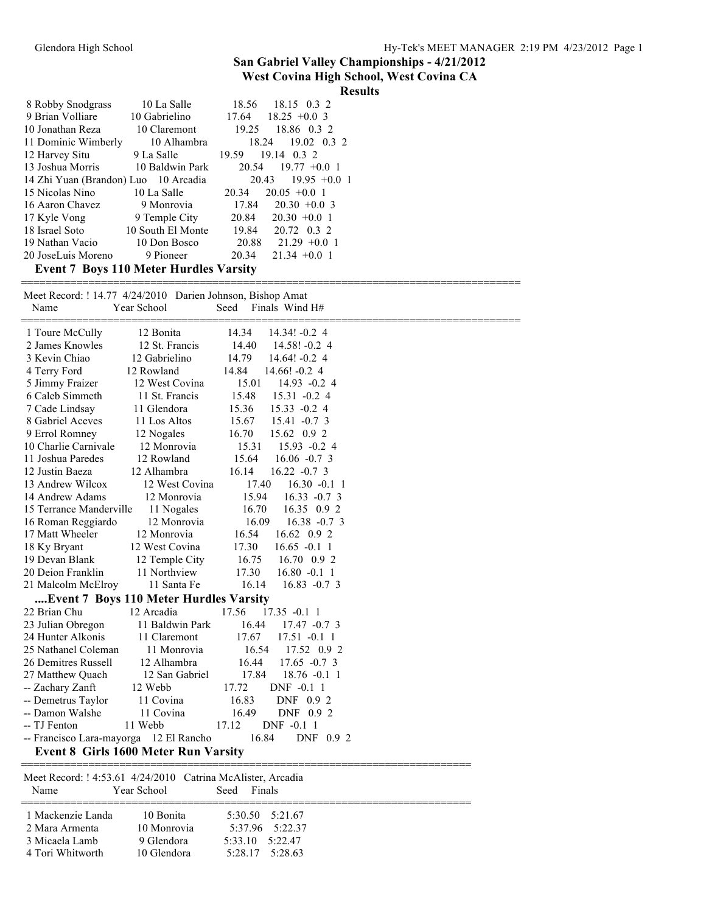#### **West Covina High School, West Covina CA**

|                                      |                 | <b>Results</b>                     |  |
|--------------------------------------|-----------------|------------------------------------|--|
| 8 Robby Snodgrass                    | 10 La Salle     | 18.56 18.15 0.3 2                  |  |
| 9 Brian Volliare                     | 10 Gabrielino   | $18.25 + 0.03$<br>17.64            |  |
| 10 Jonathan Reza                     | 10 Claremont    | 19.25<br>18.86 0.3 2               |  |
| 11 Dominic Wimberly                  | 10 Alhambra     | $19.02 \quad 0.3 \quad 2$<br>18.24 |  |
| 12 Harvey Situ                       | 9 La Salle      | 19.14 0.3 2<br>19.59               |  |
| 13 Joshua Morris                     | 10 Baldwin Park | 20.54<br>$19.77 + 0.0$ 1           |  |
| 14 Zhi Yuan (Brandon) Luo 10 Arcadia |                 | $19.95 + 0.01$<br>20.43            |  |
| 15 Nicolas Nino                      | 10 La Salle     | $20.05 + 0.01$<br>20.34            |  |
| 16 Aaron Chavez                      | 9 Monrovia      | 17.84<br>$20.30 + 0.03$            |  |
| 17 Kyle Vong                         | 9 Temple City   | 20.84<br>$20.30 + 0.01$            |  |
| 18 Israel Soto 10 South El Monte     |                 | 19.84 20.72 0.3 2                  |  |
| 19 Nathan Vacio                      | 10 Don Bosco    | $20.88$ $21.29 +0.01$              |  |
| 20 JoseLuis Moreno                   | 9 Pioneer       | 20.34<br>$21.34 + 0.01$            |  |
| <b>P</b> $\overline{P}$              | 110 W.C. V. VI  | $\mathbf{v}$ $\mathbf{v}$<br>. .   |  |

**Event 7 Boys 110 Meter Hurdles Varsity**

| Name                                   | Meet Record: ! 14.77 4/24/2010 Darien Johnson, Bishop Amat<br>Year School | Finals Wind H#<br>Seed      |  |
|----------------------------------------|---------------------------------------------------------------------------|-----------------------------|--|
| 1 Toure McCully                        | 12 Bonita                                                                 | 14.34<br>$14.34! -0.24$     |  |
| 2 James Knowles                        | 12 St. Francis                                                            | 14.40<br>$14.58! -0.24$     |  |
| 3 Kevin Chiao                          | 12 Gabrielino                                                             | 14.79<br>$14.64! -0.24$     |  |
| 4 Terry Ford                           | 12 Rowland                                                                | 14.84<br>$14.66! -0.24$     |  |
| 5 Jimmy Fraizer                        | 12 West Covina                                                            | 15.01<br>$14.93 -0.24$      |  |
| 6 Caleb Simmeth                        | 11 St. Francis                                                            | 15.48<br>$15.31 - 0.24$     |  |
| 7 Cade Lindsay                         | 11 Glendora                                                               | 15.36<br>$15.33 - 0.24$     |  |
| 8 Gabriel Aceves                       | 11 Los Altos                                                              | 15.67<br>$15.41 - 0.73$     |  |
| 9 Errol Romney                         | 12 Nogales                                                                | 16.70<br>15.62 0.9 2        |  |
| 10 Charlie Carnivale                   | 12 Monrovia                                                               | 15.31<br>$15.93 - 0.24$     |  |
| 11 Joshua Paredes                      | 12 Rowland                                                                | 15.64<br>$16.06 -0.7$ 3     |  |
| 12 Justin Baeza                        | 12 Alhambra                                                               | 16.14<br>$16.22 - 0.7$ 3    |  |
| 13 Andrew Wilcox                       | 12 West Covina                                                            | 17.40<br>$16.30 -0.11$      |  |
| 14 Andrew Adams                        | 12 Monrovia                                                               | 15.94<br>$16.33 - 0.73$     |  |
| 15 Terrance Manderville                | 11 Nogales                                                                | 16.70<br>16.35 0.9 2        |  |
| 16 Roman Reggiardo                     | 12 Monrovia                                                               | 16.09<br>$16.38 - 0.73$     |  |
| 17 Matt Wheeler                        | 12 Monrovia                                                               | 16.54<br>16.62 0.9 2        |  |
| 18 Ky Bryant                           | 12 West Covina                                                            | 17.30<br>$16.65 - 0.1$ 1    |  |
| 19 Devan Blank                         | 12 Temple City                                                            | 16.75<br>$16.70 \quad 0.92$ |  |
| 20 Deion Franklin                      | 11 Northview                                                              | 17.30<br>$16.80 - 0.1$ 1    |  |
| 21 Malcolm McElroy                     | 11 Santa Fe                                                               | 16.14<br>$16.83 -0.73$      |  |
|                                        | Event 7 Boys 110 Meter Hurdles Varsity                                    |                             |  |
| 22 Brian Chu                           | 12 Arcadia                                                                | 17.56<br>$17.35 - 0.11$     |  |
| 23 Julian Obregon                      | 11 Baldwin Park                                                           | 16.44<br>$17.47 -0.73$      |  |
| 24 Hunter Alkonis                      | 11 Claremont                                                              | 17.67<br>$17.51 - 0.11$     |  |
| 25 Nathanel Coleman                    | 11 Monrovia                                                               | 16.54<br>17.52 0.9 2        |  |
| 26 Demitres Russell                    | 12 Alhambra                                                               | 16.44<br>$17.65 -0.7$ 3     |  |
| 27 Matthew Quach                       | 12 San Gabriel                                                            | 17.84<br>$18.76 - 0.11$     |  |
| -- Zachary Zanft                       | 12 Webb                                                                   | 17.72<br>DNF -0.1 1         |  |
| -- Demetrus Taylor                     | 11 Covina                                                                 | 16.83<br>DNF 0.9 2          |  |
| -- Damon Walshe                        | 11 Covina                                                                 | 16.49<br>DNF 0.9 2          |  |
| -- TJ Fenton                           | 11 Webb                                                                   | 17.12<br>DNF -0.1 1         |  |
| -- Francisco Lara-mayorga 12 El Rancho |                                                                           | 16.84<br>DNF 0.9 2          |  |
|                                        | <b>Event 8 Girls 1600 Meter Run Varsity</b>                               |                             |  |
|                                        |                                                                           |                             |  |
|                                        | Meet Record: ! 4:53.61 4/24/2010 Catrina McAlister, Arcadia               |                             |  |

| Name                                                                      | Year School                                           | Seed                | Finals                                                  |  |
|---------------------------------------------------------------------------|-------------------------------------------------------|---------------------|---------------------------------------------------------|--|
| 1 Mackenzie Landa<br>2 Mara Armenta<br>3 Micaela Lamb<br>4 Tori Whitworth | 10 Bonita<br>10 Monrovia<br>9 Glendora<br>10 Glendora | $5.33$ 10 $5.22$ 47 | 5:30.50 5:21.67<br>$5.3796$ $5.2237$<br>5:28.17 5:28.63 |  |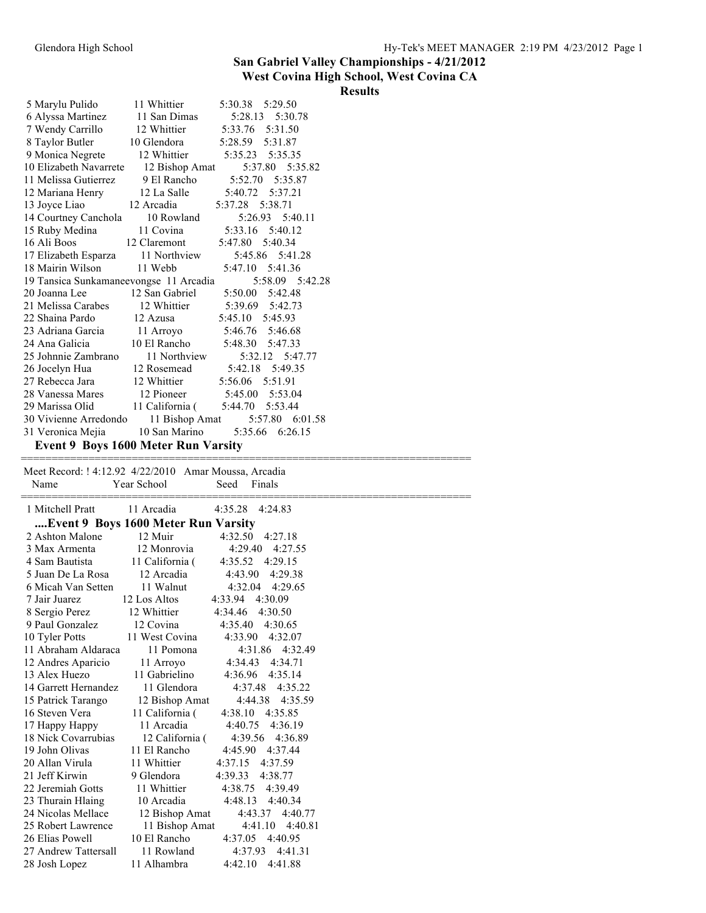# **West Covina High School, West Covina CA**

| <b>Results</b> |
|----------------|
|                |
|                |
|                |
|                |
|                |
|                |

| 5 Marylu Pulido                                       | 11 Whittier                     | 5:30.38<br>5:29.50                       |  |
|-------------------------------------------------------|---------------------------------|------------------------------------------|--|
| 6 Alyssa Martinez                                     | 11 San Dimas                    | 5:28.13<br>5:30.78                       |  |
| 7 Wendy Carrillo                                      | 12 Whittier                     | 5:33.76<br>5:31.50                       |  |
| 8 Taylor Butler                                       | 10 Glendora                     | 5:28.59<br>5:31.87                       |  |
| 9 Monica Negrete                                      | 12 Whittier                     | 5:35.23<br>5:35.35                       |  |
| 10 Elizabeth Navarrete                                | 12 Bishop Amat                  | 5:37.80<br>5:35.82                       |  |
| 11 Melissa Gutierrez                                  | 9 El Rancho                     | 5:52.70<br>5:35.87                       |  |
| 12 Mariana Henry                                      | 12 La Salle                     | 5:40.72 5:37.21                          |  |
| 13 Joyce Liao                                         | 12 Arcadia                      | 5:37.28<br>5:38.71                       |  |
| 14 Courtney Canchola                                  | 10 Rowland                      | 5:26.93<br>5:40.11                       |  |
| 15 Ruby Medina                                        | 11 Covina                       | 5:33.16<br>5:40.12                       |  |
| 16 Ali Boos                                           | 12 Claremont                    | 5:47.80<br>5:40.34                       |  |
| 17 Elizabeth Esparza                                  | 11 Northview                    | 5:45.86 5:41.28                          |  |
| 18 Mairin Wilson                                      | 11 Webb                         | 5:47.10 5:41.36                          |  |
| 19 Tansica Sunkamaneevongse 11 Arcadia                |                                 | 5:58.09 5:42.28                          |  |
| 20 Joanna Lee                                         | 12 San Gabriel                  | 5:50.00<br>5:42.48                       |  |
| 21 Melissa Carabes                                    | 12 Whittier                     | 5:39.69<br>5:42.73                       |  |
| 22 Shaina Pardo                                       | 12 Azusa                        | 5:45.10<br>5:45.93                       |  |
| 23 Adriana Garcia                                     | 11 Arroyo                       | 5:46.76<br>5:46.68                       |  |
| 24 Ana Galicia                                        | 10 El Rancho                    | 5:48.30<br>5:47.33                       |  |
| 25 Johnnie Zambrano                                   | 11 Northview                    | 5:32.12<br>5:47.77                       |  |
| 26 Jocelyn Hua                                        | 12 Rosemead                     | 5:42.18<br>5:49.35                       |  |
| 27 Rebecca Jara                                       | 12 Whittier                     | 5:56.06<br>5:51.91                       |  |
| 28 Vanessa Mares                                      | 12 Pioneer                      | 5:45.00<br>5:53.04                       |  |
| 29 Marissa Olid                                       | 11 California (                 | 5:44.70   5:53.44                        |  |
|                                                       |                                 | 5:57.80 6:01.58                          |  |
| 30 Vivienne Arredondo 11 Bishop Amat                  | 10 San Marino                   | 5:35.66 6:26.15                          |  |
| 31 Veronica Mejia                                     |                                 |                                          |  |
| Event 9 Boys 1600 Meter Run Varsity                   |                                 |                                          |  |
|                                                       |                                 |                                          |  |
| Meet Record: ! 4:12.92 4/22/2010 Amar Moussa, Arcadia |                                 |                                          |  |
| Name                                                  | Year School                     | Seed<br>Finals                           |  |
|                                                       |                                 |                                          |  |
|                                                       |                                 |                                          |  |
| 1 Mitchell Pratt                                      | 11 Arcadia                      | 4:35.28 4:24.83                          |  |
| Event 9 Boys 1600 Meter Run Varsity                   |                                 |                                          |  |
| 2 Ashton Malone                                       | 12 Muir                         | 4:32.50 4:27.18                          |  |
| 3 Max Armenta                                         | 12 Monrovia                     | 4:29.40<br>4:27.55                       |  |
| 4 Sam Bautista                                        | 11 California (                 | 4:35.52<br>4:29.15                       |  |
| 5 Juan De La Rosa                                     | 12 Arcadia                      | 4:29.38<br>4:43.90                       |  |
| 6 Micah Van Setten                                    | 11 Walnut                       | 4:32.04<br>4:29.65                       |  |
| 7 Jair Juarez                                         | 12 Los Altos                    | 4:33.94 4:30.09                          |  |
|                                                       | 12 Whittier                     | 4:34.46 4:30.50                          |  |
| 8 Sergio Perez<br>9 Paul Gonzalez                     | 12 Covina                       | 4:35.40 4:30.65                          |  |
| 10 Tyler Potts                                        | 11 West Covina                  | 4:33.90<br>4:32.07                       |  |
| 11 Abraham Aldaraca                                   | 11 Pomona                       | 4:31.86 4:32.49                          |  |
| 12 Andres Aparicio                                    | 11 Arroyo                       | 4:34.43<br>4:34.71                       |  |
| 13 Alex Huezo                                         | 11 Gabrielino                   | 4:36.96<br>4:35.14                       |  |
| 14 Garrett Hernandez                                  | 11 Glendora                     | 4:37.48<br>4:35.22                       |  |
| 15 Patrick Tarango                                    |                                 | 4:44.38<br>4:35.59                       |  |
| 16 Steven Vera                                        | 12 Bishop Amat                  | 4:35.85                                  |  |
|                                                       | 11 California (<br>11 Arcadia   | 4:38.10<br>4:40.75<br>4:36.19            |  |
| 17 Happy Happy                                        |                                 | 4:36.89<br>4:39.56                       |  |
| 18 Nick Covarrubias<br>19 John Olivas                 | 12 California (<br>11 El Rancho | 4:45.90<br>4:37.44                       |  |
| 20 Allan Virula                                       | 11 Whittier                     |                                          |  |
| 21 Jeff Kirwin                                        |                                 | 4:37.15<br>4:37.59                       |  |
|                                                       | 9 Glendora<br>11 Whittier       | 4:39.33<br>4:38.77<br>4:38.75<br>4:39.49 |  |
| 22 Jeremiah Gotts                                     |                                 | 4:48.13                                  |  |
| 23 Thurain Hlaing                                     | 10 Arcadia                      | 4:40.34                                  |  |
| 24 Nicolas Mellace                                    | 12 Bishop Amat                  | 4:43.37<br>4:40.77                       |  |
| 25 Robert Lawrence                                    | 11 Bishop Amat                  | 4:41.10<br>4:40.81                       |  |
| 26 Elias Powell<br>27 Andrew Tattersall               | 10 El Rancho<br>11 Rowland      | 4:37.05 4:40.95<br>4:37.93<br>4:41.31    |  |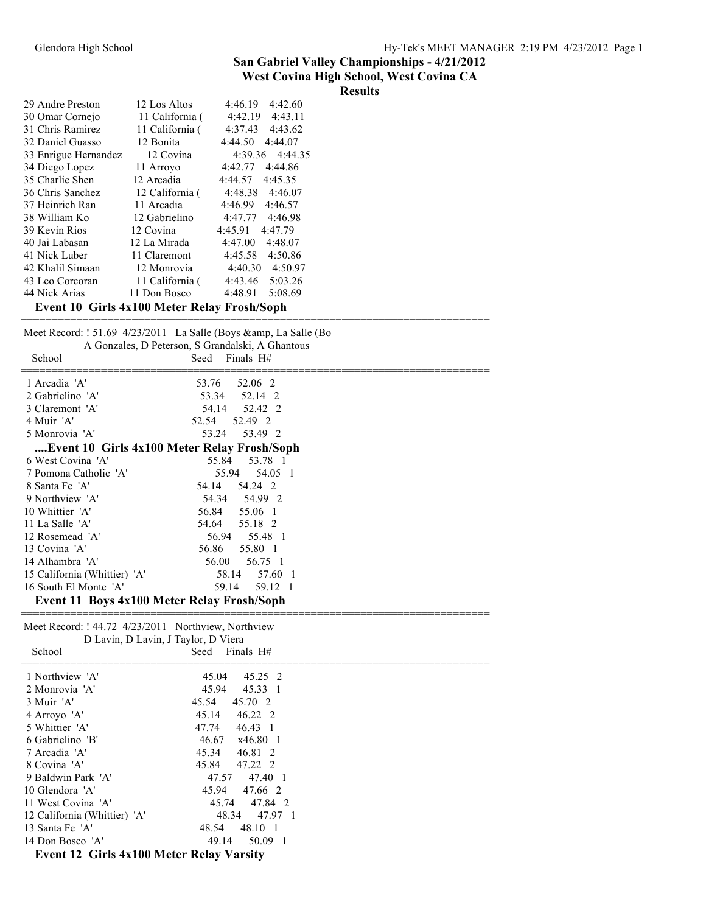| <b>Results</b> |  |
|----------------|--|
|                |  |
|                |  |
|                |  |
|                |  |
|                |  |

| 4:42.19<br>4:43.11<br>30 Omar Cornejo<br>11 California (<br>11 California (<br>4:37.43<br>4:43.62<br>31 Chris Ramirez<br>32 Daniel Guasso<br>12 Bonita<br>4:44.50<br>4:44.07<br>33 Enrigue Hernandez<br>4:44.35<br>12 Covina<br>4:39.36<br>34 Diego Lopez<br>4:42.77<br>4:44.86<br>11 Arroyo<br>35 Charlie Shen<br>12 Arcadia<br>4:45.35<br>4:44.57<br>36 Chris Sanchez<br>12 California (<br>4:48.38<br>4:46.07<br>4:46.57<br>37 Heinrich Ran<br>11 Arcadia<br>4:46.99<br>38 William Ko<br>4:47.77<br>4:46.98<br>12 Gabrielino<br>4:45.91<br>4:47.79<br>39 Kevin Rios<br>12 Covina<br>40 Jai Labasan<br>12 La Mirada<br>4:47.00<br>4:48.07<br>4:50.86<br>41 Nick Luber<br>11 Claremont<br>4:45.58<br>42 Khalil Simaan<br>4:40.30<br>4:50.97<br>12 Monrovia<br>5:03.26<br>11 California (<br>4:43.46<br>43 Leo Corcoran<br>44 Nick Arias<br>4:48.91<br>11 Don Bosco<br>5:08.69<br>Event 10 Girls 4x100 Meter Relay Frosh/Soph |                  |              |                    |
|-------------------------------------------------------------------------------------------------------------------------------------------------------------------------------------------------------------------------------------------------------------------------------------------------------------------------------------------------------------------------------------------------------------------------------------------------------------------------------------------------------------------------------------------------------------------------------------------------------------------------------------------------------------------------------------------------------------------------------------------------------------------------------------------------------------------------------------------------------------------------------------------------------------------------------|------------------|--------------|--------------------|
|                                                                                                                                                                                                                                                                                                                                                                                                                                                                                                                                                                                                                                                                                                                                                                                                                                                                                                                               | 29 Andre Preston | 12 Los Altos | 4:46.19<br>4:42.60 |
|                                                                                                                                                                                                                                                                                                                                                                                                                                                                                                                                                                                                                                                                                                                                                                                                                                                                                                                               |                  |              |                    |
|                                                                                                                                                                                                                                                                                                                                                                                                                                                                                                                                                                                                                                                                                                                                                                                                                                                                                                                               |                  |              |                    |
|                                                                                                                                                                                                                                                                                                                                                                                                                                                                                                                                                                                                                                                                                                                                                                                                                                                                                                                               |                  |              |                    |
|                                                                                                                                                                                                                                                                                                                                                                                                                                                                                                                                                                                                                                                                                                                                                                                                                                                                                                                               |                  |              |                    |
|                                                                                                                                                                                                                                                                                                                                                                                                                                                                                                                                                                                                                                                                                                                                                                                                                                                                                                                               |                  |              |                    |
|                                                                                                                                                                                                                                                                                                                                                                                                                                                                                                                                                                                                                                                                                                                                                                                                                                                                                                                               |                  |              |                    |
|                                                                                                                                                                                                                                                                                                                                                                                                                                                                                                                                                                                                                                                                                                                                                                                                                                                                                                                               |                  |              |                    |
|                                                                                                                                                                                                                                                                                                                                                                                                                                                                                                                                                                                                                                                                                                                                                                                                                                                                                                                               |                  |              |                    |
|                                                                                                                                                                                                                                                                                                                                                                                                                                                                                                                                                                                                                                                                                                                                                                                                                                                                                                                               |                  |              |                    |
|                                                                                                                                                                                                                                                                                                                                                                                                                                                                                                                                                                                                                                                                                                                                                                                                                                                                                                                               |                  |              |                    |
|                                                                                                                                                                                                                                                                                                                                                                                                                                                                                                                                                                                                                                                                                                                                                                                                                                                                                                                               |                  |              |                    |
|                                                                                                                                                                                                                                                                                                                                                                                                                                                                                                                                                                                                                                                                                                                                                                                                                                                                                                                               |                  |              |                    |
|                                                                                                                                                                                                                                                                                                                                                                                                                                                                                                                                                                                                                                                                                                                                                                                                                                                                                                                               |                  |              |                    |
|                                                                                                                                                                                                                                                                                                                                                                                                                                                                                                                                                                                                                                                                                                                                                                                                                                                                                                                               |                  |              |                    |
|                                                                                                                                                                                                                                                                                                                                                                                                                                                                                                                                                                                                                                                                                                                                                                                                                                                                                                                               |                  |              |                    |
|                                                                                                                                                                                                                                                                                                                                                                                                                                                                                                                                                                                                                                                                                                                                                                                                                                                                                                                               |                  |              |                    |

|                                                     | Meet Record: ! 51.69 4/23/2011 La Salle (Boys &, La Salle (Bo<br>A Gonzales, D Peterson, S Grandalski, A Ghantous |
|-----------------------------------------------------|-------------------------------------------------------------------------------------------------------------------|
| School                                              | Finals $H#$<br>Seed                                                                                               |
| 1 Arcadia 'A'                                       | 52.06 2<br>53.76                                                                                                  |
| 2 Gabrielino 'A'                                    | 52.14 2<br>53.34                                                                                                  |
| 3 Claremont 'A'                                     | 54.14<br>52.42 2                                                                                                  |
| 4 Muir 'A'                                          | 52.54<br>52.49 2                                                                                                  |
| 5 Monrovia 'A'                                      | 53.24<br>53.49 2                                                                                                  |
| Event 10 Girls 4x100 Meter Relay Frosh/Soph         |                                                                                                                   |
| 6 West Covina 'A'                                   | 55.84<br>53.78 1                                                                                                  |
| 7 Pomona Catholic 'A'                               | 55.94<br>54.05 1                                                                                                  |
| 8 Santa Fe 'A'                                      | 54.14<br>54.24 2                                                                                                  |
| 9 Northview 'A'                                     | 54.99 2<br>54.34                                                                                                  |
| 10 Whittier 'A'                                     | 55.06 1<br>56.84                                                                                                  |
| 11 La Salle 'A'                                     | 54.64 55.18 2                                                                                                     |
| 12 Rosemead 'A'                                     | 56.94<br>55.48 1                                                                                                  |
| 13 Covina 'A'                                       | 56.86<br>55.80 1                                                                                                  |
| 14 Alhambra 'A'                                     | 56.75 1<br>56.00                                                                                                  |
| 15 California (Whittier) 'A'                        | 58.14<br>57.60<br>$\blacksquare$                                                                                  |
| 16 South El Monte 'A'                               | 59.14<br>59.12 1                                                                                                  |
| Event 11 Boys 4x100 Meter Relay Frosh/Soph          |                                                                                                                   |
| Meet Record: ! 44.72 4/23/2011 Northview, Northview |                                                                                                                   |
| D Lavin, D Lavin, J Taylor, D Viera                 |                                                                                                                   |
| School                                              | Finals $H#$<br>Seed                                                                                               |

| $D$ Lavin, $D$ Lavin, $J$ Taylor, $D$ Victa     |                          |  |
|-------------------------------------------------|--------------------------|--|
| School                                          | Finals H#<br>Seed        |  |
| 1 Northview 'A'                                 | 45.25 2<br>45.04         |  |
| 2 Monrovia 'A'                                  | 45.94<br>45.33 1         |  |
| 3 Muir 'A'                                      | 45.54<br>45.70 2         |  |
| 4 Arroyo 'A'                                    | 45.14<br>46.22 2         |  |
| 5 Whittier 'A'                                  | 47.74<br>$46.43 \quad 1$ |  |
| 6 Gabrielino 'B'                                | 46.67<br>x46.80 1        |  |
| 7 Arcadia 'A'                                   | 45.34<br>46.81 2         |  |
| 8 Covina 'A'                                    | 45.84<br>47.22 2         |  |
| 9 Baldwin Park 'A'                              | 47.57<br>47.40 1         |  |
| 10 Glendora 'A'                                 | 45.94<br>47.66 2         |  |
| 11 West Covina 'A'                              | 45.74<br>47.84 2         |  |
| 12 California (Whittier) 'A'                    | 48.34<br>47.97 1         |  |
| 13 Santa Fe 'A'                                 | 48.10 1<br>48.54         |  |
| 14 Don Bosco 'A'                                | 50.09 1<br>49.14         |  |
| <b>Event 12 Girls 4x100 Meter Relay Varsity</b> |                          |  |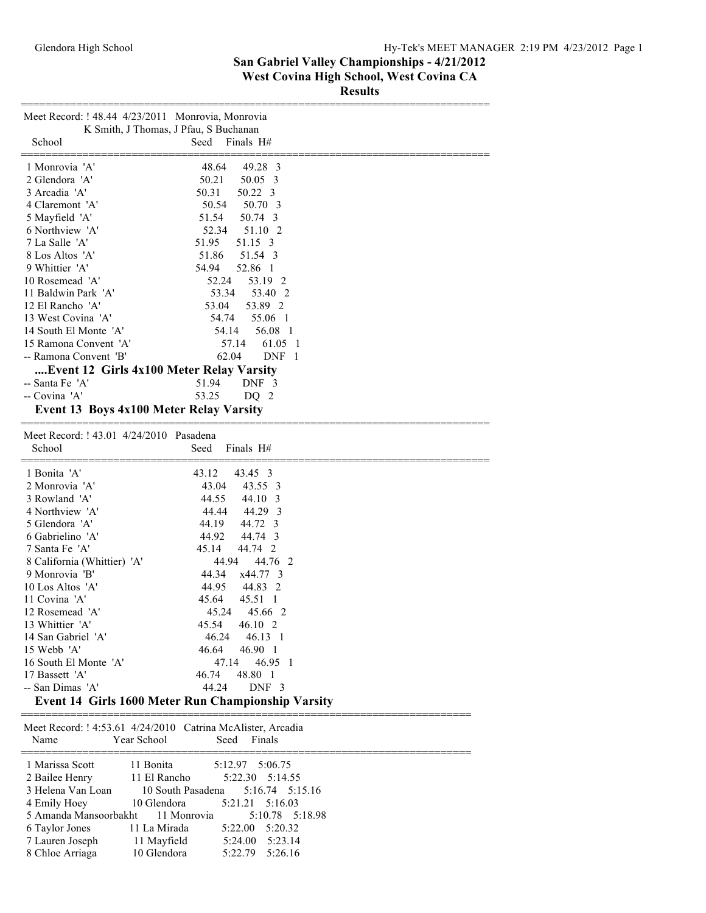**Results**

| Meet Record: ! 48.44 4/23/2011 Monrovia, Monrovia |                                                                        |
|---------------------------------------------------|------------------------------------------------------------------------|
| School                                            | K Smith, J Thomas, J Pfau, S Buchanan<br>Finals H#<br>Seed             |
| 1 Monrovia 'A'                                    | 48.64<br>49.28 3                                                       |
| 2 Glendora 'A'                                    | 50.21<br>50.05 3                                                       |
| 3 Arcadia 'A'                                     | 50.31<br>50.22 3                                                       |
| 4 Claremont 'A'                                   | 50.54<br>50.70 3                                                       |
| 5 Mayfield 'A'                                    | 51.54<br>50.74 3                                                       |
| 6 Northview 'A'                                   | 52.34<br>51.10 2                                                       |
| 7 La Salle 'A'                                    | 51.95<br>51.15 3                                                       |
| 8 Los Altos 'A'<br>9 Whittier 'A'                 | 51.54 3<br>51.86                                                       |
| 10 Rosemead 'A'                                   | 52.86 1<br>54.94<br>53.19 2<br>52.24                                   |
| 11 Baldwin Park 'A'                               | 53.40 2<br>53.34                                                       |
| 12 El Rancho 'A'                                  | 53.04<br>53.89 2                                                       |
| 13 West Covina 'A'                                | 54.74<br>55.06 1                                                       |
| 14 South El Monte 'A'                             | 56.08 1<br>54.14                                                       |
| 15 Ramona Convent 'A'                             | 57.14<br>61.05 1                                                       |
| -- Ramona Convent 'B'                             | 62.04<br>DNF 1                                                         |
| Event 12 Girls 4x100 Meter Relay Varsity          |                                                                        |
| -- Santa Fe 'A'                                   | 51.94<br>DNF 3                                                         |
| -- Covina 'A'                                     | 53.25<br>DQ <sub>2</sub>                                               |
| Event 13 Boys 4x100 Meter Relay Varsity           |                                                                        |
|                                                   |                                                                        |
| Meet Record: ! 43.01 4/24/2010 Pasadena<br>School | Finals H#<br>Seed                                                      |
|                                                   |                                                                        |
| 1 Bonita 'A'                                      | 43.12<br>43.45 3                                                       |
| 2 Monrovia 'A'                                    | 43.55 3<br>43.04                                                       |
| 3 Rowland 'A'                                     | 44.55<br>44.10 3                                                       |
| 4 Northview 'A'                                   | 44.44<br>44.29 3                                                       |
| 5 Glendora 'A'                                    | 44.72 3<br>44.19                                                       |
| 6 Gabrielino 'A'                                  | 44.92<br>44.74 3                                                       |
| 7 Santa Fe 'A'                                    | 45.14<br>44.74 2<br>44.94<br>44.76 2                                   |
| 8 California (Whittier) 'A'<br>9 Monrovia 'B'     | 44.34<br>x44.77 3                                                      |
| 10 Los Altos 'A'                                  | 44.95<br>44.83 2                                                       |
| 11 Covina 'A'                                     | 45.64<br>45.51 1                                                       |
| 12 Rosemead 'A'                                   | 45.24<br>45.66 2                                                       |
| 13 Whittier 'A'                                   | 45.54<br>46.10 2                                                       |
| 14 San Gabriel 'A'                                | 46.24<br>$46.13 \quad 1$                                               |
| 15 Webb 'A'                                       | 46.64<br>46.90 1                                                       |
| 16 South El Monte 'A'                             | 46.95 1<br>47.14                                                       |
| 17 Bassett 'A'                                    | 48.80 1<br>46.74                                                       |
| -- San Dimas 'A'                                  | 44.24<br>DNF <sub>3</sub>                                              |
|                                                   | Event 14 Girls 1600 Meter Run Championship Varsity                     |
|                                                   | Meet Record: ! 4:53.61 4/24/2010 Catrina McAlister, Arcadia            |
| Year School<br>Name                               | Seed<br>Finals                                                         |
|                                                   |                                                                        |
| 1 Marissa Scott<br>11 Bonita                      | 5:12.97<br>5:06.75                                                     |
| 2 Bailee Henry                                    | 11 El Rancho<br>5:22.30<br>5:14.55                                     |
| 3 Helena Van Loan                                 | 10 South Pasadena<br>5:16.74<br>5:15.16                                |
| 4 Emily Hoey<br>5 Amanda Mansoorbakht             | 5:16.03<br>10 Glendora<br>5:21.21<br>11 Monrovia<br>5:10.78<br>5:18.98 |
| 6 Taylor Jones                                    | 11 La Mirada<br>5:22.00<br>5:20.32                                     |
| 7 Lauren Joseph                                   | 11 Mayfield<br>5:24.00<br>5:23.14                                      |
| 8 Chloe Arriaga                                   | 10 Glendora<br>5:22.79<br>5:26.16                                      |
|                                                   |                                                                        |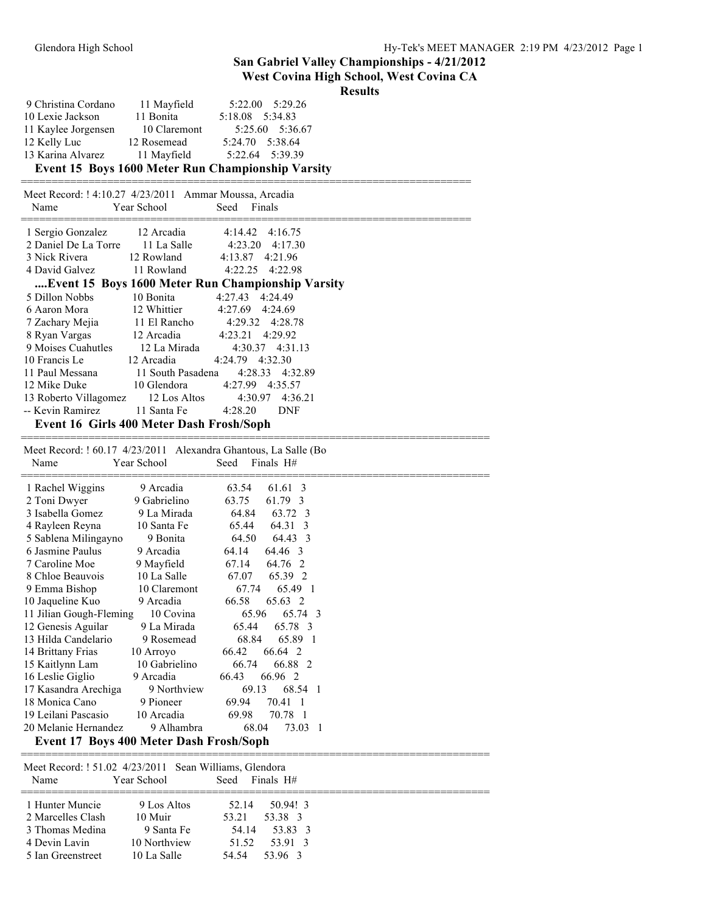### **West Covina High School, West Covina CA**

#### **Results**

| 9 Christina Cordano | 11 Mayfield  | 5:22.00 5:29.26                                   |
|---------------------|--------------|---------------------------------------------------|
| 10 Lexie Jackson    | 11 Bonita    | 5:18.08 5:34.83                                   |
| 11 Kaylee Jorgensen | 10 Claremont | 5:25.60 5:36.67                                   |
| 12 Kelly Luc        | 12 Rosemead  | 5:24.70 5:38.64                                   |
| 13 Karina Alvarez   | 11 Mayfield  | 5:22.64 5:39.39                                   |
|                     |              | Event 15 Days 1600 Motor Dun Championship Varsity |

#### **Event 15 Boys 1600 Meter Run Championship Varsity**

| Meet Record: ! 4:10.27 4/23/2011 Ammar Moussa, Arcadia |             |                                                    |
|--------------------------------------------------------|-------------|----------------------------------------------------|
| Name                                                   | Year School | Seed Finals                                        |
| 1 Sergio Gonzalez 12 Arcadia                           |             | $4:14.42 \quad 4:16.75$                            |
|                                                        |             | 2 Daniel De La Torre 11 La Salle 4:23.20 4:17.30   |
| 3 Nick Rivera 12 Rowland 4:13.87 4:21.96               |             |                                                    |
| 4 David Galvez 11 Rowland                              |             | 4:22.25 4:22.98                                    |
|                                                        |             | Event 15 Boys 1600 Meter Run Championship Varsity  |
| 5 Dillon Nobbs                                         | 10 Bonita   | 4:27.43 4:24.49                                    |
| 6 Aaron Mora 12 Whittier 4:27.69 4:24.69               |             |                                                    |
|                                                        |             | 7 Zachary Mejia 11 El Rancho 4:29.32 4:28.78       |
| 8 Ryan Vargas 12 Arcadia 4:23.21 4:29.92               |             |                                                    |
| 9 Moises Cuahutles 12 La Mirada                        |             | 4:30.37 4:31.13                                    |
| 10 Francis Le                                          | 12 Arcadia  | 4:24.79 4:32.30                                    |
| 11 Paul Messana 11 South Pasadena                      |             | 4:28.33 4:32.89                                    |
| 12 Mike Duke 10 Glendora                               |             | 4:27.99 4:35.57                                    |
|                                                        |             | 13 Roberto Villagomez 12 Los Altos 4:30.97 4:36.21 |
| -- Kevin Ramirez 11 Santa Fe 4:28.20 DNF               |             |                                                    |
| Event 16 Girls 400 Meter Dash Frosh/Soph               |             |                                                    |

============================================================================ Meet Record: ! 60.17 4/23/2011 Alexandra Ghantous, La Salle (Bo Name Year School Seed Finals H# ============================================================================ 1 Rachel Wiggins 9 Arcadia 63.54 61.61 3<br>2 Toni Dwyer 9 Gabrielino 63.75 61.79 3 2 Toni Dwyer 9 Gabrielino 63.75 61.79 3 3 Isabella Gomez 9 La Mirada 64.84 63.72 3 4 Rayleen Reyna 10 Santa Fe 65.44 64.31 3 5 Sablena Milingayno 9 Bonita 64.50 64.43 3 6 Jasmine Paulus 9 Arcadia 64.14 64.46 3 7 Caroline Moe 9 Mayfield 67.14 64.76 2 8 Chloe Beauvois 10 La Salle 67.07 65.39 2 9 Emma Bishop 10 Claremont 67.74 65.49 1 10 Jaqueline Kuo 9 Arcadia 66.58 65.63 2 11 Jilian Gough-Fleming 10 Covina 65.96 65.74 3 12 Genesis Aguilar 9 La Mirada 65.44 65.78 3 13 Hilda Candelario 9 Rosemead 68.84 65.89 1 14 Brittany Frias 10 Arroyo 66.42 66.64 2 15 Kaitlynn Lam 10 Gabrielino 66.74 66.88 2 16 Leslie Giglio 9 Arcadia 66.43 66.96 2 17 Kasandra Arechiga 9 Northview 69.13 68.54 1<br>18 Monica Cano 9 Pioneer 69.94 70.41 1 18 Monica Cano 9 Pioneer 69.94 70.41 1 19 Leilani Pascasio 10 Arcadia 69.98 70.78 1 20 Melanie Hernandez 9 Alhambra 68.04 73.03 1

**Event 17 Boys 400 Meter Dash Frosh/Soph** ============================================================================

 Meet Record: ! 51.02 4/23/2011 Sean Williams, Glendora Name Year School Seed Finals H# ============================================================================ 1 Hunter Muncie 9 Los Altos 52.14 50.94! 3 2 Marcelles Clash 10 Muir 53.21 53.38 3 3 Thomas Medina 9 Santa Fe 54.14 53.83 3 4 Devin Lavin 10 Northview 51.52 53.91 3 5 Ian Greenstreet 10 La Salle 54.54 53.96 3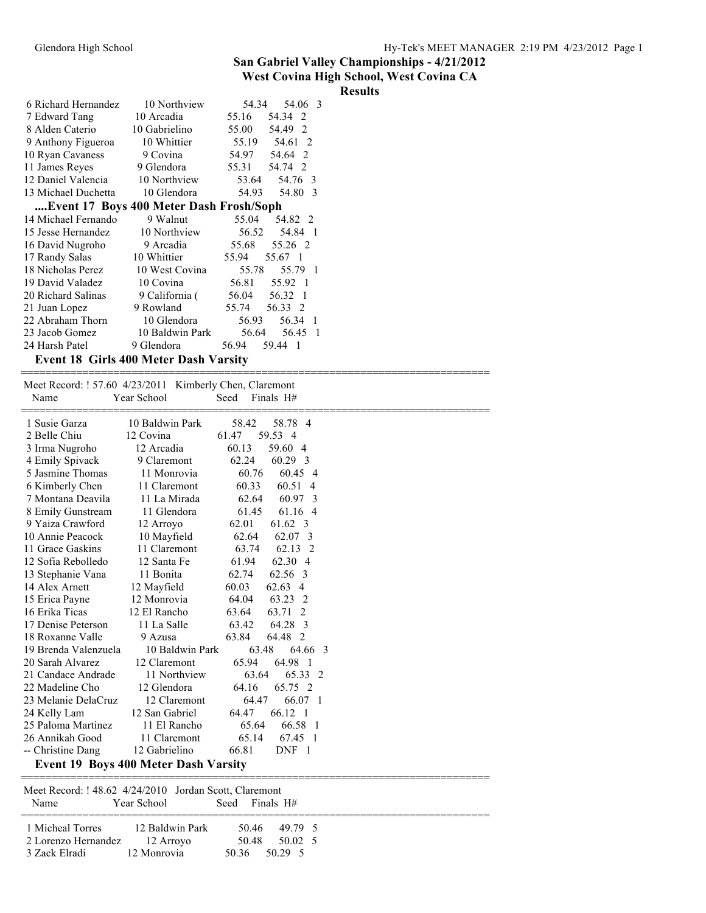#### **West Covina High School, West Covina CA**

|                                                         |                               |                                    | <b>Results</b> |
|---------------------------------------------------------|-------------------------------|------------------------------------|----------------|
| 6 Richard Hernandez                                     | 10 Northview                  | 54.34<br>54.06 3                   |                |
| 7 Edward Tang                                           | 10 Arcadia                    | 55.16<br>54.34 2                   |                |
| 8 Alden Caterio                                         | 10 Gabrielino                 | 55.00<br>54.49 2                   |                |
| 9 Anthony Figueroa                                      | 10 Whittier                   | 55.19<br>54.61 2                   |                |
| 10 Ryan Cavaness                                        | 9 Covina                      | 54.64 2<br>54.97                   |                |
| 11 James Reyes                                          | 9 Glendora                    | 55.31<br>54.74 2                   |                |
| 12 Daniel Valencia                                      | 10 Northview                  | 53.64<br>54.76 3                   |                |
| 13 Michael Duchetta                                     | 10 Glendora                   | 54.93<br>54.80 3                   |                |
| Event 17 Boys 400 Meter Dash Frosh/Soph                 |                               |                                    |                |
| 14 Michael Fernando                                     | 9 Walnut                      | 55.04<br>54.82 2                   |                |
| 15 Jesse Hernandez                                      | 10 Northview                  | 56.52<br>54.84 1                   |                |
| 16 David Nugroho                                        | 9 Arcadia                     | 55.68<br>55.26 2                   |                |
| 17 Randy Salas                                          | 10 Whittier                   | 55.94<br>55.67 1                   |                |
| 18 Nicholas Perez                                       | 10 West Covina                | 55.78<br>55.79 1                   |                |
| 19 David Valadez                                        | 10 Covina                     | 56.81<br>55.92 1                   |                |
| 20 Richard Salinas                                      | 9 California (                | 56.32 1<br>56.04                   |                |
| 21 Juan Lopez                                           | 9 Rowland                     | 55.74<br>56.33 2                   |                |
| 22 Abraham Thorn                                        | 10 Glendora                   | 56.93<br>56.34 1                   |                |
| 23 Jacob Gomez                                          | 10 Baldwin Park               | 56.64<br>56.45 1                   |                |
| 24 Harsh Patel                                          | 9 Glendora                    | 56.94<br>59.44 1                   |                |
| <b>Event 18 Girls 400 Meter Dash Varsity</b>            |                               |                                    |                |
|                                                         |                               |                                    |                |
| Meet Record: ! 57.60 4/23/2011 Kimberly Chen, Claremont |                               |                                    |                |
| Name                                                    | Year School                   | Finals $H#$<br>Seed                |                |
| 1 Susie Garza                                           | 10 Baldwin Park               | 58.78 4<br>58.42                   |                |
| 2 Belle Chiu                                            | 12 Covina                     | 59.53 4<br>61.47                   |                |
| 3 Irma Nugroho                                          | 12 Arcadia                    | 60.13<br>59.60 4                   |                |
| 4 Emily Spivack                                         | 9 Claremont                   | 62.24<br>60.29 3                   |                |
| 5 Jasmine Thomas                                        | 11 Monrovia                   | 60.45 4<br>60.76                   |                |
| 6 Kimberly Chen                                         | 11 Claremont                  | 60.33<br>60.51 4                   |                |
| 7 Montana Deavila                                       | 11 La Mirada                  | 62.64<br>60.97 3                   |                |
| 8 Emily Gunstream                                       | 11 Glendora                   | 61.45<br>61.16 4                   |                |
| 9 Yaiza Crawford                                        | 12 Arroyo                     | 62.01<br>61.62 3                   |                |
| 10 Annie Peacock                                        | 10 Mayfield                   | 62.64<br>62.07 3                   |                |
| 11 Grace Gaskins                                        | 11 Claremont                  | 63.74<br>62.13 2                   |                |
| 12 Sofia Rebolledo                                      | 12 Santa Fe                   | 61.94<br>62.30 4                   |                |
| 13 Stephanie Vana                                       |                               |                                    |                |
|                                                         | 11 Bonita                     | 62.56 3<br>62.74                   |                |
| 14 Alex Arnett                                          | 12 Mayfield                   | 60.03<br>62.63 4                   |                |
| 15 Erica Payne                                          | 12 Monrovia                   | 64.04<br>63.23 2                   |                |
| 16 Erika Ticas                                          | 12 El Rancho                  | 63.64<br>63.71 2                   |                |
| 17 Denise Peterson                                      | 11 La Salle                   | 63.42<br>64.28 3                   |                |
| 18 Roxanne Valle                                        | 9 Azusa                       | 63.84<br>64.48 2                   |                |
| 19 Brenda Valenzuela                                    | 10 Baldwin Park               | 63.48<br>64.66<br>-3               |                |
| 20 Sarah Alvarez                                        | 12 Claremont                  | 65.94<br>64.98 1                   |                |
| 21 Candace Andrade                                      | 11 Northview                  | 65.33 2<br>63.64                   |                |
| 22 Madeline Cho                                         | 12 Glendora                   | 64.16<br>65.75 2                   |                |
| 23 Melanie DelaCruz                                     | 12 Claremont                  | 64.47<br>66.07 1                   |                |
| 24 Kelly Lam                                            | 12 San Gabriel                | 64.47<br>66.12 1                   |                |
| 25 Paloma Martinez                                      | 11 El Rancho                  | 65.64<br>66.58 1                   |                |
| 26 Annikah Good<br>-- Christine Dang                    | 11 Claremont<br>12 Gabrielino | 65.14<br>67.45 1<br>66.81<br>DNF 1 |                |

**Event 19 Boys 400 Meter Dash Varsity** ============================================================================

| Meet Record: ! 48.62 4/24/2010 Jordan Scott, Claremont<br>Name                     | Year School | Seed Finals H#                                |  |
|------------------------------------------------------------------------------------|-------------|-----------------------------------------------|--|
| 1 Micheal Torres 12 Baldwin Park<br>2 Lorenzo Hernandez 12 Arroyo<br>3 Zack Elradi | 12 Monrovia | 5046 4979 5<br>50.48 50.02 5<br>50.36 50.29 5 |  |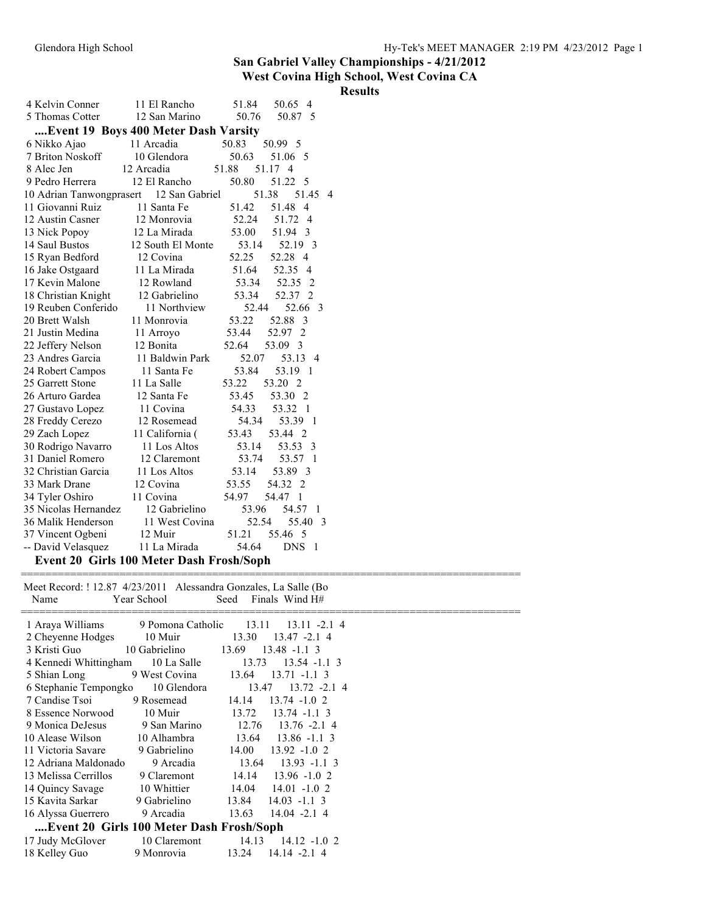### **hool, West Covina CA**

| Glendora High School     |                                      |                                  |                |
|--------------------------|--------------------------------------|----------------------------------|----------------|
|                          |                                      | <b>San Gabriel Valley Champi</b> |                |
|                          |                                      | <b>West Covina High School,</b>  |                |
|                          |                                      |                                  | <b>Results</b> |
| 4 Kelvin Conner          | 11 El Rancho                         | 51.84<br>50.65 4                 |                |
| 5 Thomas Cotter          | 12 San Marino                        | 50.76<br>50.87 5                 |                |
|                          | Event 19 Boys 400 Meter Dash Varsity |                                  |                |
| 6 Nikko Ajao             | 11 Arcadia                           | 50.83<br>50.99 5                 |                |
| 7 Briton Noskoff         | 10 Glendora                          | 50.63<br>51.06 5                 |                |
| 8 Alec Jen               | 12 Arcadia                           | 51.88<br>51.17 4                 |                |
| 9 Pedro Herrera          | 12 El Rancho                         | 50.80<br>51.22 5                 |                |
| 10 Adrian Tanwongprasert | 12 San Gabriel                       | 51.38<br>51.45 4                 |                |
| 11 Giovanni Ruiz         | 11 Santa Fe                          | 51.42<br>51.48 4                 |                |
| 12 Austin Casner         | 12 Monrovia                          | 52.24<br>51.72 4                 |                |
| 13 Nick Popoy            | 12 La Mirada                         | 53.00<br>51.94 3                 |                |
| 14 Saul Bustos           | 12 South El Monte                    | 53.14<br>52.19 3                 |                |
| 15 Ryan Bedford          | 12 Covina                            | 52.25<br>52.28 4                 |                |
| 16 Jake Ostgaard         | 11 La Mirada                         | 51.64<br>52.35 4                 |                |
| 17 Kevin Malone          | 12 Rowland                           | 53.34<br>52.35 2                 |                |
| 18 Christian Knight      | 12 Gabrielino                        | 53.34<br>52.37 2                 |                |
| 19 Reuben Conferido      | 11 Northview                         | 52.44<br>52.66 3                 |                |
| 20 Brett Walsh           | 11 Monrovia                          | 53.22<br>52.88 3                 |                |
| 21 Justin Medina         | 11 Arroyo                            | 53.44<br>52.97 2                 |                |
| 22 Jeffery Nelson        | 12 Bonita                            | 52.64<br>53.09 3                 |                |
| 23 Andres Garcia         | 11 Baldwin Park                      | 52.07<br>53.13 4                 |                |
| 24 Robert Campos         | 11 Santa Fe                          | 53.84<br>53.19 1                 |                |
| 25 Garrett Stone         | 11 La Salle                          | 53.22<br>53.20 2                 |                |
| 26 Arturo Gardea         | 12 Santa Fe                          | 53.45<br>53.30 2                 |                |
| 27 Gustavo Lopez         | 11 Covina                            | 54.33<br>53.32 1                 |                |
| 28 Freddy Cerezo         | 12 Rosemead                          | 54.34<br>53.39 1                 |                |
| 29 Zach Lopez            | 11 California (                      | 53.43<br>53.44 2                 |                |
| 30 Rodrigo Navarro       | 11 Los Altos                         | 53.14<br>53.53 3                 |                |
| 31 Daniel Romero         | 12 Claremont                         | 53.74<br>53.57 1                 |                |
| 32 Christian Garcia      | 11 Los Altos                         | 53.14<br>53.89 3                 |                |
| 33 Mark Drane            | 12 Covina                            | 53.55<br>54.32 2                 |                |
| 34 Tyler Oshiro          | 11 Covina                            | 54.97<br>54.47 1                 |                |
| 35 Nicolas Hernandez     | 12 Gabrielino                        | 53.96<br>54.57 1                 |                |
| 36 Malik Henderson       | 11 West Covina                       | 52.54<br>55.40 3                 |                |
| 37 Vincent Ogbeni        | 12 Muir                              | 55.46 5<br>51.21                 |                |
| -- David Velasquez       | 11 La Mirada                         | 54.64<br>DNS 1                   |                |

Meet Record: ! 12.87 4/23/2011 Alessandra Gonzales, La Salle (Bo<br>Name Year School Seed Finals Wind H# Seed Finals Wind  $H#$ 

| 1 Araya Williams      | 9 Pomona Catholic                        | 13.11<br>$13.11 - 2.14$  |
|-----------------------|------------------------------------------|--------------------------|
| 2 Cheyenne Hodges     | 10 Muir                                  | 13.30<br>13.47 -2.1 4    |
| 3 Kristi Guo          | 10 Gabrielino                            | 13.69<br>$13.48 - 1.1$ 3 |
| 4 Kennedi Whittingham | 10 La Salle                              | 13.73<br>$13.54 -1.1$ 3  |
| 5 Shian Long          | 9 West Covina                            | 13.64<br>$13.71 - 1.1$ 3 |
| 6 Stephanie Tempongko | 10 Glendora                              | 13.47<br>$13.72 - 2.14$  |
| 7 Candise Tsoi        | 9 Rosemead                               | 14.14<br>$13.74 - 1.02$  |
| 8 Essence Norwood     | 10 Muir                                  | 13.72<br>$13.74 - 1.1$ 3 |
| 9 Monica DeJesus      | 9 San Marino                             | 12.76<br>$13.76 - 2.14$  |
| 10 Alease Wilson      | 10 Alhambra                              | $13.64$ $13.86$ -1.1 3   |
| 11 Victoria Savare    | 9 Gabrielino                             | 14.00<br>$13.92 - 1.02$  |
| 12 Adriana Maldonado  | 9 Arcadia                                | 13.64<br>$13.93 - 1.1$ 3 |
| 13 Melissa Cerrillos  | 9 Claremont                              | 14.14<br>$13.96 - 1.02$  |
| 14 Quincy Savage      | 10 Whittier                              | 14.04<br>$14.01 - 1.02$  |
| 15 Kavita Sarkar      | 9 Gabrielino                             | $13.84$ $14.03$ $-1.1$ 3 |
| 16 Alyssa Guerrero    | 9 Arcadia                                | 13.63<br>14.04 -2.1 4    |
|                       | Event 20 Girls 100 Meter Dash Frosh/Soph |                          |
| 17 Judy McGlover      | 10 Claremont                             | 14.13<br>$14.12 - 1.02$  |
| 18 Kelley Guo         | 9 Monrovia                               | $14.14 - 2.14$<br>13.24  |
|                       |                                          |                          |

=================================================================================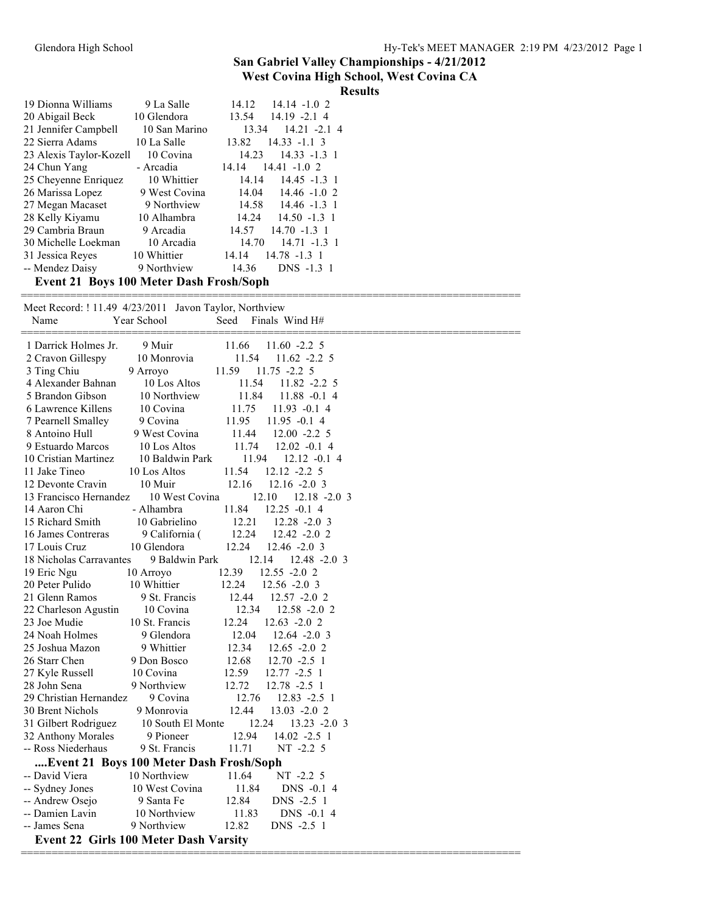| <b>Results</b> |
|----------------|

| 19 Dionna Williams                             | 9 La Salle    | 14.12<br>$14.14 - 1.02$  |
|------------------------------------------------|---------------|--------------------------|
| 20 Abigail Beck                                | 10 Glendora   | 13.54<br>$14.19 - 2.14$  |
| 21 Jennifer Campbell                           | 10 San Marino | 13.34<br>$14.21 - 2.14$  |
| 22 Sierra Adams                                | 10 La Salle   | $14.33 - 1.1$ 3<br>13.82 |
| 23 Alexis Taylor-Kozell                        | 10 Covina     | $14.33 - 1.3$ 1<br>14.23 |
| 24 Chun Yang                                   | - Arcadia     | $14.41 - 1.02$<br>14.14  |
| 25 Cheyenne Enriquez                           | 10 Whittier   | $14.45 - 1.3$ 1<br>14.14 |
| 26 Marissa Lopez                               | 9 West Covina | $14.04$ $14.46$ $-1.0$ 2 |
| 27 Megan Macaset                               | 9 Northview   | 14.58 14.46 -1.3 1       |
| 28 Kelly Kiyamu                                | 10 Alhambra   | $14.24$ $14.50$ $-1.3$ 1 |
| 29 Cambria Braun                               | 9 Arcadia     | 14.57<br>$14.70 - 1.3$ 1 |
| 30 Michelle Loekman                            | 10 Arcadia    | 14.70<br>$14.71 - 1.3$ 1 |
| 31 Jessica Reyes                               | 10 Whittier   | $14.78 - 1.3$ 1<br>14.14 |
| -- Mendez Daisy                                | 9 Northview   | 14.36<br>DNS -1.3 1      |
| <b>Event 21 Roys 100 Meter Dash Erosh/Sonh</b> |               |                          |

**Event 21 Boys 100 Meter Dash Frosh/Soph**

| Meet Record: ! 11.49 4/23/2011 Javon Taylor, Northview |                          |                                           |
|--------------------------------------------------------|--------------------------|-------------------------------------------|
| Name                                                   | Year School              | Finals Wind H#<br>Seed                    |
|                                                        |                          |                                           |
| 1 Darrick Holmes Jr.                                   | 9 Muir                   | 11.66<br>$11.60 -2.25$<br>11.54           |
| 2 Cravon Gillespy                                      | 10 Monrovia              | $11.62 -2.25$<br>11.59<br>$11.75 - 2.2$ 5 |
| 3 Ting Chiu<br>4 Alexander Bahnan                      | 9 Arroyo<br>10 Los Altos | 11.54<br>$11.82 -2.25$                    |
| 5 Brandon Gibson                                       | 10 Northview             | 11.84<br>$11.88 - 0.14$                   |
| 6 Lawrence Killens                                     | 10 Covina                | 11.75<br>$11.93 -0.14$                    |
| 7 Pearnell Smalley                                     | 9 Covina                 | 11.95<br>$11.95 -0.14$                    |
| 8 Antoino Hull                                         | 9 West Covina            | 11.44<br>$12.00 - 2.2$ 5                  |
| 9 Estuardo Marcos                                      | 10 Los Altos             | 11.74<br>$12.02 -0.1$ 4                   |
| 10 Cristian Martinez                                   | 10 Baldwin Park          | 11.94<br>$12.12 -0.14$                    |
| 11 Jake Tineo                                          | 10 Los Altos             | 11.54<br>$12.12 - 2.25$                   |
| 12 Devonte Cravin                                      | 10 Muir                  | 12.16<br>$12.16 - 2.0$ 3                  |
| 13 Francisco Hernandez                                 | 10 West Covina           | 12.10<br>$12.18 - 2.03$                   |
| 14 Aaron Chi                                           | - Alhambra               | 11.84<br>$12.25 -0.14$                    |
| 15 Richard Smith                                       | 10 Gabrielino            | 12.21<br>$12.28 - 2.03$                   |
| 16 James Contreras                                     | 9 California (           | 12.24<br>$12.42 - 2.02$                   |
| 17 Louis Cruz                                          | 10 Glendora              | 12.24<br>$12.46 - 2.0$ 3                  |
| 18 Nicholas Carravantes                                | 9 Baldwin Park           | 12.14<br>$12.48 - 2.03$                   |
| 19 Eric Ngu                                            | 10 Arroyo                | 12.39<br>$12.55 - 2.02$                   |
| 20 Peter Pulido                                        | 10 Whittier              | 12.24<br>$12.56 - 2.0$ 3                  |
| 21 Glenn Ramos                                         | 9 St. Francis            | 12.44<br>12.57 -2.0 2                     |
| 22 Charleson Agustin                                   | 10 Covina                | 12.34<br>$12.58 - 2.02$                   |
| 23 Joe Mudie                                           | 10 St. Francis           | 12.24<br>$12.63 - 2.02$                   |
| 24 Noah Holmes                                         | 9 Glendora               | 12.04<br>$12.64 - 2.0$ 3                  |
| 25 Joshua Mazon                                        | 9 Whittier               | 12.34<br>$12.65 - 2.02$                   |
| 26 Starr Chen                                          | 9 Don Bosco              | 12.68<br>$12.70 - 2.5$ 1                  |
| 27 Kyle Russell                                        | 10 Covina                | 12.59<br>$12.77 - 2.5$ 1                  |
| 28 John Sena                                           | 9 Northview              | 12.72<br>$12.78 - 2.5$ 1                  |
| 29 Christian Hernandez                                 | 9 Covina                 | 12.76<br>$12.83 - 2.5$ 1                  |
| 30 Brent Nichols                                       | 9 Monrovia               | 12.44<br>13.03 -2.0 2                     |
| 31 Gilbert Rodriguez                                   | 10 South El Monte        | 12.24<br>13.23 -2.0 3                     |
| 32 Anthony Morales                                     | 9 Pioneer                | 12.94<br>$14.02 -2.5$ 1                   |
| -- Ross Niederhaus                                     | 9 St. Francis            | 11.71<br>$NT -2.2 5$                      |
| Event 21 Boys 100 Meter Dash Frosh/Soph                |                          |                                           |
| -- David Viera                                         | 10 Northview             | 11.64<br>$NT -2.25$                       |
| -- Sydney Jones                                        | 10 West Covina           | 11.84<br>DNS -0.1 4                       |
| -- Andrew Osejo                                        | 9 Santa Fe               | 12.84<br>DNS -2.5 1                       |
| -- Damien Lavin                                        | 10 Northview             | 11.83<br>DNS -0.1 4                       |
| -- James Sena                                          | 9 Northview              | 12.82<br>DNS -2.5 1                       |
| <b>Event 22 Girls 100 Meter Dash Varsity</b>           |                          |                                           |
|                                                        |                          |                                           |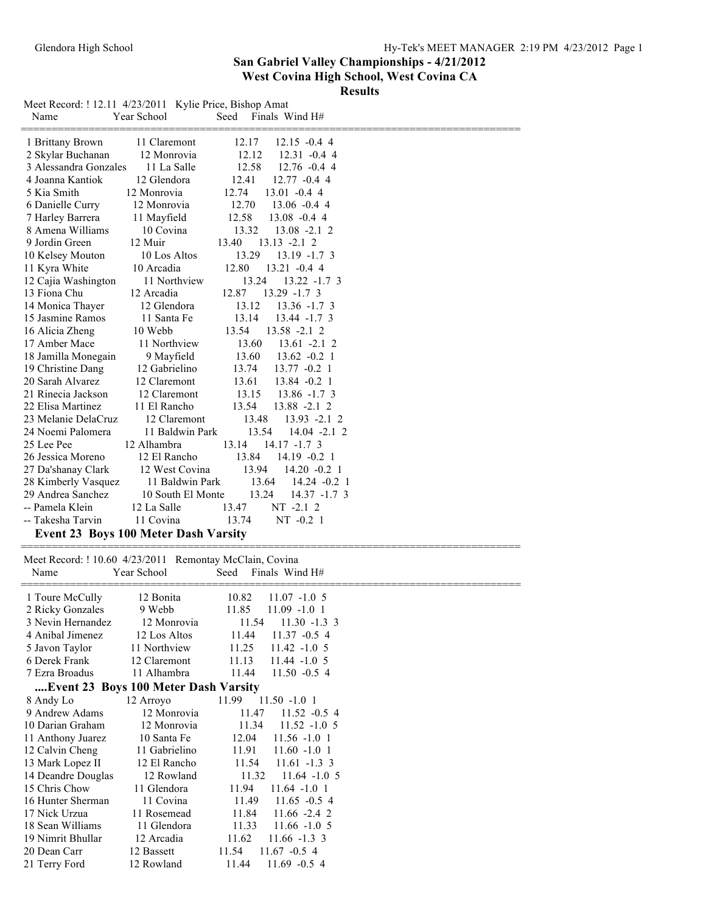**Results**

| Name                                                            | Meet Record: ! 12.11 4/23/2011 Kylie Price, Bishop Amat<br>Year School | Seed<br>Finals Wind H#                               |
|-----------------------------------------------------------------|------------------------------------------------------------------------|------------------------------------------------------|
| 1 Brittany Brown                                                | 11 Claremont                                                           | 12.17<br>$12.15 - 0.44$                              |
| 2 Skylar Buchanan                                               | 12 Monrovia                                                            | 12.12<br>$12.31 - 0.44$                              |
| 3 Alessandra Gonzales                                           | 11 La Salle                                                            | 12.58<br>$12.76 - 0.44$                              |
| 4 Joanna Kantiok                                                | 12 Glendora                                                            | 12.41<br>$12.77 - 0.4$ 4                             |
| 5 Kia Smith                                                     | 12 Monrovia                                                            | 12.74<br>$13.01 - 0.44$                              |
| 6 Danielle Curry                                                | 12 Monrovia                                                            | 12.70<br>$13.06 - 0.44$                              |
| 7 Harley Barrera                                                | 11 Mayfield                                                            | 12.58<br>$13.08 - 0.44$                              |
| 8 Amena Williams                                                | 10 Covina                                                              | 13.32<br>$13.08 - 2.1$ 2                             |
| 9 Jordin Green                                                  | 12 Muir                                                                | 13.40<br>$13.13 - 2.12$                              |
| 10 Kelsey Mouton                                                | 10 Los Altos                                                           | 13.29<br>$13.19 - 1.73$                              |
| 11 Kyra White                                                   | 10 Arcadia                                                             | 12.80<br>$13.21 -0.44$                               |
| 12 Cajia Washington                                             | 11 Northview                                                           | 13.24<br>$13.22 - 1.7$ 3                             |
| 13 Fiona Chu                                                    | 12 Arcadia                                                             | 12.87<br>$13.29 - 1.7$ 3                             |
| 14 Monica Thayer                                                | 12 Glendora                                                            | 13.12<br>$13.36 - 1.7$ 3                             |
| 15 Jasmine Ramos                                                | 11 Santa Fe                                                            | 13.14<br>$13.44 - 1.7$ 3                             |
| 16 Alicia Zheng                                                 | 10 Webb                                                                | 13.54<br>$13.58 - 2.12$                              |
| 17 Amber Mace                                                   | 11 Northview                                                           | 13.60<br>$13.61 - 2.12$                              |
| 18 Jamilla Monegain                                             | 9 Mayfield                                                             | 13.60<br>$13.62 -0.21$                               |
| 19 Christine Dang                                               | 12 Gabrielino                                                          | 13.74<br>$13.77 - 0.2$ 1                             |
| 20 Sarah Alvarez<br>21 Rinecia Jackson                          | 12 Claremont<br>12 Claremont                                           | 13.61<br>$13.84 - 0.2$ 1<br>13.15<br>$13.86 - 1.7$ 3 |
| 22 Elisa Martinez                                               | 11 El Rancho                                                           | 13.54<br>$13.88 - 2.1$ 2                             |
| 23 Melanie DelaCruz                                             | 12 Claremont                                                           | 13.48<br>$13.93 - 2.12$                              |
| 24 Noemi Palomera                                               | 11 Baldwin Park                                                        | 13.54<br>$14.04 -2.1$ 2                              |
| 25 Lee Pee                                                      | 12 Alhambra                                                            | 13.14<br>$14.17 - 1.7$ 3                             |
| 26 Jessica Moreno                                               | 12 El Rancho                                                           | 13.84<br>$14.19 -0.21$                               |
| 27 Da'shanay Clark                                              | 12 West Covina                                                         | 14.20 -0.2 1<br>13.94                                |
| 28 Kimberly Vasquez                                             | 11 Baldwin Park                                                        | 13.64<br>$14.24 -0.2$ 1                              |
| 29 Andrea Sanchez                                               | 10 South El Monte                                                      | 13.24<br>$14.37 - 1.7$ 3                             |
| -- Pamela Klein                                                 |                                                                        |                                                      |
|                                                                 | 12 La Salle                                                            | 13.47                                                |
| -- Takesha Tarvin                                               | 11 Covina                                                              | NT -2.1 2<br>13.74<br>$NT -0.2 1$                    |
|                                                                 | <b>Event 23 Boys 100 Meter Dash Varsity</b>                            |                                                      |
|                                                                 |                                                                        |                                                      |
| Meet Record: ! 10.60 4/23/2011 Remontay McClain, Covina<br>Name |                                                                        |                                                      |
|                                                                 | Year School                                                            | Seed Finals Wind H#                                  |
| 1 Toure McCully                                                 | 12 Bonita                                                              | 10.82<br>$11.07 - 1.05$                              |
| 2 Ricky Gonzales                                                | 9 Webb                                                                 | 11.85<br>$11.09 - 1.01$                              |
| 3 Nevin Hernandez                                               | 12 Monrovia                                                            | 11.54<br>$11.30 - 1.3$ 3                             |
| 4 Anibal Jimenez                                                | 12 Los Altos                                                           | 11.44<br>$11.37 -0.54$                               |
| 5 Javon Taylor                                                  | 11 Northview                                                           | 11.25<br>$11.42 - 1.05$                              |
| 6 Derek Frank                                                   | 12 Claremont                                                           | 11.13<br>$11.44 - 1.05$                              |
| 7 Ezra Broadus                                                  | 11 Alhambra                                                            | 11.44<br>$11.50 -0.54$                               |
|                                                                 | Event 23 Boys 100 Meter Dash Varsity                                   |                                                      |
| 8 Andy Lo                                                       | 12 Arroyo                                                              | $11.50 - 1.01$<br>11.99                              |
| 9 Andrew Adams                                                  | 12 Monrovia                                                            | 11.47<br>$11.52 -0.54$                               |
| 10 Darian Graham                                                | 12 Monrovia                                                            | 11.34<br>$11.52 - 1.05$                              |
| 11 Anthony Juarez                                               | 10 Santa Fe                                                            | $11.56 - 1.01$<br>12.04                              |
| 12 Calvin Cheng                                                 | 11 Gabrielino                                                          | 11.91<br>$11.60 - 1.01$                              |
| 13 Mark Lopez II                                                | 12 El Rancho                                                           | $11.61 - 1.3$ 3<br>11.54                             |
| 14 Deandre Douglas                                              | 12 Rowland                                                             | 11.32<br>$11.64 - 1.05$                              |
| 15 Chris Chow                                                   | 11 Glendora                                                            | 11.94<br>$11.64 - 1.01$                              |
| 16 Hunter Sherman                                               | 11 Covina                                                              | 11.49<br>$11.65 - 0.54$                              |
| 17 Nick Urzua<br>18 Sean Williams                               | 11 Rosemead<br>11 Glendora                                             | 11.84<br>$11.66 - 2.4$ 2<br>11.33                    |
| 19 Nimrit Bhullar                                               | 12 Arcadia                                                             | $11.66 - 1.05$<br>11.62<br>$11.66 - 1.3$ 3           |
| 20 Dean Carr                                                    | 12 Bassett                                                             | 11.54<br>$11.67 - 0.54$                              |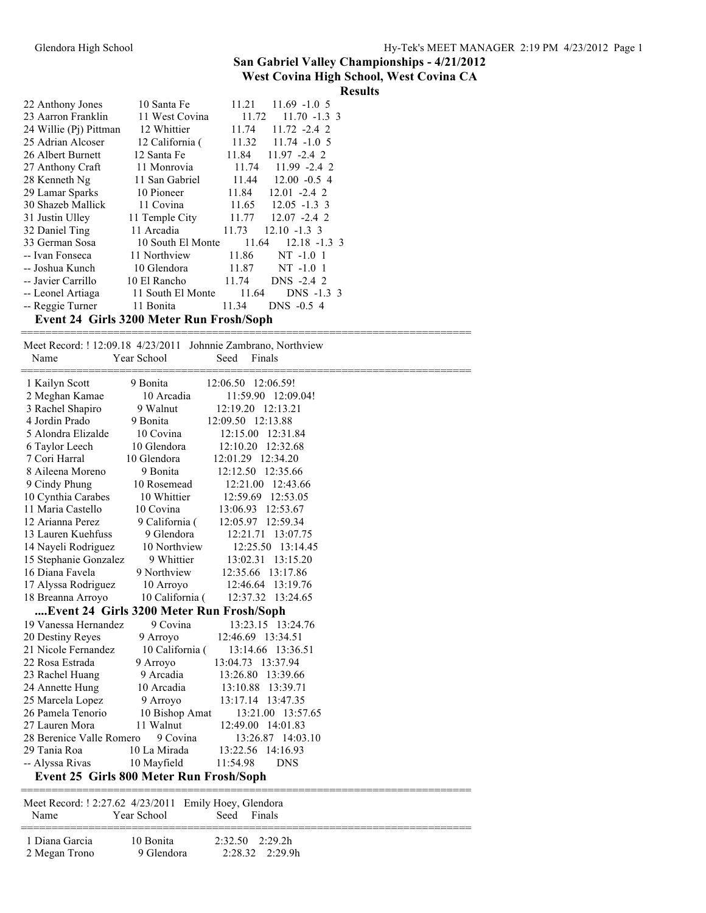# **Results**

| 10 Santa Fe       | 11.21 | $11.69 - 1.05$                                                |
|-------------------|-------|---------------------------------------------------------------|
| 11 West Covina    | 11.72 | $11.70 - 1.3$ 3                                               |
| 12 Whittier       | 11.74 | $11.72 -2.42$                                                 |
| 12 California (   | 11.32 | $11.74 - 1.05$                                                |
| 12 Santa Fe       | 11.84 | $11.97 - 2.42$                                                |
| 11 Monrovia       |       | $11.74$ 11.99 -2.4 2                                          |
| 11 San Gabriel    |       | $11.44$ $12.00$ $-0.5$ 4                                      |
| 10 Pioneer        | 11.84 | $12.01 - 2.42$                                                |
| 11 Covina         | 11.65 | $12.05 - 1.3$ 3                                               |
| 11 Temple City    | 11.77 | $12.07 - 2.4$ 2                                               |
| 11 Arcadia        | 11.73 | $12.10 - 1.3$ 3                                               |
|                   | 11.64 | $12.18 - 1.3$ 3                                               |
| 11 Northview      | 11.86 | $NT -1.01$                                                    |
| 10 Glendora       | 11.87 | $NT -1.01$                                                    |
| 10 El Rancho      | 11.74 | DNS -2.4 2                                                    |
| 11 South El Monte | 11.64 | DNS -1.3 3                                                    |
| 11 Bonita         | 11.34 | DNS -0.5 4                                                    |
|                   |       |                                                               |
|                   |       | 10 South El Monte<br>Event 24 Girls 3200 Meter Run Frosh/Soph |

 Meet Record: ! 12:09.18 4/23/2011 Johnnie Zambrano, Northview Name Year School Seed Finals ========================================================================= 1 Kailyn Scott 9 Bonita 12:06.50 12:06.59! 2 Meghan Kamae 10 Arcadia 11:59.90 12:09.04! 3 Rachel Shapiro 9 Walnut 12:19.20 12:13.21<br>4 Jordin Prado 9 Bonita 12:09.50 12:13.88 4 Jordin Prado 9 Bonita 12:09.50 12:13.88 5 Alondra Elizalde 10 Covina 12:15.00 12:31.84 6 Taylor Leech 10 Glendora 12:10.20 12:32.68 7 Cori Harral 10 Glendora 12:01.29 12:34.20 8 Aileena Moreno 9 Bonita 12:12.50 12:35.66 9 Cindy Phung 10 Rosemead 12:21.00 12:43.66 10 Cynthia Carabes 10 Whittier 12:59.69 12:53.05<br>11 Maria Castello 10 Covina 13:06.93 12:53.67 10 Covina 13:06.93 12:53.67 12 Arianna Perez 9 California ( 12:05.97 12:59.34 13 Lauren Kuehfuss 9 Glendora 12:21.71 13:07.75 14 Nayeli Rodriguez 10 Northview 12:25.50 13:14.45 15 Stephanie Gonzalez 9 Whittier 13:02.31 13:15.20 16 Diana Favela 9 Northview 12:35.66 13:17.86 17 Alyssa Rodriguez 10 Arroyo 12:46.64 13:19.76 18 Breanna Arroyo 10 California ( 12:37.32 13:24.65 **....Event 24 Girls 3200 Meter Run Frosh/Soph** 19 Vanessa Hernandez 9 Covina 13:23.15 13:24.76 20 Destiny Reyes 9 Arroyo 12:46.69 13:34.51 21 Nicole Fernandez 10 California (13:14.66 13:36.51<br>22 Rosa Estrada 9 Arroyo 13:04.73 13:37.94 22 Rosa Estrada 9 Arroyo 13:04.73 13:37.94 23 Rachel Huang 9 Arcadia 13:26.80 13:39.66 24 Annette Hung 10 Arcadia 13:10.88 13:39.71 25 Marcela Lopez 9 Arroyo 13:17.14 13:47.35 26 Pamela Tenorio 10 Bishop Amat 13:21.00 13:57.65 27 Lauren Mora 11 Walnut 12:49.00 14:01.83 28 Berenice Valle Romero 9 Covina 13:26.87 14:03.10 29 Tania Roa 10 La Mirada 13:22.56 14:16.93 -- Alyssa Rivas 10 Mayfield 11:54.98 DNS **Event 25 Girls 800 Meter Run Frosh/Soph** ========================================================================= Meet Record: ! 2:27.62 4/23/2011 Emily Hoey, Glendora Name Year School Seed Finals

=========================================================================

| 1 Diana Garcia | 10 Bonita  | 2:32.50 2:29.2h |
|----------------|------------|-----------------|
| 2 Megan Trono  | 9 Glendora | 2:28.32 2:29.9h |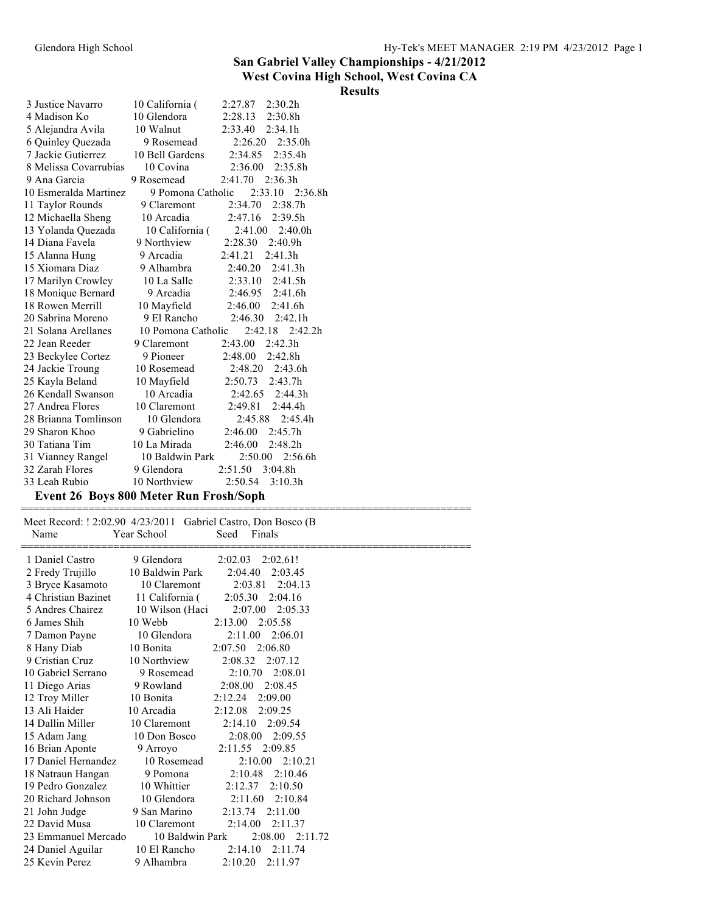|                                               |                           |                                                               | <b>Results</b> |
|-----------------------------------------------|---------------------------|---------------------------------------------------------------|----------------|
| 3 Justice Navarro                             | 10 California (           | 2:30.2h<br>2:27.87                                            |                |
| 4 Madison Ko                                  | 10 Glendora               | 2:28.13<br>2:30.8h                                            |                |
| 5 Alejandra Avila                             | 10 Walnut                 | 2:33.40<br>2:34.1h                                            |                |
| 6 Quinley Quezada                             | 9 Rosemead                | 2:35.0h<br>2:26.20                                            |                |
| 7 Jackie Gutierrez                            | 10 Bell Gardens           | 2:35.4h<br>2:34.85                                            |                |
| 8 Melissa Covarrubias                         | 10 Covina                 | 2:36.00<br>2:35.8h                                            |                |
| 9 Ana Garcia                                  | 9 Rosemead                | 2:41.70<br>2:36.3h                                            |                |
| 10 Esmeralda Martinez                         | 9 Pomona Catholic         | 2:33.10<br>2:36.8h                                            |                |
| 11 Taylor Rounds                              | 9 Claremont               | 2:34.70<br>2:38.7h                                            |                |
| 12 Michaella Sheng                            | 10 Arcadia                | 2:39.5h<br>2:47.16                                            |                |
| 13 Yolanda Quezada                            | 10 California (           | 2:40.0h<br>2:41.00                                            |                |
| 14 Diana Favela                               | 9 Northview               | 2:28.30<br>2:40.9h                                            |                |
| 15 Alanna Hung                                | 9 Arcadia                 | 2:41.21<br>2:41.3h                                            |                |
| 15 Xiomara Diaz                               | 9 Alhambra                | 2:40.20<br>2:41.3h                                            |                |
| 17 Marilyn Crowley                            | 10 La Salle               | 2:41.5h<br>2:33.10                                            |                |
| 18 Monique Bernard                            | 9 Arcadia                 | 2:46.95<br>2:41.6h                                            |                |
| 18 Rowen Merrill                              | 10 Mayfield               | 2:46.00<br>2:41.6h                                            |                |
| 20 Sabrina Moreno                             | 9 El Rancho               | 2:46.30<br>2:42.1h                                            |                |
| 21 Solana Arellanes                           | 10 Pomona Catholic        | 2:42.18<br>2:42.2 <sub>h</sub>                                |                |
| 22 Jean Reeder                                | 9 Claremont               | 2:43.00<br>2:42.3h                                            |                |
| 23 Beckylee Cortez                            | 9 Pioneer                 | 2:42.8h<br>2:48.00                                            |                |
| 24 Jackie Troung                              | 10 Rosemead               | 2:48.20<br>2:43.6h                                            |                |
| 25 Kayla Beland<br>26 Kendall Swanson         | 10 Mayfield<br>10 Arcadia | 2:43.7h<br>2:50.73                                            |                |
| 27 Andrea Flores                              | 10 Claremont              | 2:42.65<br>2:44.3h<br>2:49.81<br>2:44.4h                      |                |
| 28 Brianna Tomlinson                          | 10 Glendora               | 2:45.88<br>2:45.4h                                            |                |
| 29 Sharon Khoo                                | 9 Gabrielino              | 2:45.7h<br>2:46.00                                            |                |
| 30 Tatiana Tim                                | 10 La Mirada              | 2:48.2h<br>2:46.00                                            |                |
| 31 Vianney Rangel                             | 10 Baldwin Park           | 2:50.00<br>2:56.6h                                            |                |
| 32 Zarah Flores                               | 9 Glendora                | 2:51.50<br>3:04.8h                                            |                |
| 33 Leah Rubio                                 | 10 Northview              | 2:50.54<br>3:10.3h                                            |                |
| <b>Event 26 Boys 800 Meter Run Frosh/Soph</b> |                           |                                                               |                |
|                                               |                           |                                                               |                |
|                                               |                           | Meet Record: ! 2:02.90 4/23/2011 Gabriel Castro, Don Bosco (B |                |
| Name                                          | Year School               | Seed<br>Finals                                                |                |
| 1 Daniel Castro                               | 9 Glendora                | 2:02.03<br>2:02.61!                                           |                |
| 2 Fredy Trujillo                              | 10 Baldwin Park           | 2:04.40<br>2:03.45                                            |                |
| 3 Bryce Kasamoto                              | 10 Claremont              | 2:03.81<br>2:04.13                                            |                |
| 4 Christian Bazinet                           | 11 California (           | 2:05.30<br>2:04.16                                            |                |
| 5 Andres Chairez                              | 10 Wilson (Haci           | 2:07.00<br>2:05.33                                            |                |
| 6 James Shih                                  | 10 Webb                   | 2:13.00<br>2:05.58                                            |                |
| 7 Damon Payne                                 | 10 Glendora               | 2:11.00<br>2:06.01                                            |                |
| 8 Hany Diab                                   | 10 Bonita                 | 2:07.50<br>2:06.80                                            |                |
| 9 Cristian Cruz                               | 10 Northview              | 2:07.12<br>2:08.32                                            |                |
| 10 Gabriel Serrano                            | 9 Rosemead                | 2:10.70<br>2:08.01                                            |                |
| 11 Diego Arias                                | 9 Rowland                 | 2:08.45<br>2:08.00                                            |                |
| 12 Troy Miller                                | 10 Bonita                 | 2:12.24<br>2:09.00                                            |                |
| 13 Ali Haider                                 | 10 Arcadia                | 2:12.08<br>2:09.25                                            |                |
| 14 Dallin Miller                              | 10 Claremont              | 2:14.10<br>2:09.54                                            |                |
| 15 Adam Jang                                  | 10 Don Bosco              | 2:08.00<br>2:09.55                                            |                |
| 16 Brian Aponte                               | 9 Arroyo                  | 2:09.85<br>2:11.55                                            |                |
| 17 Daniel Hernandez                           | 10 Rosemead               | 2:10.00<br>2:10.21                                            |                |
| 18 Natraun Hangan                             | 9 Pomona                  | 2:10.48<br>2:10.46                                            |                |
| 19 Pedro Gonzalez                             | 10 Whittier               | 2:12.37 2:10.50                                               |                |

19 Pedro Gonzalez 10 Whittier 2:12.37 2:10.50<br>20 Richard Johnson 10 Glendora 2:11.60 2:10.84

21 John Judge 9 San Marino 2:13.74 2:11.00<br>22 David Musa 10 Claremont 2:14.00 2:11.37

25 Kevin Perez 9 Alhambra 2:10.20 2:11.97

23 Emmanuel Mercado 10 Baldwin Park 2:08.00 2:11.72<br>24 Daniel Aguilar 10 El Rancho 2:14.10 2:11.74

10 Claremont 2:14.00 2:11.37

20 Richard Johnson<br>21 John Judge

24 Daniel Aguilar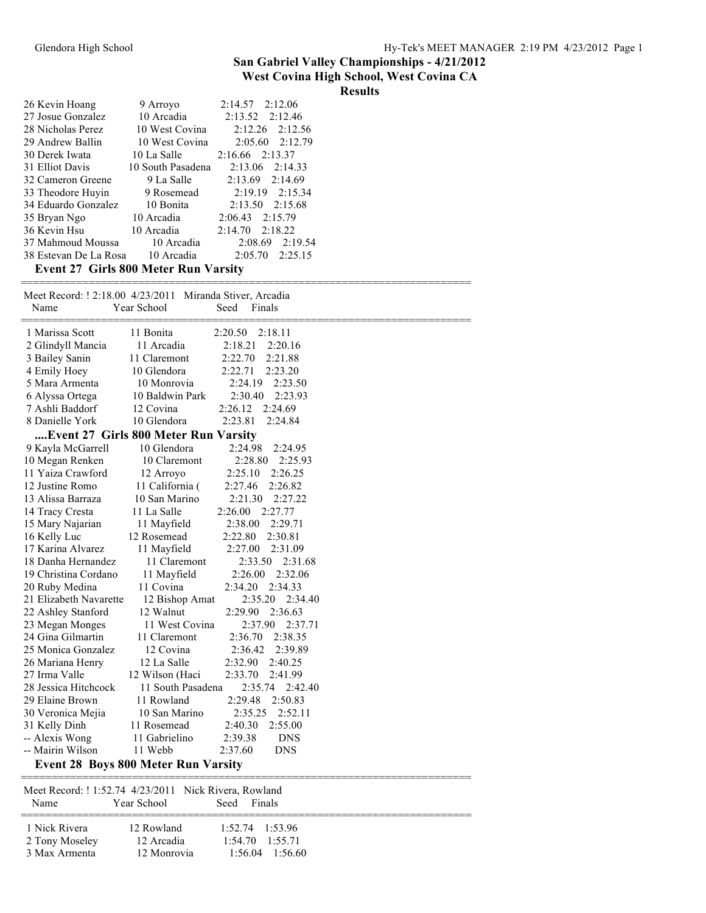#### **Results**

| 26 Kevin Hoang                              | 9 Arroyo          | $2:14.57$ $2:12.06$     |  |  |
|---------------------------------------------|-------------------|-------------------------|--|--|
| 27 Josue Gonzalez                           | 10 Arcadia        | $2:13.52 \quad 2:12.46$ |  |  |
| 28 Nicholas Perez                           | 10 West Covina    | $2:12.26$ $2:12.56$     |  |  |
| 29 Andrew Ballin                            | 10 West Covina    | 2:05.60 2:12.79         |  |  |
| 30 Derek Iwata                              | 10 La Salle       | $2:16.66$ $2:13.37$     |  |  |
| 31 Elliot Davis                             | 10 South Pasadena | $2:13.06$ $2:14.33$     |  |  |
| 32 Cameron Greene                           | 9 La Salle        | $2:13.69$ $2:14.69$     |  |  |
| 33 Theodore Huyin                           | 9 Rosemead        | $2:19.19$ $2:15.34$     |  |  |
| 34 Eduardo Gonzalez                         | 10 Bonita         | $2:13.50$ $2:15.68$     |  |  |
| 35 Bryan Ngo                                | 10 Arcadia        | 2:06.43 2:15.79         |  |  |
| 36 Kevin Hsu                                | 10 Arcadia        | $2:14.70$ $2:18.22$     |  |  |
| 37 Mahmoud Moussa                           | 10 Arcadia        | 2:08.69 2:19.54         |  |  |
| 38 Estevan De La Rosa 10 Arcadia            |                   | $2:05.70$ $2:25.15$     |  |  |
| <b>Event 27 Girls 800 Meter Run Varsity</b> |                   |                         |  |  |

| Name                   | Meet Record: ! 2:18.00 4/23/2011 Miranda Stiver, Arcadia<br>Year School<br>Seed<br>Finals |
|------------------------|-------------------------------------------------------------------------------------------|
|                        |                                                                                           |
| 1 Marissa Scott        | 2:18.11<br>11 Bonita<br>2:20.50                                                           |
| 2 Glindyll Mancia      | 11 Arcadia<br>2:18.21<br>2:20.16                                                          |
| 3 Bailey Sanin         | 2:22.70<br>2:21.88<br>11 Claremont                                                        |
| 4 Emily Hoey           | 10 Glendora<br>2:22.71<br>2:23.20                                                         |
| 5 Mara Armenta         | 2:24.19<br>10 Monrovia<br>2:23.50                                                         |
| 6 Alyssa Ortega        | 2:23.93<br>10 Baldwin Park<br>2:30.40                                                     |
| 7 Ashli Baddorf        | 2:26.12<br>2:24.69<br>12 Covina                                                           |
| 8 Danielle York        | 10 Glendora<br>2:23.81<br>2:24.84                                                         |
|                        | Event 27 Girls 800 Meter Run Varsity                                                      |
| 9 Kayla McGarrell      | 10 Glendora<br>2:24.98<br>2:24.95                                                         |
| 10 Megan Renken        | 10 Claremont<br>2:28.80<br>2:25.93                                                        |
| 11 Yaiza Crawford      | 2:25.10<br>2:26.25<br>12 Arroyo                                                           |
| 12 Justine Romo        | 2:26.82<br>11 California (<br>2:27.46                                                     |
| 13 Alissa Barraza      | 10 San Marino<br>2:21.30<br>2:27.22                                                       |
| 14 Tracy Cresta        | 11 La Salle<br>2:26.00<br>2:27.77                                                         |
| 15 Mary Najarian       | 11 Mayfield<br>2:38.00<br>2:29.71                                                         |
| 16 Kelly Luc           | 12 Rosemead<br>2:22.80<br>2:30.81                                                         |
| 17 Karina Alvarez      | 11 Mayfield<br>2:27.00<br>2:31.09                                                         |
| 18 Danha Hernandez     | 11 Claremont<br>2:33.50<br>2:31.68                                                        |
| 19 Christina Cordano   | 11 Mayfield<br>2:32.06<br>2:26.00                                                         |
| 20 Ruby Medina         | 2:34.33<br>11 Covina<br>2:34.20                                                           |
| 21 Elizabeth Navarette | 2:35.20<br>2:34.40<br>12 Bishop Amat                                                      |
| 22 Ashley Stanford     | 12 Walnut<br>2:29.90<br>2:36.63                                                           |
| 23 Megan Monges        | 2:37.90<br>2:37.71<br>11 West Covina                                                      |
| 24 Gina Gilmartin      | 2:36.70<br>2:38.35<br>11 Claremont                                                        |
| 25 Monica Gonzalez     | 12 Covina<br>2:36.42<br>2:39.89                                                           |
| 26 Mariana Henry       | 12 La Salle<br>2:32.90<br>2:40.25                                                         |
| 27 Irma Valle          | 2:33.70<br>12 Wilson (Haci<br>2:41.99                                                     |
| 28 Jessica Hitchcock   | 11 South Pasadena<br>2:35.74<br>2:42.40                                                   |
| 29 Elaine Brown        | 11 Rowland<br>2:29.48<br>2:50.83                                                          |
| 30 Veronica Mejia      | 2:52.11<br>10 San Marino<br>2:35.25                                                       |
| 31 Kelly Dinh          | 2:40.30<br>2:55.00<br>11 Rosemead                                                         |
| -- Alexis Wong         | 11 Gabrielino<br>2:39.38<br><b>DNS</b>                                                    |
| -- Mairin Wilson       | 11 Webb<br>2:37.60<br><b>DNS</b>                                                          |
|                        | <b>Event 28 Boys 800 Meter Run Varsity</b>                                                |

| <b>Name</b>                                      | Year School                             | Meet Record: ! 1:52.74 4/23/2011 Nick Rivera, Rowland<br>Seed<br>Finals |
|--------------------------------------------------|-----------------------------------------|-------------------------------------------------------------------------|
| 1 Nick Rivera<br>2 Tony Moseley<br>3 Max Armenta | 12 Rowland<br>12 Arcadia<br>12 Monrovia | $1.52.74$ $1.53.96$<br>$1:54$ 70 $1:55$ 71<br>1.5604<br>1.5660          |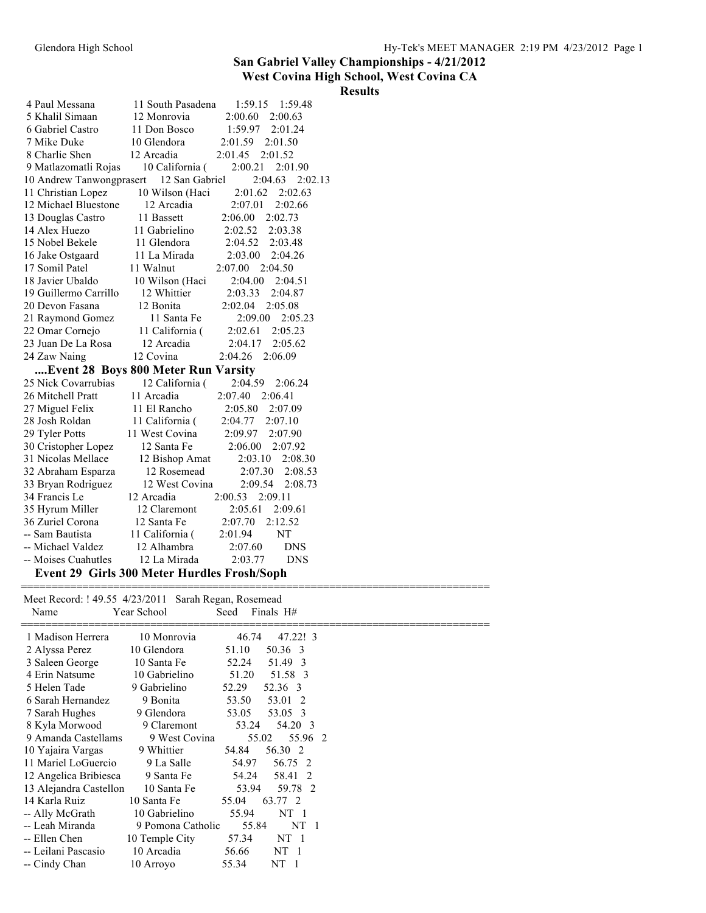#### **West Covina High School, West Covina CA**

### **Results**

| 4 Paul Messana                              | 11 South Pasadena | 1:59.15<br>1:59.48    |
|---------------------------------------------|-------------------|-----------------------|
| 5 Khalil Simaan                             | 12 Monrovia       | 2:00.60<br>2:00.63    |
| 6 Gabriel Castro                            | 11 Don Bosco      | 1:59.97<br>2:01.24    |
| 7 Mike Duke                                 | 10 Glendora       | 2:01.59<br>2:01.50    |
| 8 Charlie Shen                              | 12 Arcadia        | 2:01.45<br>2:01.52    |
| 9 Matlazomatli Rojas                        | 10 California (   | 2:00.21<br>2:01.90    |
| 10 Andrew Tanwongprasert                    | 12 San Gabriel    | $2:04.63$ $2:02.13$   |
| 11 Christian Lopez                          | 10 Wilson (Haci   | 2:01.62<br>2:02.63    |
| 12 Michael Bluestone                        | 12 Arcadia        | 2:07.01<br>2:02.66    |
| 13 Douglas Castro                           | 11 Bassett        | 2:06.00<br>2:02.73    |
| 14 Alex Huezo                               | 11 Gabrielino     | 2:02.52<br>2:03.38    |
| 15 Nobel Bekele                             | 11 Glendora       | 2:04.52<br>2:03.48    |
| 16 Jake Ostgaard                            | 11 La Mirada      | 2:03.00<br>2:04.26    |
| 17 Somil Patel                              | 11 Walnut         | 2:07.00<br>2:04.50    |
| 18 Javier Ubaldo                            | 10 Wilson (Haci   | 2:04.00<br>2:04.51    |
| 19 Guillermo Carrillo                       | 12 Whittier       | 2:03.33<br>2:04.87    |
| 20 Devon Fasana                             | 12 Bonita         | 2:02.04<br>2:05.08    |
| 21 Raymond Gomez                            | 11 Santa Fe       | 2:09.00<br>2:05.23    |
| 22 Omar Cornejo                             | 11 California (   | 2:02.61<br>2:05.23    |
| 23 Juan De La Rosa                          | 12 Arcadia        | 2:04.17<br>2:05.62    |
| 24 Zaw Naing                                | 12 Covina         | 2:04.26<br>2:06.09    |
| Event 28 Boys 800 Meter Run Varsity         |                   |                       |
| 25 Nick Covarrubias                         | 12 California (   | 2:04.59<br>2:06.24    |
| 26 Mitchell Pratt                           | 11 Arcadia        | 2:07.40<br>2:06.41    |
| 27 Miguel Felix                             | 11 El Rancho      | 2:05.80<br>2:07.09    |
| 28 Josh Roldan                              | 11 California (   | 2:04.77 2:07.10       |
| 29 Tyler Potts                              | 11 West Covina    | 2:09.97<br>2:07.90    |
| 30 Cristopher Lopez                         | 12 Santa Fe       | 2:06.00<br>2:07.92    |
| 31 Nicolas Mellace                          | 12 Bishop Amat    | 2:03.10<br>2:08.30    |
| 32 Abraham Esparza                          | 12 Rosemead       | 2:07.30<br>2:08.53    |
| 33 Bryan Rodriguez                          | 12 West Covina    | 2:09.54<br>2:08.73    |
| 34 Francis Le                               | 12 Arcadia        | 2:09.11<br>2:00.53    |
| 35 Hyrum Miller                             | 12 Claremont      | 2:05.61<br>2:09.61    |
| 36 Zuriel Corona                            | 12 Santa Fe       | 2:07.70<br>2:12.52    |
| -- Sam Bautista                             | 11 California (   | 2:01.94<br>NT         |
| -- Michael Valdez                           | 12 Alhambra       | 2:07.60<br><b>DNS</b> |
| -- Moises Cuahutles                         | 12 La Mirada      | 2:03.77<br><b>DNS</b> |
| Event 29 Girls 300 Meter Hurdles Frosh/Soph |                   |                       |

| Meet Record: ! 49.55 4/23/2011 Sarah Regan, Rosemead<br>Name | Year School       | Finals H#<br>Seed        |  |
|--------------------------------------------------------------|-------------------|--------------------------|--|
| 1 Madison Herrera                                            | 10 Monrovia       | 46.74<br>47.22! 3        |  |
| 2 Alyssa Perez                                               | 10 Glendora       | 51.10<br>50.36 3         |  |
| 3 Saleen George                                              | 10 Santa Fe       | 51.49 3<br>52.24         |  |
| 4 Erin Natsume                                               | 10 Gabrielino     | 51.20<br>51.58 3         |  |
| 5 Helen Tade                                                 | 9 Gabrielino      | 52.29<br>52.36 3         |  |
| 6 Sarah Hernandez                                            | 9 Bonita          | 53.50<br>53.01 2         |  |
| 7 Sarah Hughes                                               | 9 Glendora        | 53.05<br>53.05 3         |  |
| 8 Kyla Morwood                                               | 9 Claremont       | 54.20 3<br>53.24         |  |
| 9 Amanda Castellams                                          | 9 West Covina     | 55.02<br>55.96 2         |  |
| 10 Yajaira Vargas                                            | 9 Whittier        | 56.30 2<br>54.84         |  |
| 11 Mariel LoGuercio                                          | 9 La Salle        | 54.97<br>56.75 2         |  |
| 12 Angelica Bribiesca                                        | 9 Santa Fe        | 58.41 2<br>54.24         |  |
| 13 Alejandra Castellon                                       | 10 Santa Fe       | 53.94<br>59.78 2         |  |
| 14 Karla Ruiz                                                | 10 Santa Fe       | 55.04<br>63.77 2         |  |
| -- Ally McGrath                                              | 10 Gabrielino     | 55.94<br>NT <sub>1</sub> |  |
| -- Leah Miranda                                              | 9 Pomona Catholic | 55.84<br>NT <sub>1</sub> |  |
| -- Ellen Chen                                                | 10 Temple City    | NT <sub>1</sub><br>57.34 |  |
| -- Leilani Pascasio                                          | 10 Arcadia        | 56.66<br>NT <sub>1</sub> |  |
| -- Cindy Chan                                                | 10 Arroyo         | NT <sub>1</sub><br>55.34 |  |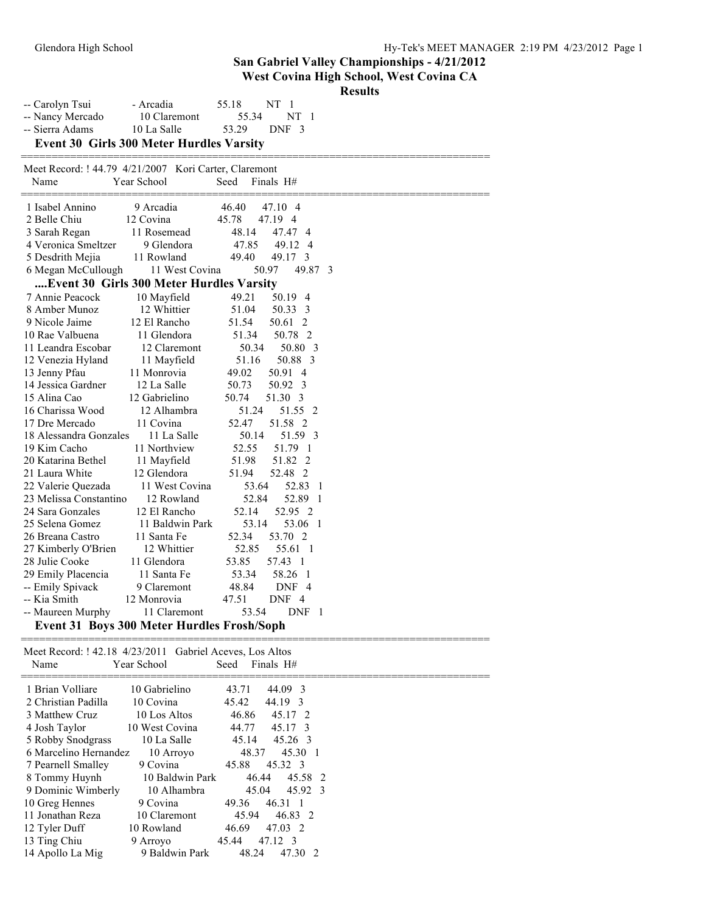| Glendora High School                                     |                                                   |                                                                                   | Hy-Tek's MEET MANA<br>San Gabriel Valley Championships - 4/21/2012<br>West Covina High School, West Covina CA<br><b>Results</b> |
|----------------------------------------------------------|---------------------------------------------------|-----------------------------------------------------------------------------------|---------------------------------------------------------------------------------------------------------------------------------|
| -- Carolyn Tsui<br>-- Nancy Mercado<br>-- Sierra Adams   | - Arcadia<br>10 Claremont<br>10 La Salle          | NT <sub>1</sub><br>55.18<br>NT <sub>1</sub><br>55.34<br>53.29<br>DNF <sub>3</sub> |                                                                                                                                 |
|                                                          | <b>Event 30 Girls 300 Meter Hurdles Varsity</b>   |                                                                                   |                                                                                                                                 |
| Meet Record: ! 44.79 4/21/2007 Kori Carter, Claremont    |                                                   |                                                                                   |                                                                                                                                 |
| Name                                                     | Year School                                       | Seed<br>Finals H#                                                                 |                                                                                                                                 |
| 1 Isabel Annino                                          | 9 Arcadia                                         | 46.40<br>47.10 4                                                                  |                                                                                                                                 |
| 2 Belle Chiu                                             | 12 Covina                                         | 45.78<br>47.19 4                                                                  |                                                                                                                                 |
| 3 Sarah Regan                                            | 11 Rosemead                                       | 48.14<br>47.47 4                                                                  |                                                                                                                                 |
| 4 Veronica Smeltzer                                      | 9 Glendora                                        | 47.85<br>49.12 4                                                                  |                                                                                                                                 |
| 5 Desdrith Mejia                                         | 11 Rowland                                        | 49.40<br>49.17 3                                                                  |                                                                                                                                 |
| 6 Megan McCullough                                       | 11 West Covina                                    | 49.87 3<br>50.97                                                                  |                                                                                                                                 |
|                                                          | Event 30 Girls 300 Meter Hurdles Varsity          |                                                                                   |                                                                                                                                 |
| 7 Annie Peacock                                          | 10 Mayfield                                       | 49.21<br>50.19 4                                                                  |                                                                                                                                 |
| 8 Amber Munoz                                            | 12 Whittier                                       | 51.04<br>50.33 3                                                                  |                                                                                                                                 |
| 9 Nicole Jaime                                           | 12 El Rancho                                      | 51.54<br>50.61 2                                                                  |                                                                                                                                 |
| 10 Rae Valbuena                                          | 11 Glendora                                       | 50.78 2<br>51.34                                                                  |                                                                                                                                 |
| 11 Leandra Escobar                                       | 12 Claremont                                      | 50.80 3<br>50.34                                                                  |                                                                                                                                 |
| 12 Venezia Hyland                                        | 11 Mayfield                                       | 50.88 3<br>51.16                                                                  |                                                                                                                                 |
| 13 Jenny Pfau                                            | 11 Monrovia                                       | 49.02<br>50.91 4                                                                  |                                                                                                                                 |
| 14 Jessica Gardner                                       | 12 La Salle                                       | 50.73<br>50.92 3                                                                  |                                                                                                                                 |
| 15 Alina Cao                                             | 12 Gabrielino                                     | 50.74<br>51.30 3                                                                  |                                                                                                                                 |
| 16 Charissa Wood                                         | 12 Alhambra                                       | 51.55 2<br>51.24                                                                  |                                                                                                                                 |
| 17 Dre Mercado                                           | 11 Covina                                         | 51.58 2<br>52.47                                                                  |                                                                                                                                 |
| 18 Alessandra Gonzales                                   | 11 La Salle                                       | 50.14<br>51.59 3                                                                  |                                                                                                                                 |
| 19 Kim Cacho                                             | 11 Northview                                      | 52.55<br>51.79 1                                                                  |                                                                                                                                 |
| 20 Katarina Bethel                                       | 11 Mayfield                                       | 51.98<br>51.82 2                                                                  |                                                                                                                                 |
| 21 Laura White                                           | 12 Glendora                                       | 51.94<br>52.48 2                                                                  |                                                                                                                                 |
| 22 Valerie Quezada                                       | 11 West Covina                                    | 53.64<br>52.83 1                                                                  |                                                                                                                                 |
| 23 Melissa Constantino                                   | 12 Rowland                                        | 52.84<br>52.89 1                                                                  |                                                                                                                                 |
| 24 Sara Gonzales                                         | 12 El Rancho                                      | 52.14<br>52.95 2                                                                  |                                                                                                                                 |
| 25 Selena Gomez                                          | 11 Baldwin Park                                   | 53.14<br>53.06 1                                                                  |                                                                                                                                 |
| 26 Breana Castro                                         | 11 Santa Fe                                       | 52.34<br>53.70 2                                                                  |                                                                                                                                 |
| 27 Kimberly O'Brien                                      | 12 Whittier                                       | 52.85<br>55.61 1                                                                  |                                                                                                                                 |
| 28 Julie Cooke                                           | 11 Glendora                                       | 53.85<br>57.43 1                                                                  |                                                                                                                                 |
| 29 Emily Placencia                                       | 11 Santa Fe                                       | 53.34<br>58.26 1                                                                  |                                                                                                                                 |
| -- Emily Spivack                                         | 9 Claremont                                       | 48.84<br>DNF 4                                                                    |                                                                                                                                 |
| -- Kia Smith                                             | 12 Monrovia                                       | 47.51<br>DNF 4                                                                    |                                                                                                                                 |
| -- Maureen Murphy                                        | 11 Claremont                                      | 53.54<br>DNF 1                                                                    |                                                                                                                                 |
|                                                          | <b>Event 31 Boys 300 Meter Hurdles Frosh/Soph</b> |                                                                                   |                                                                                                                                 |
| Meet Record: ! 42.18 4/23/2011 Gabriel Aceves, Los Altos |                                                   |                                                                                   |                                                                                                                                 |
|                                                          |                                                   |                                                                                   |                                                                                                                                 |

| TVAIIIU               | T cal deliver   | occu  | $1$ illiais $11\pi$ |
|-----------------------|-----------------|-------|---------------------|
| 1 Brian Volliare      | 10 Gabrielino   | 43.71 | 44.09 3             |
| 2 Christian Padilla   | 10 Covina       | 45.42 | 44.19 3             |
| 3 Matthew Cruz        | 10 Los Altos    | 46.86 | 45.17 2             |
| 4 Josh Taylor         | 10 West Covina  | 44.77 | 45.17 3             |
| 5 Robby Snodgrass     | 10 La Salle     | 45.14 | 45.26 3             |
| 6 Marcelino Hernandez | 10 Arroyo       | 48.37 | 45.30 1             |
| 7 Pearnell Smalley    | 9 Covina        | 45.88 | 45.32 3             |
| 8 Tommy Huynh         | 10 Baldwin Park | 46.44 | 45.58 2             |
| 9 Dominic Wimberly    | 10 Alhambra     | 45.04 | 45.92 3             |
| 10 Greg Hennes        | 9 Covina        | 49.36 | 46.31 1             |
| 11 Jonathan Reza      | 10 Claremont    | 45.94 | 46.83 2             |
| 12 Tyler Duff         | 10 Rowland      | 46.69 | 47.03 2             |
| 13 Ting Chiu          | 9 Arroyo        | 45.44 | 47.12 3             |
| 14 Apollo La Mig      | 9 Baldwin Park  | 48.24 | 47.30 2             |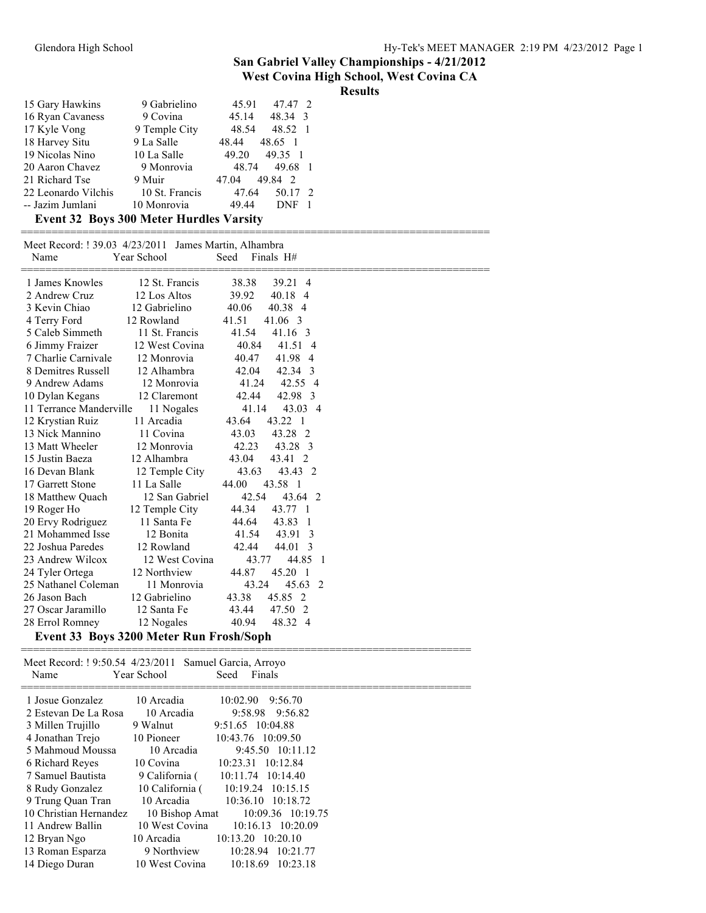**West Covina High School, West Covina CA Results**

| 15 Gary Hawkins     | 9 Gabrielino   | 47.47 2<br>45.91                 |
|---------------------|----------------|----------------------------------|
| 16 Ryan Cavaness    | 9 Covina       | 48.34 3<br>45.14                 |
| 17 Kyle Vong        | 9 Temple City  | 48.52<br>48.54                   |
| 18 Harvey Situ      | 9 La Salle     | 48.65 1<br>48.44                 |
| 19 Nicolas Nino     | 10 La Salle    | 49.35 1<br>49.20                 |
| 20 Aaron Chavez     | 9 Monrovia     | 49.68<br>48.74                   |
| 21 Richard Tse      | 9 Muir         | 49.84<br>$\overline{2}$<br>47.04 |
| 22 Leonardo Vilchis | 10 St. Francis | 50.17<br>47.64<br>-2             |
| -- Jazim Jumlani    | 10 Monrovia    | 49.44<br>DNF                     |

### **Event 32 Boys 300 Meter Hurdles Varsity**

| Meet Record: ! 39.03 4/23/2011 James Martin, Alhambra<br>Name | Year School                             | Seed<br>Finals H#     |  |
|---------------------------------------------------------------|-----------------------------------------|-----------------------|--|
| 1 James Knowles                                               | 12 St. Francis                          | 38.38<br>39.21 4      |  |
| 2 Andrew Cruz                                                 | 12 Los Altos                            | 39.92<br>40.18 4      |  |
| 3 Kevin Chiao                                                 | 12 Gabrielino                           | 40.06<br>40.38 4      |  |
| 4 Terry Ford                                                  | 12 Rowland                              | 41.51<br>41.06 3      |  |
| 5 Caleb Simmeth                                               | 11 St. Francis                          | 41.54<br>41.16 3      |  |
| 6 Jimmy Fraizer                                               | 12 West Covina                          | 40.84<br>41.51 4      |  |
| 7 Charlie Carnivale                                           | 12 Monrovia                             | 40.47<br>41.98 4      |  |
| 8 Demitres Russell                                            | 12 Alhambra                             | 42.04<br>42.34 3      |  |
| 9 Andrew Adams                                                | 12 Monrovia                             | 42.55 4<br>41.24      |  |
| 10 Dylan Kegans                                               | 12 Claremont                            | 42.98 3<br>42.44      |  |
| 11 Terrance Manderville                                       | 11 Nogales                              | 43.03 4<br>41.14      |  |
| 12 Krystian Ruiz                                              | 11 Arcadia                              | 43.22 1<br>43.64      |  |
| 13 Nick Mannino                                               | 11 Covina                               | 43.03<br>43.28 2      |  |
| 13 Matt Wheeler                                               | 12 Monrovia                             | 42.23<br>43.28 3      |  |
| 15 Justin Baeza                                               | 12 Alhambra                             | 43.04<br>43.41 2      |  |
| 16 Devan Blank                                                | 12 Temple City                          | 43.63<br>43.43 2      |  |
| 17 Garrett Stone                                              | 11 La Salle                             | 44.00<br>43.58 1      |  |
| 18 Matthew Quach                                              | 12 San Gabriel                          | 42.54<br>43.64 2      |  |
| 19 Roger Ho                                                   | 12 Temple City                          | 44.34<br>43.77 1      |  |
| 20 Ervy Rodriguez                                             | 11 Santa Fe                             | 44.64<br>43.83 1      |  |
| 21 Mohammed Isse                                              | 12 Bonita                               | 41.54<br>43.91 3      |  |
| 22 Joshua Paredes                                             | 12 Rowland                              | 42.44<br>44.01<br>- 3 |  |
| 23 Andrew Wilcox                                              | 12 West Covina                          | 43.77<br>44.85 1      |  |
| 24 Tyler Ortega                                               | 12 Northview                            | 44.87<br>45.20 1      |  |
| 25 Nathanel Coleman                                           | 11 Monrovia                             | 43.24<br>45.63 2      |  |
| 26 Jason Bach                                                 | 12 Gabrielino                           | 43.38<br>45.85 2      |  |
| 27 Oscar Jaramillo                                            | 12 Santa Fe                             | 43.44<br>47.50 2      |  |
| 28 Errol Romney                                               | 12 Nogales                              | 40.94<br>48.32 4      |  |
|                                                               | Event 33 Boys 3200 Meter Run Frosh/Soph |                       |  |

| Meet Record: ! 9:50.54 4/23/2011 Samuel Garcia, Arroyo<br>Name | Year School     | Seed<br>Finals        |
|----------------------------------------------------------------|-----------------|-----------------------|
| 1 Josue Gonzalez                                               | 10 Arcadia      | 10:02.90<br>9:56.70   |
| 2 Estevan De La Rosa                                           | 10 Arcadia      | 9:58.98 9:56.82       |
| 3 Millen Trujillo                                              | 9 Walnut        | 9:51.65 10:04.88      |
| 4 Jonathan Trejo                                               | 10 Pioneer      | 10:43.76 10:09.50     |
| 5 Mahmoud Moussa                                               | 10 Arcadia      | 9:45.50 10:11.12      |
| 6 Richard Reyes                                                | 10 Covina       | 10:23.31 10:12.84     |
| 7 Samuel Bautista                                              | 9 California (  | 10:11.74 10:14.40     |
| 8 Rudy Gonzalez                                                | 10 California ( | 10:19.24 10:15.15     |
| 9 Trung Quan Tran                                              | 10 Arcadia      | 10:36.10 10:18.72     |
| 10 Christian Hernandez                                         | 10 Bishop Amat  | 10:09.36 10:19.75     |
| 11 Andrew Ballin                                               | 10 West Covina  | 10:16.13 10:20.09     |
| 12 Bryan Ngo                                                   | 10 Arcadia      | $10:13.20$ $10:20.10$ |
| 13 Roman Esparza                                               | 9 Northview     | 10:28.94<br>10:21.77  |
| 14 Diego Duran                                                 | 10 West Covina  | 10:18.69<br>10:23.18  |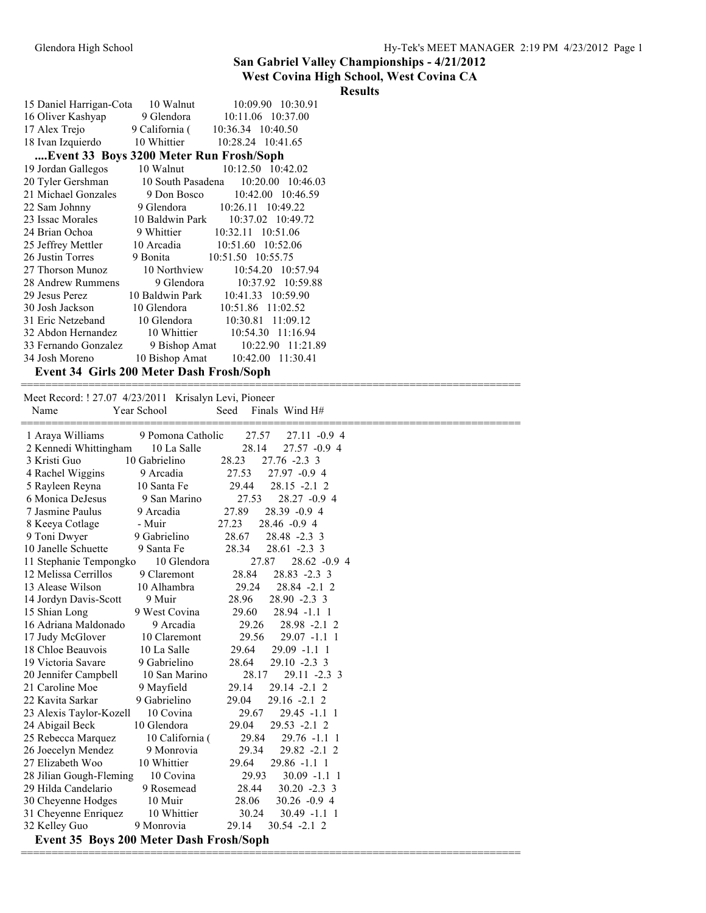#### **West Covina High School, West Covina CA**

### **Results**

| 15 Daniel Harrigan-Cota 10 Walnut                                                             |              | 10:09.90 10:30.91                                    |  |  |
|-----------------------------------------------------------------------------------------------|--------------|------------------------------------------------------|--|--|
| 16 Oliver Kashyap 9 Glendora 10:11.06 10:37.<br>17 Alex Trejo 9 California (10:36.34 10:40.50 |              | 9 Glendora 10:11.06 10:37.00                         |  |  |
|                                                                                               |              |                                                      |  |  |
| 18 Ivan Izquierdo 10 Whittier 10:28.24 10:41.65                                               |              |                                                      |  |  |
| Event 33 Boys 3200 Meter Run Frosh/Soph                                                       |              |                                                      |  |  |
| 19 Jordan Gallegos                                                                            |              | 10 Walnut 10:12.50 10:42.02                          |  |  |
| 20 Tyler Gershman                                                                             |              | 10 South Pasadena 10:20.00 10:46.03                  |  |  |
|                                                                                               |              | 21 Michael Gonzales 9 Don Bosco 10:42.00 10:46.59    |  |  |
| 22 Sam Johnny 9 Glendora 10:26.11 10:49.22                                                    |              |                                                      |  |  |
| 23 Issac Morales 10 Baldwin Park 10:37.02 10:49.72                                            |              |                                                      |  |  |
| 24 Brian Ochoa 9 Whittier 10:32.11 10:51.06                                                   |              |                                                      |  |  |
| 25 Jeffrey Mettler 10 Arcadia 10:51.60 10:52.06                                               |              |                                                      |  |  |
| 26 Justin Torres 9 Bonita 10:51.50 10:55.75                                                   |              |                                                      |  |  |
| 27 Thorson Munoz                                                                              | 10 Northview | 10:54.20 10:57.94                                    |  |  |
| 28 Andrew Rummens                                                                             | 9 Glendora   | 10:37.92 10:59.88                                    |  |  |
| 29 Jesus Perez 10 Baldwin Park 10:41.33 10:59.90                                              |              |                                                      |  |  |
| 30 Josh Jackson 10 Glendora 10:51.86 11:02.52                                                 |              |                                                      |  |  |
| 31 Eric Netzeband 10 Glendora 10:30.81 11:09.12                                               |              |                                                      |  |  |
|                                                                                               |              | 32 Abdon Hernandez 10 Whittier 10:54.30 11:16.94     |  |  |
|                                                                                               |              | 33 Fernando Gonzalez 9 Bishop Amat 10:22.90 11:21.89 |  |  |
|                                                                                               |              | 34 Josh Moreno 10 Bishop Amat 10:42.00 11:30.41      |  |  |
| Event 34 Girls 200 Meter Dash Frosh/Soph                                                      |              |                                                      |  |  |

=================================================================================

| Seed<br>Name<br>Year School<br>Finals Wind H#                           |
|-------------------------------------------------------------------------|
|                                                                         |
| 9 Pomona Catholic<br>27.57<br>27.11 -0.9 4<br>1 Araya Williams          |
| 10 La Salle<br>28.14<br>27.57 -0.9 4<br>2 Kennedi Whittingham           |
| 10 Gabrielino<br>3 Kristi Guo<br>28.23<br>$27.76 - 2.3$ 3               |
| 27.97 -0.9 4<br>4 Rachel Wiggins<br>9 Arcadia<br>27.53                  |
| 10 Santa Fe<br>29.44<br>$28.15 - 2.12$<br>5 Rayleen Reyna               |
| 6 Monica DeJesus<br>9 San Marino<br>27.53<br>28.27 -0.9 4               |
| 27.89<br>7 Jasmine Paulus<br>9 Arcadia<br>$28.39 -0.94$                 |
| 27.23<br>8 Keeya Cotlage<br>- Muir<br>$28.46 - 0.94$                    |
| 9 Gabrielino<br>28.67<br>9 Toni Dwyer<br>28.48 -2.3 3                   |
| 10 Janelle Schuette<br>9 Santa Fe<br>28.34<br>$28.61 - 2.3$ 3           |
| $28.62 -0.94$<br>11 Stephanie Tempongko<br>10 Glendora<br>27.87         |
| 28.84<br>12 Melissa Cerrillos<br>9 Claremont<br>28.83 -2.3 3            |
| 13 Alease Wilson<br>10 Alhambra<br>29.24<br>28.84 - 2.1 2               |
| 28.96<br>14 Jordyn Davis-Scott<br>9 Muir<br>$28.90 - 2.3$ 3             |
| 15 Shian Long<br>9 West Covina<br>29.60<br>$28.94 -1.1$ 1               |
| 16 Adriana Maldonado<br>9 Arcadia<br>29.26<br>28.98 -2.1 2              |
| 17 Judy McGlover<br>10 Claremont<br>29.56<br>$29.07 -1.1$ 1             |
| 10 La Salle<br>29.64<br>18 Chloe Beauvois<br>$29.09 -1.1$ 1             |
| 19 Victoria Savare<br>9 Gabrielino<br>28.64<br>$29.10 - 2.3$ 3          |
| 28.17<br>20 Jennifer Campbell<br>10 San Marino<br>29.11 -2.3 3          |
| 21 Caroline Moe<br>9 Mayfield<br>29.14<br>$29.14 - 2.12$                |
| 22 Kavita Sarkar<br>9 Gabrielino<br>29.04<br>$29.16 - 2.12$             |
| 10 Covina<br>23 Alexis Taylor-Kozell<br>29.67<br>$29.45 - 1.1$ 1        |
| 10 Glendora<br>29.04<br>24 Abigail Beck<br>$29.53 - 2.12$               |
| 25 Rebecca Marquez<br>10 California (<br>29.84<br>$29.76 - 1.1$ 1       |
| 26 Joecelyn Mendez<br>9 Monrovia<br>29.34<br>29.82 -2.1 2               |
| 27 Elizabeth Woo<br>10 Whittier<br>29.64<br>$29.86 -1.1$ 1              |
| 28 Jilian Gough-Fleming<br>10 Covina<br>29.93<br>$30.09 -1.1$ 1         |
| 29 Hilda Candelario<br>9 Rosemead<br>28.44<br>$30.20 -2.3$ 3            |
| 10 Muir<br>30 Cheyenne Hodges<br>28.06<br>$30.26 - 0.94$                |
| 31 Cheyenne Enriquez<br>10 Whittier<br>30.24<br>$30.49 -1.1$ 1<br>29.14 |
| 32 Kelley Guo<br>9 Monrovia<br>$30.54 -2.12$                            |
| Event 35 Boys 200 Meter Dash Frosh/Soph                                 |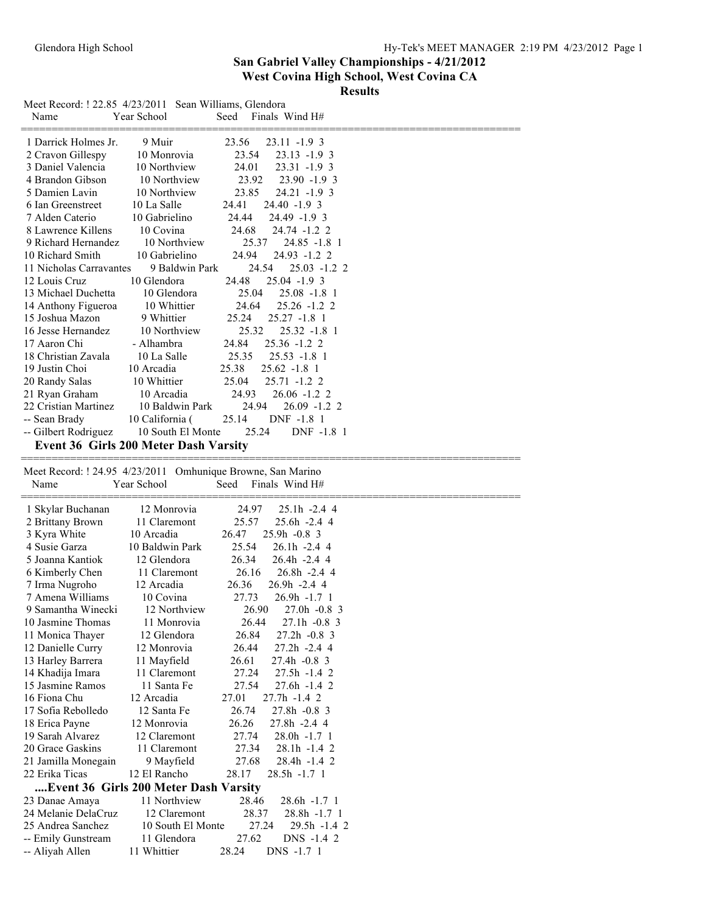**Results**

| Meet Record: ! 22.85 4/23/2011 Sean Williams, Glendora<br>Name | Year School                           | Seed Finals Wind H#                                         |
|----------------------------------------------------------------|---------------------------------------|-------------------------------------------------------------|
| 1 Darrick Holmes Jr.                                           | 9 Muir                                | 23.56<br>$23.11 - 1.9$ 3                                    |
| 2 Cravon Gillespy                                              | 10 Monrovia                           | 23.54<br>$23.13 - 1.9$ 3                                    |
| 3 Daniel Valencia                                              | 10 Northview                          | 24.01<br>23.31 -1.9 3                                       |
| 4 Brandon Gibson                                               | 10 Northview                          | $23.90 - 1.9$ 3<br>23.92                                    |
| 5 Damien Lavin                                                 | 10 Northview                          | 23.85<br>$24.21 - 1.9$ 3                                    |
| 6 Ian Greenstreet                                              | 10 La Salle                           | 24.41<br>$24.40 - 1.9$ 3                                    |
| 7 Alden Caterio                                                | 10 Gabrielino                         | 24.44<br>24.49 -1.9 3                                       |
| 8 Lawrence Killens                                             | 10 Covina                             | 24.68<br>24.74 -1.2 2                                       |
| 9 Richard Hernandez                                            | 10 Northview                          | 25.37<br>$24.85 - 1.8$ 1                                    |
| 10 Richard Smith                                               | 10 Gabrielino                         | 24.94<br>24.93 -1.2 2                                       |
| 11 Nicholas Carravantes<br>12 Louis Cruz                       | 9 Baldwin Park<br>10 Glendora         | 24.54<br>$25.03 - 1.2$ 2<br>24.48<br>25.04 -1.9 3           |
| 13 Michael Duchetta                                            | 10 Glendora                           | 25.04<br>$25.08 - 1.8$ 1                                    |
| 14 Anthony Figueroa                                            | 10 Whittier                           | 24.64<br>$25.26 - 1.2$ 2                                    |
| 15 Joshua Mazon                                                | 9 Whittier                            | 25.24<br>$25.27 - 1.8$ 1                                    |
| 16 Jesse Hernandez                                             | 10 Northview                          | 25.32<br>$25.32 - 1.8$ 1                                    |
| 17 Aaron Chi                                                   | - Alhambra                            | 24.84<br>$25.36 - 1.2$ 2                                    |
| 18 Christian Zavala                                            | 10 La Salle                           | 25.35<br>$25.53 - 1.8$ 1                                    |
| 19 Justin Choi                                                 | 10 Arcadia                            | 25.38<br>$25.62 -1.8$ 1                                     |
| 20 Randy Salas                                                 | 10 Whittier                           | 25.04<br>25.71 -1.2 2                                       |
| 21 Ryan Graham                                                 | 10 Arcadia                            | 24.93<br>$26.06 -1.2$ 2                                     |
| 22 Cristian Martinez                                           | 10 Baldwin Park                       | 24.94<br>$26.09 - 1.2$ 2                                    |
| -- Sean Brady                                                  | 10 California (                       | 25.14<br>DNF -1.8 1                                         |
| -- Gilbert Rodriguez                                           | 10 South El Monte                     | 25.24<br>DNF -1.8 1                                         |
|                                                                | Event 36 Girls 200 Meter Dash Varsity |                                                             |
|                                                                |                                       | Meet Record: ! 24.95 4/23/2011 Omhunique Browne, San Marino |
|                                                                |                                       |                                                             |
| Name                                                           | Year School                           | Finals Wind H#<br>Seed                                      |
|                                                                |                                       |                                                             |
| 1 Skylar Buchanan                                              | 12 Monrovia<br>11 Claremont           | 24.97<br>25.1h -2.4 4<br>25.57<br>$25.6h - 2.44$            |
| 2 Brittany Brown<br>3 Kyra White                               | 10 Arcadia                            | 26.47<br>$25.9h -0.8$ 3                                     |
| 4 Susie Garza                                                  | 10 Baldwin Park                       | 25.54<br>$26.1h - 2.44$                                     |
| 5 Joanna Kantiok                                               | 12 Glendora                           | 26.34<br>26.4h -2.4 4                                       |
| 6 Kimberly Chen                                                | 11 Claremont                          | 26.16<br>$26.8h - 2.44$                                     |
| 7 Irma Nugroho                                                 | 12 Arcadia                            | 26.36<br>$26.9h - 2.44$                                     |
| 7 Amena Williams                                               | 10 Covina                             | 27.73<br>$26.9h -1.71$                                      |
| 9 Samantha Winecki                                             | 12 Northview                          | 26.90<br>27.0h -0.8 3                                       |
| 10 Jasmine Thomas                                              | 11 Monrovia                           | 26.44<br>$27.1h -0.8$ 3                                     |
| 11 Monica Thayer                                               | 12 Glendora                           | 26.84<br>$27.2h -0.8$ 3                                     |
| 12 Danielle Curry                                              | 12 Monrovia                           | 26.44<br>$27.2h -2.44$                                      |
| 13 Harley Barrera                                              | 11 Mayfield                           | 26.61<br>27.4h -0.8 3                                       |
| 14 Khadija Imara                                               | 11 Claremont                          | 27.24<br>27.5h -1.4 2                                       |
| 15 Jasmine Ramos<br>16 Fiona Chu                               | 11 Santa Fe                           | 27.54<br>$27.6h - 1.42$                                     |
| 17 Sofia Rebolledo                                             | 12 Arcadia<br>12 Santa Fe             | 27.01<br>$27.7h - 1.42$                                     |
| 18 Erica Payne                                                 | 12 Monrovia                           | 26.74<br>$27.8h -0.8$ 3<br>26.26<br>$27.8h - 2.44$          |
| 19 Sarah Alvarez                                               | 12 Claremont                          | 27.74<br>$28.0h -1.71$                                      |
| 20 Grace Gaskins                                               | 11 Claremont                          | 27.34<br>$28.1h - 1.42$                                     |
| 21 Jamilla Monegain                                            | 9 Mayfield                            | 27.68<br>28.4h -1.4 2                                       |
| 22 Erika Ticas                                                 | 12 El Rancho                          | 28.17<br>28.5h -1.7 1                                       |
|                                                                | Event 36 Girls 200 Meter Dash Varsity |                                                             |
| 23 Danae Amaya                                                 | 11 Northview                          | 28.6h -1.7 1<br>28.46                                       |
| 24 Melanie DelaCruz                                            | 12 Claremont                          | 28.37<br>$28.8h - 1.71$                                     |
| 25 Andrea Sanchez                                              | 10 South El Monte                     | 27.24<br>29.5h -1.4 2                                       |
| -- Emily Gunstream<br>-- Aliyah Allen                          | 11 Glendora<br>11 Whittier            | 27.62<br>DNS -1.4 2<br>28.24<br>DNS -1.7 1                  |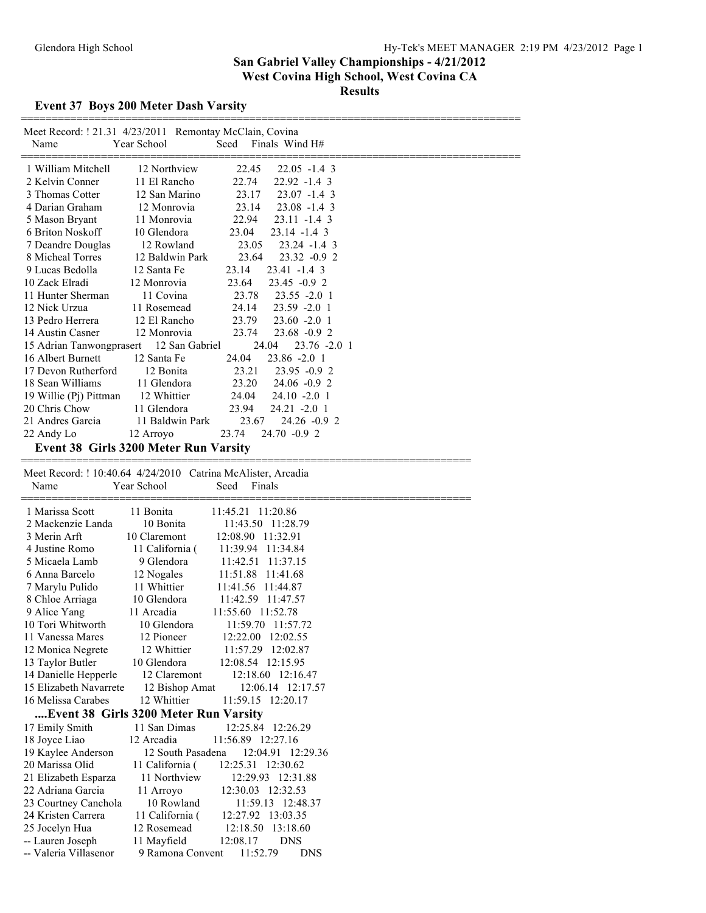### **Event 37 Boys 200 Meter Dash Varsity**

| Name                               | Meet Record: ! 21.31 4/23/2011 Remontay McClain, Covina<br>Year School<br>Finals Wind H#<br>Seed |  |
|------------------------------------|--------------------------------------------------------------------------------------------------|--|
| 1 William Mitchell                 | 12 Northview<br>22.45<br>$22.05 - 1.4$ 3                                                         |  |
| 2 Kelvin Conner                    | 11 El Rancho<br>22.74<br>22.92 -1.4 3                                                            |  |
| 3 Thomas Cotter                    | 23.17<br>12 San Marino<br>$23.07 -1.4$ 3                                                         |  |
| 4 Darian Graham                    | 23.14<br>12 Monrovia<br>$23.08 - 1.4$ 3                                                          |  |
| 5 Mason Bryant                     | 11 Monrovia<br>22.94<br>$23.11 - 1.4$ 3                                                          |  |
| 6 Briton Noskoff                   | 10 Glendora<br>23.04<br>$23.14 - 1.4$ 3                                                          |  |
| 7 Deandre Douglas                  | 12 Rowland<br>23.05<br>23.24 -1.4 3                                                              |  |
| 8 Micheal Torres                   | 12 Baldwin Park<br>23.64<br>$23.32 -0.92$                                                        |  |
| 9 Lucas Bedolla                    | 12 Santa Fe<br>23.14<br>$23.41 - 1.4$ 3                                                          |  |
| 10 Zack Elradi                     | 23.64<br>12 Monrovia<br>$23.45 -0.92$                                                            |  |
| 11 Hunter Sherman                  | 11 Covina<br>23.78<br>$23.55 - 2.0$ 1                                                            |  |
| 12 Nick Urzua                      | 11 Rosemead<br>24.14<br>$23.59 - 2.01$                                                           |  |
| 13 Pedro Herrera                   | 12 El Rancho<br>23.79<br>23.60 -2.0 1                                                            |  |
| 14 Austin Casner                   | 12 Monrovia<br>23.74<br>23.68 -0.9 2                                                             |  |
| 15 Adrian Tanwongprasert           | 12 San Gabriel<br>24.04<br>23.76 -2.0 1                                                          |  |
| 16 Albert Burnett                  | 12 Santa Fe<br>23.86 -2.0 1<br>24.04                                                             |  |
| 17 Devon Rutherford                | 12 Bonita<br>23.21<br>23.95 -0.9 2                                                               |  |
| 18 Sean Williams                   | 11 Glendora<br>23.20<br>$24.06 - 0.92$                                                           |  |
| 19 Willie (Pj) Pittman             | 12 Whittier<br>24.04<br>$24.10 - 2.01$                                                           |  |
| 20 Chris Chow                      | 11 Glendora<br>23.94<br>24.21 -2.0 1                                                             |  |
| 21 Andres Garcia                   | 11 Baldwin Park<br>23.67<br>$24.26 - 0.92$                                                       |  |
| 22 Andy Lo                         | 23.74<br>12 Arroyo<br>24.70 -0.9 2                                                               |  |
|                                    | <b>Event 38 Girls 3200 Meter Run Varsity</b>                                                     |  |
| Name                               | Meet Record: ! 10:40.64 4/24/2010 Catrina McAlister, Arcadia<br>Year School<br>Seed<br>Finals    |  |
|                                    |                                                                                                  |  |
| 1 Marissa Scott                    | 11 Bonita<br>11:45.21<br>11:20.86                                                                |  |
| 2 Mackenzie Landa                  | 10 Bonita<br>11:43.50 11:28.79                                                                   |  |
| 3 Merin Arft                       | 10 Claremont<br>12:08.90 11:32.91                                                                |  |
| 4 Justine Romo                     | 11 California (<br>11:39.94 11:34.84                                                             |  |
| 5 Micaela Lamb                     | 9 Glendora<br>11:42.51<br>11:37.15                                                               |  |
| 6 Anna Barcelo                     | 12 Nogales<br>11:51.88 11:41.68                                                                  |  |
| 7 Marylu Pulido                    | 11 Whittier<br>11:41.56 11:44.87                                                                 |  |
| 8 Chloe Arriaga                    | 10 Glendora<br>11:42.59 11:47.57                                                                 |  |
| 9 Alice Yang                       | 11 Arcadia<br>11:55.60 11:52.78                                                                  |  |
| 10 Tori Whitworth                  | 10 Glendora<br>11:59.70 11:57.72                                                                 |  |
| 11 Vanessa Mares                   | 12 Pioneer<br>12:22.00 12:02.55                                                                  |  |
| 12 Monica Negrete                  | 12 Whittier<br>11:57.29 12:02.87                                                                 |  |
| 13 Taylor Butler                   | 10 Glendora<br>12:08.54 12:15.95                                                                 |  |
| 14 Danielle Hepperle               | 12 Claremont<br>12:18.60 12:16.47                                                                |  |
| 15 Elizabeth Navarrete             | 12 Bishop Amat<br>12:06.14 12:17.57                                                              |  |
| 16 Melissa Carabes                 | 11:59.15 12:20.17<br>12 Whittier                                                                 |  |
|                                    | Event 38 Girls 3200 Meter Run Varsity                                                            |  |
| 17 Emily Smith                     | 11 San Dimas<br>12:25.84 12:26.29                                                                |  |
| 18 Joyce Liao                      | 12 Arcadia<br>11:56.89 12:27.16                                                                  |  |
| 19 Kaylee Anderson                 | 12 South Pasadena<br>12:04.91 12:29.36                                                           |  |
| 20 Marissa Olid                    | 11 California (<br>12:25.31 12:30.62                                                             |  |
| 21 Elizabeth Esparza               | 11 Northview<br>12:29.93 12:31.88                                                                |  |
| 22 Adriana Garcia                  | 12:30.03 12:32.53<br>11 Arroyo                                                                   |  |
| 23 Courtney Canchola               | 10 Rowland<br>11:59.13 12:48.37                                                                  |  |
| 24 Kristen Carrera                 | 11 California (<br>12:27.92 13:03.35                                                             |  |
| 25 Jocelyn Hua<br>-- Lauren Joseph | 12 Rosemead<br>12:18.50 13:18.60<br>11 Mayfield<br>12:08.17<br><b>DNS</b>                        |  |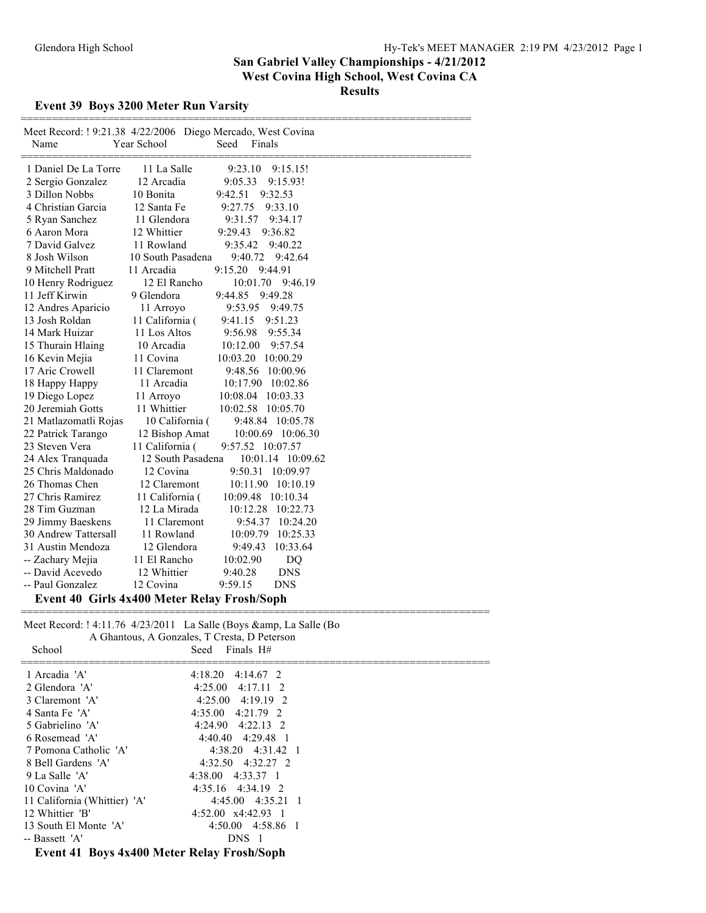### **Event 39 Boys 3200 Meter Run Varsity**

| Meet Record: ! 9:21.38 4/22/2006 Diego Mercado, West Covina<br>Name | Year School       | Seed<br>Finals        |  |
|---------------------------------------------------------------------|-------------------|-----------------------|--|
| 1 Daniel De La Torre                                                | 11 La Salle       | 9:23.10<br>9:15.15!   |  |
| 2 Sergio Gonzalez                                                   | 12 Arcadia        | 9:05.33<br>9:15.93!   |  |
| 3 Dillon Nobbs                                                      | 10 Bonita         | 9:42.51<br>9:32.53    |  |
| 4 Christian Garcia                                                  | 12 Santa Fe       | 9:27.75<br>9:33.10    |  |
| 5 Ryan Sanchez                                                      | 11 Glendora       | 9:34.17<br>9:31.57    |  |
| 6 Aaron Mora                                                        | 12 Whittier       | 9:29.43<br>9:36.82    |  |
| 7 David Galvez                                                      | 11 Rowland        | 9:35.42<br>9:40.22    |  |
| 8 Josh Wilson                                                       | 10 South Pasadena | 9:40.72<br>9:42.64    |  |
| 9 Mitchell Pratt                                                    | 11 Arcadia        | 9:15.20<br>9:44.91    |  |
| 10 Henry Rodriguez                                                  | 12 El Rancho      | 10:01.70 9:46.19      |  |
| 11 Jeff Kirwin                                                      | 9 Glendora        | 9:49.28<br>9:44.85    |  |
| 12 Andres Aparicio                                                  | 11 Arroyo         | 9:53.95<br>9:49.75    |  |
| 13 Josh Roldan                                                      | 11 California (   | 9:51.23<br>9:41.15    |  |
| 14 Mark Huizar                                                      | 11 Los Altos      | 9:56.98<br>9:55.34    |  |
| 15 Thurain Hlaing                                                   | 10 Arcadia        | 9:57.54<br>10:12.00   |  |
| 16 Kevin Mejia                                                      | 11 Covina         | 10:03.20<br>10:00.29  |  |
| 17 Aric Crowell                                                     | 11 Claremont      | 9:48.56<br>10:00.96   |  |
| 18 Happy Happy                                                      | 11 Arcadia        | 10:17.90<br>10:02.86  |  |
| 19 Diego Lopez                                                      | 11 Arroyo         | 10:08.04<br>10:03.33  |  |
| 20 Jeremiah Gotts                                                   | 11 Whittier       | 10:02.58<br>10:05.70  |  |
| 21 Matlazomatli Rojas                                               | 10 California (   | 9:48.84 10:05.78      |  |
| 22 Patrick Tarango                                                  | 12 Bishop Amat    | 10:00.69 10:06.30     |  |
| 23 Steven Vera                                                      | 11 California (   | 9:57.52 10:07.57      |  |
| 24 Alex Tranquada                                                   | 12 South Pasadena | 10:01.14 10:09.62     |  |
| 25 Chris Maldonado                                                  | 12 Covina         | 9:50.31<br>10:09.97   |  |
| 26 Thomas Chen                                                      | 12 Claremont      | 10:11.90 10:10.19     |  |
| 27 Chris Ramirez                                                    | 11 California (   | 10:09.48 10:10.34     |  |
| 28 Tim Guzman                                                       | 12 La Mirada      | 10:12.28<br>10:22.73  |  |
| 29 Jimmy Baeskens                                                   | 11 Claremont      | 9:54.37 10:24.20      |  |
| 30 Andrew Tattersall                                                | 11 Rowland        | 10:09.79 10:25.33     |  |
| 31 Austin Mendoza                                                   | 12 Glendora       | 10:33.64<br>9:49.43   |  |
| -- Zachary Mejia                                                    | 11 El Rancho      | 10:02.90<br>DQ        |  |
| -- David Acevedo                                                    | 12 Whittier       | <b>DNS</b><br>9:40.28 |  |
| -- Paul Gonzalez                                                    | 12 Covina         | 9:59.15<br><b>DNS</b> |  |
| Event 40 Girls 4x400 Meter Relay Frosh/Soph                         |                   |                       |  |

Meet Record: ! 4:11.76 4/23/2011 La Salle (Boys &amp, La Salle (Bo A Ghantous, A Gonzales, T Cresta, D Peterson

| School                                     | $\Lambda$ Unanivas, $\Lambda$ Uvillares, T Cresta, D T ciclison<br>Seed Finals $H#$ |
|--------------------------------------------|-------------------------------------------------------------------------------------|
| 1 Arcadia 'A'                              | 4:18.20<br>$4:14.67$ 2                                                              |
| 2 Glendora 'A'                             | 4:17.11 2<br>4:25.00                                                                |
| 3 Claremont 'A'                            | $4:25.00$ $4:19.19$ 2                                                               |
| 4 Santa Fe 'A'                             | $4:35.00$ $4:21.79$ 2                                                               |
| 5 Gabrielino 'A'                           | $4:24.90$ $4:22.13$ 2                                                               |
| 6 Rosemead 'A'                             | $4:40.40 \quad 4:29.48 \quad 1$                                                     |
| 7 Pomona Catholic 'A'                      | 4:38.20 4:31.42 1                                                                   |
| 8 Bell Gardens 'A'                         | $4:32.50$ $4:32.27$ 2                                                               |
| 9 La Salle 'A'                             | $4:38.00$ $4:33.37$ 1                                                               |
| 10 Covina 'A'                              | $4:35.16$ $4:34.19$ 2                                                               |
| 11 California (Whittier) 'A'               | $4:45.00$ $4:35.21$ 1                                                               |
| 12 Whittier 'B'                            | $4:52.00 \times 4:42.93 \quad 1$                                                    |
| 13 South El Monte 'A'                      | 4:50.00 4:58.86 1                                                                   |
| -- Bassett 'A'                             | DNS 1                                                                               |
| Event 41 Boys 4x400 Meter Relay Frosh/Soph |                                                                                     |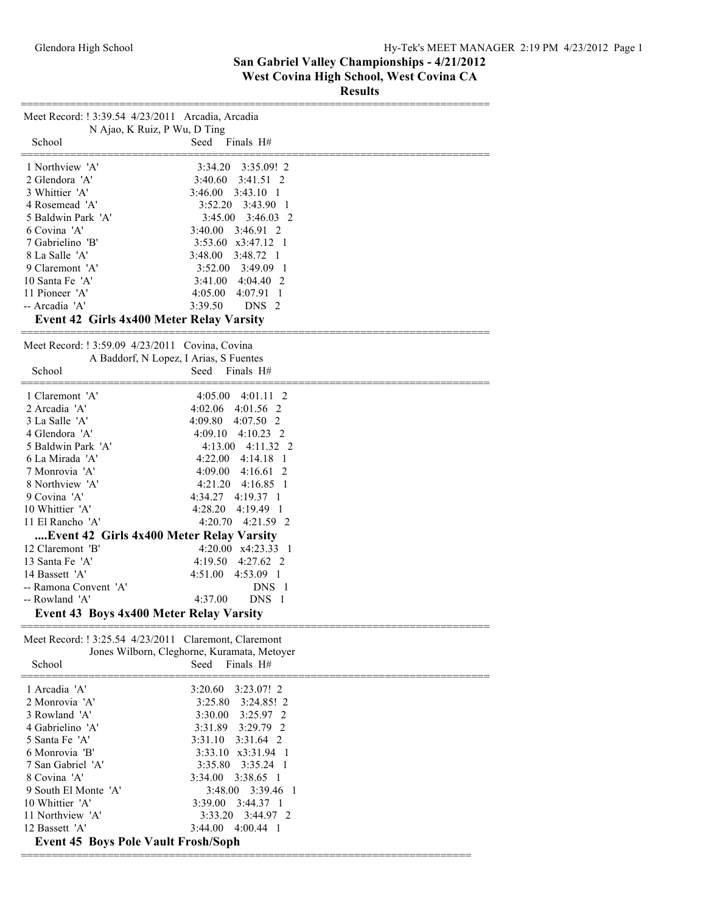**Results**

| Meet Record: ! 3:39.54 4/23/2011 Arcadia, Arcadia            |                                             |
|--------------------------------------------------------------|---------------------------------------------|
| N Ajao, K Ruiz, P Wu, D Ting<br>School                       | Seed<br>Finals H#                           |
|                                                              |                                             |
| 1 Northview 'A'                                              | $3:35.09!$ 2<br>3:34.20                     |
| 2 Glendora 'A'                                               | $3:41.51$ 2<br>3:40.60                      |
| 3 Whittier 'A'                                               | 3:46.00<br>$3:43.10$ 1                      |
| 4 Rosemead 'A'                                               | 3:52.20<br>$3:43.90 \quad 1$                |
| 5 Baldwin Park 'A'                                           | $3:46.03$ 2<br>3:45.00                      |
| 6 Covina 'A'                                                 | 3:40.00<br>$3:46.91$ 2                      |
| 7 Gabrielino 'B'                                             | 3:53.60 x3:47.12 1                          |
| 8 La Salle 'A'                                               | 3:48.00 3:48.72 1                           |
| 9 Claremont 'A'                                              | $3:52.00$ $3:49.09$ 1                       |
| 10 Santa Fe 'A'                                              | 4:04.40 2<br>3:41.00                        |
| 11 Pioneer 'A'<br>-- Arcadia 'A'                             | 4:05.00<br>$4:07.91$ 1<br>3:39.50<br>DNS 2  |
| Event 42 Girls 4x400 Meter Relay Varsity                     |                                             |
|                                                              |                                             |
| Meet Record: ! 3:59.09 4/23/2011 Covina, Covina              |                                             |
| A Baddorf, N Lopez, I Arias, S Fuentes                       |                                             |
| School                                                       | Finals H#<br>Seed                           |
|                                                              |                                             |
| 1 Claremont 'A'                                              | $4:05.00 \quad 4:01.11 \quad 2$             |
| 2 Arcadia 'A'                                                | 4:02.06<br>4:01.56 2                        |
| 3 La Salle 'A'                                               | 4:09.80<br>$4:07.50$ 2                      |
| 4 Glendora 'A'                                               | $4:10.23$ 2<br>4:09.10                      |
| 5 Baldwin Park 'A'                                           | $4:13.00$ $4:11.32$ 2                       |
| 6 La Mirada 'A'                                              | $4:22.00$ $4:14.18$ 1                       |
| 7 Monrovia 'A'                                               | 4:09.00<br>4:16.61 2                        |
| 8 Northview 'A'                                              | 4:21.20<br>4:16.85 1                        |
| 9 Covina 'A'                                                 | 4:19.37 1<br>4:34.27                        |
| 10 Whittier 'A'<br>11 El Rancho 'A'                          | 4:28.20<br>4:19.49 1                        |
|                                                              | 4:20.70<br>4:21.59 2                        |
| Event 42 Girls 4x400 Meter Relay Varsity<br>12 Claremont 'B' | $4:20.00 \quad x4:23.33 \quad 1$            |
| 13 Santa Fe 'A'                                              | 4:19.50<br>$4:27.62$ 2                      |
| 14 Bassett 'A'                                               | 4:53.09 1<br>4:51.00                        |
| -- Ramona Convent 'A'                                        | DNS 1                                       |
| -- Rowland 'A'                                               | DNS 1<br>4:37.00                            |
| <b>Event 43 Boys 4x400 Meter Relay Varsity</b>               |                                             |
|                                                              |                                             |
| Meet Record: ! 3:25.54 4/23/2011 Claremont, Claremont        |                                             |
|                                                              | Jones Wilborn, Cleghorne, Kuramata, Metoyer |
| School                                                       | Seed<br>Finals H#                           |
|                                                              |                                             |
| 1 Arcadia 'A'                                                | 3:20.60<br>3:23.07! 2                       |
| 2 Monrovia 'A'                                               | 3:25.80<br>$3:24.85!$ 2                     |
| 3 Rowland 'A'                                                | 3:30.00<br>3:25.97 2                        |
| 4 Gabrielino 'A'                                             | 3:29.79 2<br>3:31.89                        |
| 5 Santa Fe 'A'<br>6 Monrovia 'B'                             | 3:31.64 2<br>3:31.10<br>3:33.10 x3:31.94 1  |
| 7 San Gabriel 'A'                                            | 3:35.80<br>$3:35.24$ 1                      |
| 8 Covina 'A'                                                 | 3:38.65 1<br>3:34.00                        |
| 9 South El Monte 'A'                                         | 3:39.46<br>3:48.00<br>- 1                   |
| 10 Whittier 'A'                                              | 3:39.00<br>$3:44.37$ 1                      |
| 11 Northview 'A'                                             | 3:33.20<br>3:44.97 2                        |
| 12 Bassett 'A'                                               | 3:44.00<br>4:00.44 1                        |
| <b>Event 45 Boys Pole Vault Frosh/Soph</b>                   |                                             |

=========================================================================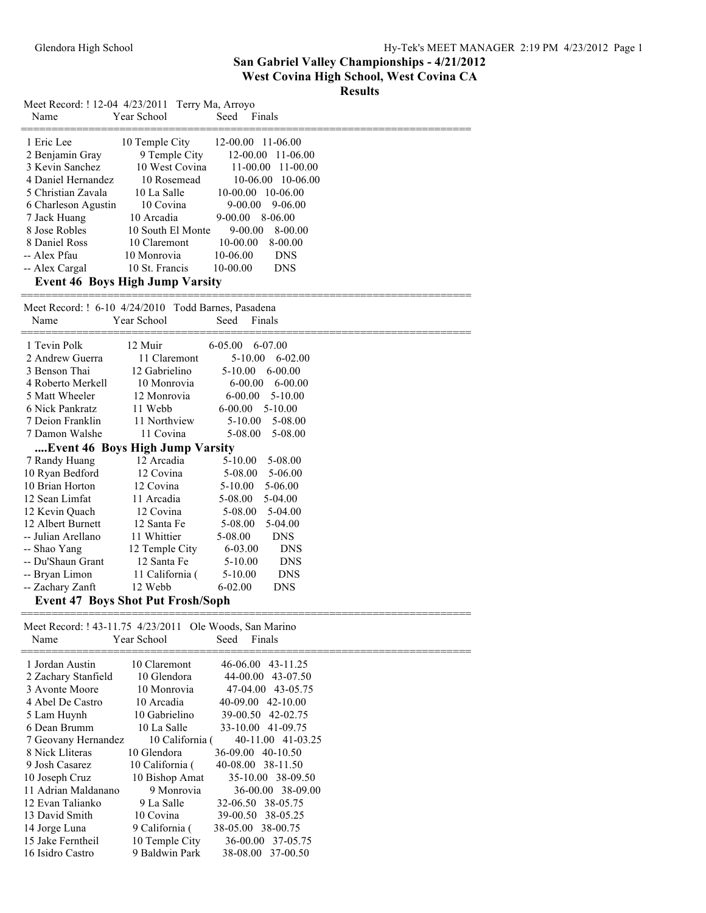#### **Results**

| Meet Record: ! 12-04 4/23/2011 Terry Ma, Arroyo<br>Name                                                                                                                                                 | Year School                                                                                                                                                                                                                | Seed<br>Finals                                                                                                                                                                                                                                                             |  |
|---------------------------------------------------------------------------------------------------------------------------------------------------------------------------------------------------------|----------------------------------------------------------------------------------------------------------------------------------------------------------------------------------------------------------------------------|----------------------------------------------------------------------------------------------------------------------------------------------------------------------------------------------------------------------------------------------------------------------------|--|
| 1 Eric Lee<br>2 Benjamin Gray<br>3 Kevin Sanchez<br>4 Daniel Hernandez<br>5 Christian Zavala<br>6 Charleson Agustin<br>7 Jack Huang<br>8 Jose Robles<br>8 Daniel Ross<br>-- Alex Pfau<br>-- Alex Cargal | 10 Temple City<br>9 Temple City<br>10 West Covina<br>10 Rosemead<br>10 La Salle<br>10 Covina<br>10 Arcadia<br>10 South El Monte<br>10 Claremont<br>10 Monrovia<br>10 St. Francis<br><b>Event 46 Boys High Jump Varsity</b> | 12-00.00 11-06.00<br>12-00.00<br>11-06.00<br>$11-00.00$<br>11-00.00<br>$10-06.00$ 10-06.00<br>10-00.00 10-06.00<br>$9 - 00.00$<br>9-06.00<br>$9 - 00.00$<br>8-06.00<br>9-00.00<br>8-00.00<br>$10-00.00$<br>8-00.00<br>10-06.00<br><b>DNS</b><br>$10 - 00.00$<br><b>DNS</b> |  |
| Meet Record: ! 6-10 4/24/2010 Todd Barnes, Pasadena<br>Name                                                                                                                                             | Year School                                                                                                                                                                                                                | Seed<br>Finals                                                                                                                                                                                                                                                             |  |
| 1 Tevin Polk                                                                                                                                                                                            | 12 Muir                                                                                                                                                                                                                    | 6-05.00<br>6-07.00                                                                                                                                                                                                                                                         |  |
| 2 Andrew Guerra                                                                                                                                                                                         | 11 Claremont                                                                                                                                                                                                               | $5 - 10.00$<br>6-02.00                                                                                                                                                                                                                                                     |  |
| 3 Benson Thai                                                                                                                                                                                           | 12 Gabrielino                                                                                                                                                                                                              | $6 - 00.00$<br>$5-10.00$                                                                                                                                                                                                                                                   |  |
| 4 Roberto Merkell                                                                                                                                                                                       | 10 Monrovia                                                                                                                                                                                                                | $6 - 00.00$<br>$6 - 00.00$                                                                                                                                                                                                                                                 |  |
| 5 Matt Wheeler                                                                                                                                                                                          | 12 Monrovia                                                                                                                                                                                                                | $6 - 00.00$<br>$5 - 10.00$                                                                                                                                                                                                                                                 |  |
| 6 Nick Pankratz                                                                                                                                                                                         | 11 Webb                                                                                                                                                                                                                    | $6 - 00.00$<br>5-10.00                                                                                                                                                                                                                                                     |  |
| 7 Deion Franklin                                                                                                                                                                                        | 11 Northview                                                                                                                                                                                                               | $5 - 10.00$<br>5-08.00                                                                                                                                                                                                                                                     |  |
| 7 Damon Walshe                                                                                                                                                                                          | 11 Covina                                                                                                                                                                                                                  | 5-08.00<br>5-08.00                                                                                                                                                                                                                                                         |  |
|                                                                                                                                                                                                         | Event 46 Boys High Jump Varsity                                                                                                                                                                                            |                                                                                                                                                                                                                                                                            |  |
| 7 Randy Huang                                                                                                                                                                                           | 12 Arcadia                                                                                                                                                                                                                 | 5-10.00<br>5-08.00                                                                                                                                                                                                                                                         |  |
| 10 Ryan Bedford                                                                                                                                                                                         | 12 Covina                                                                                                                                                                                                                  | 5-08.00<br>5-06.00                                                                                                                                                                                                                                                         |  |
| 10 Brian Horton                                                                                                                                                                                         | 12 Covina                                                                                                                                                                                                                  | $5-10.00$<br>5-06.00                                                                                                                                                                                                                                                       |  |
| 12 Sean Limfat                                                                                                                                                                                          | 11 Arcadia                                                                                                                                                                                                                 | 5-08.00<br>5-04.00                                                                                                                                                                                                                                                         |  |
| 12 Kevin Quach                                                                                                                                                                                          | 12 Covina                                                                                                                                                                                                                  | 5-08.00<br>5-04.00                                                                                                                                                                                                                                                         |  |
| 12 Albert Burnett                                                                                                                                                                                       | 12 Santa Fe                                                                                                                                                                                                                | 5-08.00<br>5-04.00                                                                                                                                                                                                                                                         |  |
| -- Julian Arellano                                                                                                                                                                                      | 11 Whittier                                                                                                                                                                                                                | 5-08.00<br><b>DNS</b>                                                                                                                                                                                                                                                      |  |
| -- Shao Yang                                                                                                                                                                                            | 12 Temple City                                                                                                                                                                                                             | 6-03.00<br><b>DNS</b>                                                                                                                                                                                                                                                      |  |
| -- Du'Shaun Grant                                                                                                                                                                                       | 12 Santa Fe                                                                                                                                                                                                                | $5 - 10.00$<br><b>DNS</b>                                                                                                                                                                                                                                                  |  |
| -- Bryan Limon                                                                                                                                                                                          | 11 California (                                                                                                                                                                                                            | <b>DNS</b><br>$5 - 10.00$                                                                                                                                                                                                                                                  |  |
| -- Zachary Zanft                                                                                                                                                                                        | 12 Webb                                                                                                                                                                                                                    | $6 - 02.00$<br><b>DNS</b>                                                                                                                                                                                                                                                  |  |
|                                                                                                                                                                                                         | <b>Event 47 Boys Shot Put Frosh/Soph</b>                                                                                                                                                                                   |                                                                                                                                                                                                                                                                            |  |
| Meet Record: ! 43-11.75 4/23/2011<br>Name                                                                                                                                                               | Year School                                                                                                                                                                                                                | Ole Woods, San Marino<br>Seed<br>Finals                                                                                                                                                                                                                                    |  |
| 1 Jordan Austin                                                                                                                                                                                         | 10 Claremont                                                                                                                                                                                                               | 46-06.00 43-11.25                                                                                                                                                                                                                                                          |  |
| 2 Zachary Stanfield                                                                                                                                                                                     | 10 Glendora                                                                                                                                                                                                                | 44-00.00 43-07.50                                                                                                                                                                                                                                                          |  |
| 3 Avonte Moore                                                                                                                                                                                          | 10 Monrovia                                                                                                                                                                                                                | 47-04.00 43-05.75                                                                                                                                                                                                                                                          |  |
| 4 Abel De Castro                                                                                                                                                                                        | 10 Arcadia                                                                                                                                                                                                                 | 40-09.00 42-10.00                                                                                                                                                                                                                                                          |  |
| 5 Lam Huynh                                                                                                                                                                                             | 10 Gabrielino                                                                                                                                                                                                              | 39-00.50 42-02.75                                                                                                                                                                                                                                                          |  |
| 6 Dean Brumm                                                                                                                                                                                            | 10 La Salle                                                                                                                                                                                                                | 33-10.00 41-09.75                                                                                                                                                                                                                                                          |  |
| 7 Geovany Hernandez                                                                                                                                                                                     | 10 California (                                                                                                                                                                                                            | 40-11.00 41-03.25                                                                                                                                                                                                                                                          |  |
| 8 Nick Lliteras                                                                                                                                                                                         | 10 Glendora                                                                                                                                                                                                                | 36-09.00 40-10.50                                                                                                                                                                                                                                                          |  |
| 9 Josh Casarez                                                                                                                                                                                          | 10 California (                                                                                                                                                                                                            | 40-08.00 38-11.50                                                                                                                                                                                                                                                          |  |
| 10 Joseph Cruz                                                                                                                                                                                          | 10 Bishop Amat                                                                                                                                                                                                             | 35-10.00 38-09.50                                                                                                                                                                                                                                                          |  |
| 11 Adrian Maldanano                                                                                                                                                                                     | 9 Monrovia                                                                                                                                                                                                                 | 36-00.00 38-09.00                                                                                                                                                                                                                                                          |  |
| 12 Evan Talianko                                                                                                                                                                                        | 9 La Salle                                                                                                                                                                                                                 | 32-06.50<br>38-05.75                                                                                                                                                                                                                                                       |  |
| 13 David Smith                                                                                                                                                                                          | 10 Covina                                                                                                                                                                                                                  | 39-00.50<br>38-05.25                                                                                                                                                                                                                                                       |  |
| 14 Jorge Luna                                                                                                                                                                                           | 9 California (                                                                                                                                                                                                             | 38-05.00<br>38-00.75                                                                                                                                                                                                                                                       |  |
| 15 Jake Ferntheil                                                                                                                                                                                       | 10 Temple City                                                                                                                                                                                                             | 36-00.00 37-05.75                                                                                                                                                                                                                                                          |  |
| 16 Isidro Castro                                                                                                                                                                                        | 9 Baldwin Park                                                                                                                                                                                                             | 38-08.00 37-00.50                                                                                                                                                                                                                                                          |  |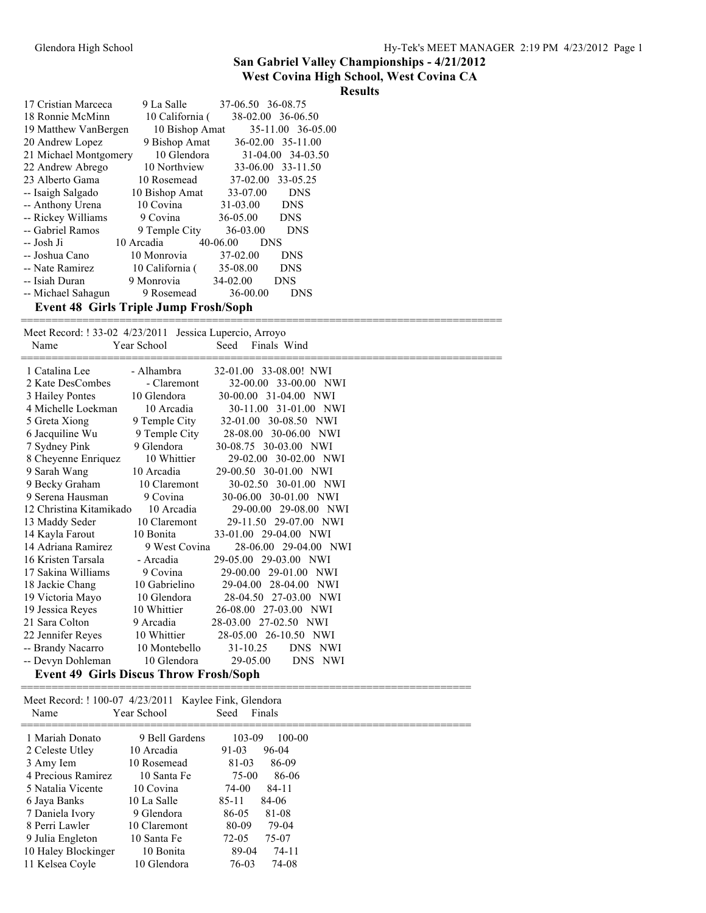### **West Covina High School, West Covina CA**

#### **Results**

| 17 Cristian Marceca                          | 9 La Salle      | 37-06.50 36-08.75 |                   |
|----------------------------------------------|-----------------|-------------------|-------------------|
| 18 Ronnie McMinn                             | 10 California ( |                   | 38-02.00 36-06.50 |
| 19 Matthew VanBergen                         | 10 Bishop Amat  |                   | 35-11.00 36-05.00 |
| 20 Andrew Lopez                              | 9 Bishop Amat   |                   | 36-02.00 35-11.00 |
| 21 Michael Montgomery                        | 10 Glendora     |                   | 31-04.00 34-03.50 |
| 22 Andrew Abrego                             | 10 Northview    |                   | 33-06.00 33-11.50 |
| 23 Alberto Gama                              | 10 Rosemead     | $37-02.00$        | 33-05.25          |
| -- Isaigh Salgado                            | 10 Bishop Amat  | 33-07.00          | <b>DNS</b>        |
| -- Anthony Urena                             | 10 Covina       | 31-03.00          | <b>DNS</b>        |
| -- Rickey Williams                           | 9 Covina        | 36-05.00          | <b>DNS</b>        |
| -- Gabriel Ramos                             | 9 Temple City   | 36-03.00          | <b>DNS</b>        |
| -- Josh Ji                                   | 10 Arcadia      | 40-06.00<br>DNS   |                   |
| -- Joshua Cano                               | 10 Monrovia     | 37-02.00          | <b>DNS</b>        |
| -- Nate Ramirez                              | 10 California ( | 35-08.00          | <b>DNS</b>        |
| -- Isiah Duran                               | 9 Monrovia      | $34 - 02.00$      | <b>DNS</b>        |
| -- Michael Sahagun                           | 9 Rosemead      | 36-00.00          | <b>DNS</b>        |
| <b>Event 48 Girls Triple Jump Frosh/Soph</b> |                 |                   |                   |

| Meet Record: ! 33-02 4/23/2011 Jessica Lupercio, Arroyo |               |                        |  |
|---------------------------------------------------------|---------------|------------------------|--|
| Name                                                    | Year School   | Finals Wind<br>Seed    |  |
| 1 Catalina Lee                                          | - Alhambra    | 32-01.00 33-08.00! NWI |  |
| 2 Kate DesCombes                                        | - Claremont   | 32-00.00 33-00.00 NWI  |  |
|                                                         | 10 Glendora   | 30-00.00 31-04.00 NWI  |  |
| 3 Hailey Pontes<br>4 Michelle Loekman                   | 10 Arcadia    | 30-11.00 31-01.00 NWI  |  |
|                                                         |               |                        |  |
| 5 Greta Xiong                                           | 9 Temple City | 32-01.00 30-08.50 NWI  |  |
| 6 Jacquiline Wu                                         | 9 Temple City | 28-08.00 30-06.00 NWI  |  |
| 7 Sydney Pink                                           | 9 Glendora    | 30-08.75 30-03.00 NWI  |  |
| 8 Cheyenne Enriquez                                     | 10 Whittier   | 29-02.00 30-02.00 NWI  |  |
| 9 Sarah Wang                                            | 10 Arcadia    | 29-00.50 30-01.00 NWI  |  |
| 9 Becky Graham                                          | 10 Claremont  | 30-02.50 30-01.00 NWI  |  |
| 9 Serena Hausman                                        | 9 Covina      | 30-06.00 30-01.00 NWI  |  |
| 12 Christina Kitamikado 10 Arcadia                      |               | 29-00.00 29-08.00 NWI  |  |
| 13 Maddy Seder                                          | 10 Claremont  | 29-11.50 29-07.00 NWI  |  |
| 14 Kayla Farout                                         | 10 Bonita     | 33-01.00 29-04.00 NWI  |  |
| 14 Adriana Ramirez                                      | 9 West Covina | 28-06.00 29-04.00 NWI  |  |
| 16 Kristen Tarsala                                      | - Arcadia     | 29-05.00 29-03.00 NWI  |  |
| 17 Sakina Williams                                      | 9 Covina      | 29-00.00 29-01.00 NWI  |  |
| 18 Jackie Chang                                         | 10 Gabrielino | 29-04.00 28-04.00 NWI  |  |
| 19 Victoria Mayo                                        | 10 Glendora   | 28-04.50 27-03.00 NWI  |  |
| 19 Jessica Reyes                                        | 10 Whittier   | 26-08.00 27-03.00 NWI  |  |
| 21 Sara Colton                                          | 9 Arcadia     | 28-03.00 27-02.50 NWI  |  |
| 22 Jennifer Reyes                                       | 10 Whittier   | 28-05.00 26-10.50 NWI  |  |
| -- Brandy Nacarro                                       | 10 Montebello | 31-10.25<br>DNS NWI    |  |
| -- Devyn Dohleman                                       | 10 Glendora   | 29-05.00<br>DNS NWI    |  |
| <b>Event 49 Girls Discus Throw Frosh/Soph</b>           |               |                        |  |

==============================================================================

#### Meet Record: ! 100-07 4/23/2011 Kaylee Fink, Glendora Name Year School Seed Finals ========================================================================= 1 Mariah Donato 9 Bell Gardens 103-09 100-00<br>2 Celeste Utley 10 Arcadia 91-03 96-04 2 Celeste Utley 3 Amy Iem 10 Rosemead 81-03 86-09 4 Precious Ramirez 10 Santa Fe 75-00 86-06 5 Natalia Vicente 10 Covina 74-00 84-11 6 Jaya Banks 10 La Salle 85-11 84-06 7 Daniela Ivory 9 Glendora 86-05 81-08 8 Perri Lawler 10 Claremont 80-09 79-04 9 Julia Engleton 10 Santa Fe 72-05 75-07 10 Haley Blockinger 10 Bonita 89-04 74-11 11 Kelsea Coyle 10 Glendora 76-03 74-08

=========================================================================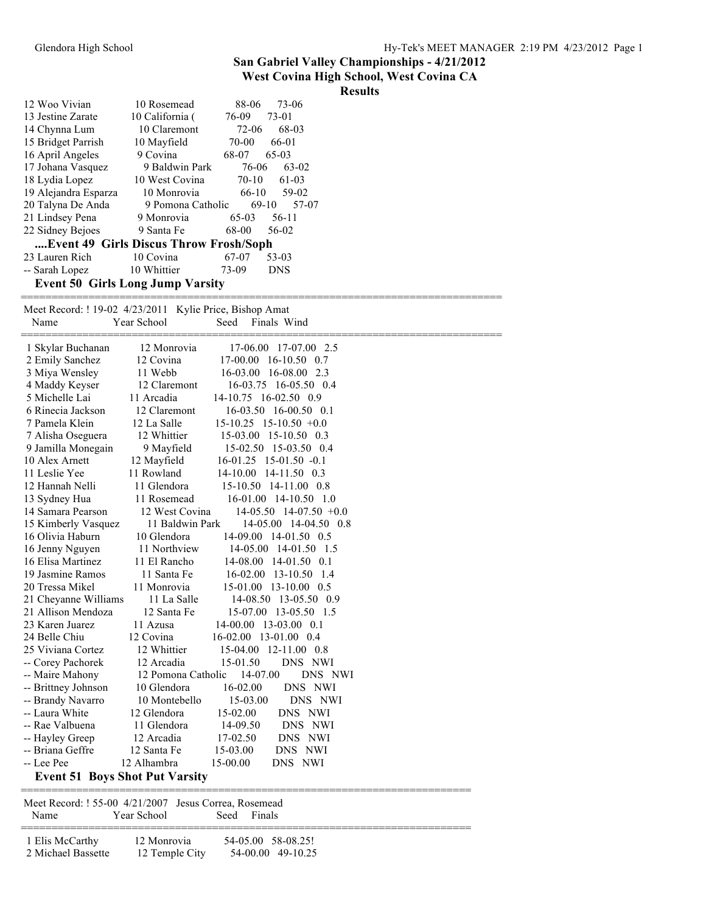### **West Covina High School, West Covina CA**

### **Results**

|                                         |                         | 88-06   | 73-06      |  |  |
|-----------------------------------------|-------------------------|---------|------------|--|--|
| 12 Woo Vivian                           | 10 Rosemead             |         |            |  |  |
| 13 Jestine Zarate                       | 10 California (         | 76-09   | 73-01      |  |  |
| 14 Chynna Lum                           | 10 Claremont            | 72-06   | 68-03      |  |  |
| 15 Bridget Parrish                      | 10 Mayfield             | 70-00   | 66-01      |  |  |
| 16 April Angeles                        | 9 Covina                | 68-07   | 65-03      |  |  |
| 17 Johana Vasquez                       | 9 Baldwin Park          | 76-06   | $63-02$    |  |  |
| 18 Lydia Lopez                          | 10 West Covina          | $70-10$ | $61-03$    |  |  |
| 19 Alejandra Esparza                    | 10 Monrovia             | $66-10$ | 59-02      |  |  |
| 20 Talyna De Anda                       | 9 Pomona Catholic 69-10 |         | 57-07      |  |  |
| 21 Lindsey Pena                         | 9 Monrovia              | 65-03   | $56-11$    |  |  |
| 22 Sidney Bejoes                        | 9 Santa Fe              | 68-00   | 56-02      |  |  |
| Event 49 Girls Discus Throw Frosh/Soph  |                         |         |            |  |  |
| 23 Lauren Rich                          | 10 Covina               | 67-07   | 53-03      |  |  |
| -- Sarah Lopez                          | 10 Whittier             | 73-09   | <b>DNS</b> |  |  |
| <b>Event 50 Girls Long Jump Varsity</b> |                         |         |            |  |  |
|                                         |                         |         |            |  |  |

============================================================================== Meet Record: ! 19-02 4/23/2011 Kylie Price, Bishop Amat Name Year School Seed Finals Wind ==============================================================================

| 1 Skylar Buchanan                     | 12 Monrovia        | 17-06.00<br>17-07.00 2.5        |
|---------------------------------------|--------------------|---------------------------------|
| 2 Emily Sanchez                       | 12 Covina          | 17-00.00<br>$16-10.50$ 0.7      |
| 3 Miya Wensley                        | 11 Webb            | 16-03.00 16-08.00 2.3           |
| 4 Maddy Keyser                        | 12 Claremont       | 16-03.75 16-05.50 0.4           |
| 5 Michelle Lai                        | 11 Arcadia         | 14-10.75 16-02.50 0.9           |
| 6 Rinecia Jackson                     | 12 Claremont       | 16-03.50 16-00.50 0.1           |
| 7 Pamela Klein                        | 12 La Salle        | $15-10.25$ 15-10.50 $+0.0$      |
| 7 Alisha Oseguera                     | 12 Whittier        | 15-03.00 15-10.50 0.3           |
| 9 Jamilla Monegain                    | 9 Mayfield         | 15-02.50 15-03.50 0.4           |
| 10 Alex Arnett                        | 12 Mayfield        | $16-01.25$ 15-01.50 $-0.1$      |
| 11 Leslie Yee                         | 11 Rowland         | $14 - 10.00$<br>$14-11.50$ 0.3  |
| 12 Hannah Nelli                       | 11 Glendora        | 15-10.50 14-11.00 0.8           |
| 13 Sydney Hua                         | 11 Rosemead        | 16-01.00 14-10.50 1.0           |
| 14 Samara Pearson                     | 12 West Covina     | $14-05.50$ 14-07.50 $+0.0$      |
| 15 Kimberly Vasquez                   | 11 Baldwin Park    | 14-05.00 14-04.50 0.8           |
| 16 Olivia Haburn                      | 10 Glendora        | 14-09.00 14-01.50 0.5           |
| 16 Jenny Nguyen                       | 11 Northview       | 14-05.00 14-01.50 1.5           |
| 16 Elisa Martinez                     | 11 El Rancho       | $14-08.00$ $14-01.50$ 0.1       |
| 19 Jasmine Ramos                      | 11 Santa Fe        | $16 - 02.00$<br>13-10.50<br>1.4 |
| 20 Tressa Mikel                       | 11 Monrovia        | 15-01.00 13-10.00 0.5           |
| 21 Cheyanne Williams                  | 11 La Salle        | 14-08.50 13-05.50 0.9           |
| 21 Allison Mendoza                    | 12 Santa Fe        | 15-07.00 13-05.50 1.5           |
| 23 Karen Juarez                       | 11 Azusa           | 14-00.00 13-03.00 0.1           |
| 24 Belle Chiu                         | 12 Covina          | 16-02.00 13-01.00 0.4           |
| 25 Viviana Cortez                     | 12 Whittier        | 15-04.00 12-11.00 0.8           |
| -- Corey Pachorek                     | 12 Arcadia         | 15-01.50<br>DNS NWI             |
| -- Maire Mahony                       | 12 Pomona Catholic | 14-07.00<br>DNS NWI             |
| -- Brittney Johnson                   | 10 Glendora        | $16-02.00$<br>DNS NWI           |
| -- Brandy Navarro                     | 10 Montebello      | 15-03.00<br>DNS NWI             |
| -- Laura White                        | 12 Glendora        | 15-02.00<br>DNS NWI             |
| -- Rae Valbuena                       | 11 Glendora        | 14-09.50<br>DNS NWI             |
| -- Hayley Greep                       | 12 Arcadia         | 17-02.50<br>DNS NWI             |
| -- Briana Geffre                      | 12 Santa Fe        | 15-03.00<br>DNS NWI             |
| -- Lee Pee                            | 12 Alhambra        | 15-00.00<br>DNS NWI             |
| <b>Event 51 Boys Shot Put Varsity</b> |                    |                                 |

=========================================================================

 Meet Record: ! 55-00 4/21/2007 Jesus Correa, Rosemead Name Year School Seed Finals

| 1 Elis McCarthy    | 12 Monrovia    | 54-05.00 58-08.25! |  |
|--------------------|----------------|--------------------|--|
| 2 Michael Bassette | 12 Temple City | 54-00.00 49-10.25  |  |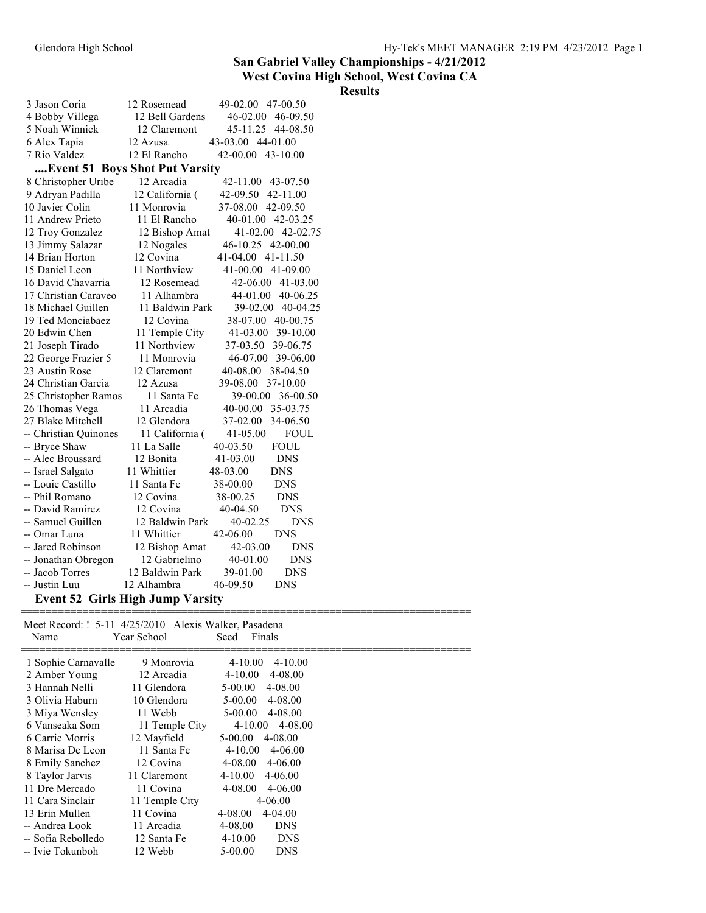### **West Covina High School, West Covina CA**

### **Results**

| 3 Jason Coria                      | 12 Rosemead     | 49-02.00 47-00.50           |
|------------------------------------|-----------------|-----------------------------|
| 4 Bobby Villega                    | 12 Bell Gardens | 46-02.00 46-09.50           |
| 5 Noah Winnick                     | 12 Claremont    | 45-11.25 44-08.50           |
| 6 Alex Tapia                       | 12 Azusa        | 43-03.00 44-01.00           |
| 7 Rio Valdez                       | 12 El Rancho    | 43-10.00<br>42-00.00        |
| Event 51 Boys Shot Put Varsity     |                 |                             |
| 8 Christopher Uribe                | 12 Arcadia      | 42-11.00 43-07.50           |
| 9 Adryan Padilla                   | 12 California ( | 42-09.50<br>42-11.00        |
| 10 Javier Colin                    | 11 Monrovia     | 37-08.00<br>42-09.50        |
| 11 Andrew Prieto                   | 11 El Rancho    | 40-01.00 42-03.25           |
| 12 Troy Gonzalez                   | 12 Bishop Amat  | 41-02.00 42-02.75           |
| 13 Jimmy Salazar                   | 12 Nogales      | 46-10.25 42-00.00           |
| 14 Brian Horton                    | 12 Covina       | 41-04.00 41-11.50           |
| 15 Daniel Leon                     | 11 Northview    | 41-00.00 41-09.00           |
| 16 David Chavarria                 | 12 Rosemead     | 42-06.00<br>41-03.00        |
| 17 Christian Caraveo               | 11 Alhambra     | 40-06.25<br>44-01.00        |
| 18 Michael Guillen                 | 11 Baldwin Park | 39-02.00<br>40-04.25        |
| 19 Ted Monciabaez                  | 12 Covina       | 38-07.00<br>40-00.75        |
| 20 Edwin Chen                      | 11 Temple City  | 41-03.00<br>39-10.00        |
| 21 Joseph Tirado                   | 11 Northview    | 37-03.50<br>39-06.75        |
| 22 George Frazier 5                | 11 Monrovia     | 46-07.00<br>39-06.00        |
| 23 Austin Rose                     | 12 Claremont    | 40-08.00<br>38-04.50        |
| 24 Christian Garcia                | 12 Azusa        | 37-10.00<br>39-08.00        |
| 25 Christopher Ramos               | 11 Santa Fe     | 39-00.00<br>36-00.50        |
| 26 Thomas Vega                     | 11 Arcadia      | 40-00.00<br>35-03.75        |
| 27 Blake Mitchell                  | 12 Glendora     | 37-02.00<br>34-06.50        |
| -- Christian Quinones              | 11 California ( | $41 - 05.00$<br><b>FOUL</b> |
| -- Bryce Shaw                      | 11 La Salle     | 40-03.50<br><b>FOUL</b>     |
| -- Alec Broussard                  | 12 Bonita       | <b>DNS</b><br>41-03.00      |
| -- Israel Salgato                  | 11 Whittier     | <b>DNS</b><br>48-03.00      |
| -- Louie Castillo                  | 11 Santa Fe     | 38-00.00<br><b>DNS</b>      |
| -- Phil Romano                     | 12 Covina       | <b>DNS</b><br>38-00.25      |
| -- David Ramirez                   | 12 Covina       | 40-04.50<br><b>DNS</b>      |
| -- Samuel Guillen                  | 12 Baldwin Park | 40-02.25<br><b>DNS</b>      |
| -- Omar Luna                       | 11 Whittier     | 42-06.00<br><b>DNS</b>      |
| -- Jared Robinson                  | 12 Bishop Amat  | 42-03.00<br><b>DNS</b>      |
| -- Jonathan Obregon                | 12 Gabrielino   | 40-01.00<br><b>DNS</b>      |
| -- Jacob Torres                    | 12 Baldwin Park | 39-01.00<br><b>DNS</b>      |
| -- Justin Luu                      | 12 Alhambra     | 46-09.50<br><b>DNS</b>      |
| $Fcont$ 52 Cirls High Lumn Varsity |                 |                             |

#### **Event 52 Girls High Jump Varsity**

| Name                | Meet Record: ! 5-11 4/25/2010 Alexis Walker, Pasadena<br>Year School | Seed<br>Finals             |  |
|---------------------|----------------------------------------------------------------------|----------------------------|--|
| 1 Sophie Carnavalle | 9 Monrovia                                                           | $4 - 10.00$<br>$4 - 10.00$ |  |
| 2 Amber Young       | 12 Arcadia                                                           | $4 - 10.00$<br>4-08.00     |  |
| 3 Hannah Nelli      | 11 Glendora                                                          | $5 - 00.00$<br>4-08.00     |  |
| 3 Olivia Haburn     | 10 Glendora                                                          | $5-00.00$<br>4-08.00       |  |
| 3 Miya Wensley      | 11 Webb                                                              | $5-00.00$<br>4-08.00       |  |
| 6 Vanseaka Som      | 11 Temple City                                                       | $4 - 10.00$<br>$4 - 08.00$ |  |
| 6 Carrie Morris     | 12 Mayfield                                                          | $5-00.00$<br>4-08.00       |  |
| 8 Marisa De Leon    | 11 Santa Fe                                                          | $4 - 10.00$<br>4-06.00     |  |
| 8 Emily Sanchez     | 12 Covina                                                            | $4 - 08.00$<br>$4 - 06.00$ |  |
| 8 Taylor Jarvis     | 11 Claremont                                                         | $4 - 10.00$<br>$4 - 06.00$ |  |
| 11 Dre Mercado      | 11 Covina                                                            | 4-08.00<br>4-06.00         |  |
| 11 Cara Sinclair    | 11 Temple City                                                       | 4-06.00                    |  |
| 13 Erin Mullen      | 11 Covina                                                            | 4-04.00<br>4-08.00         |  |
| -- Andrea Look      | 11 Arcadia                                                           | 4-08.00<br><b>DNS</b>      |  |
| -- Sofia Rebolledo  | 12 Santa Fe                                                          | $4 - 10.00$<br><b>DNS</b>  |  |
| -- Ivie Tokunboh    | 12 Webb                                                              | 5-00.00<br><b>DNS</b>      |  |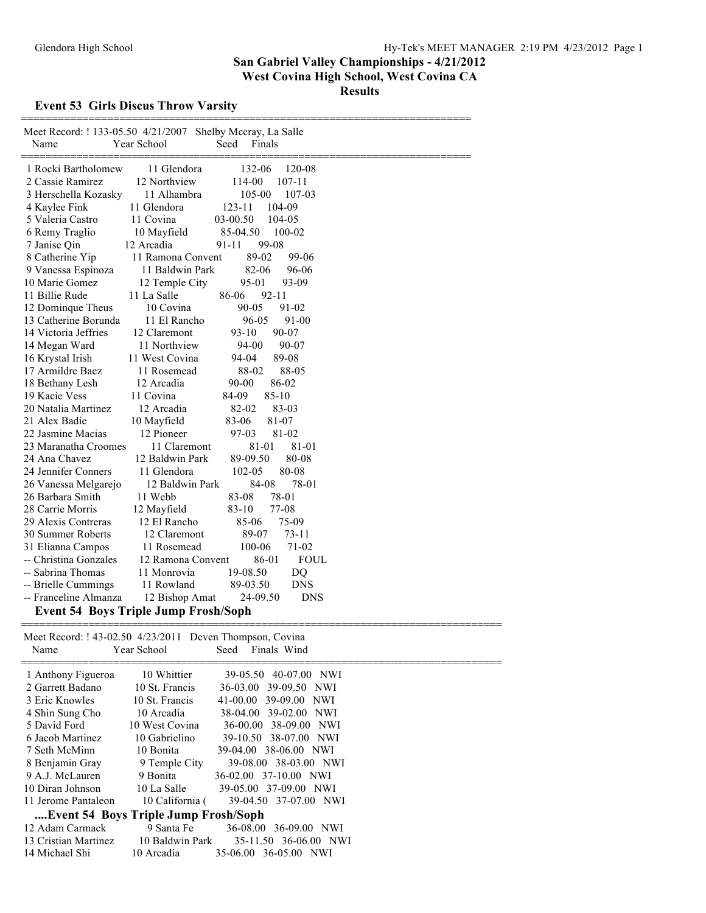### **Event 53 Girls Discus Throw Varsity**

| Meet Record: ! 133-05.50 4/21/2007<br>Shelby Mccray, La Salle<br>Name<br>Year School<br>Seed<br>Finals |
|--------------------------------------------------------------------------------------------------------|
| 1 Rocki Bartholomew<br>11 Glendora<br>132-06<br>120-08                                                 |
| 2 Cassie Ramirez<br>12 Northview<br>114-00<br>$107 - 11$                                               |
| 3 Herschella Kozasky<br>11 Alhambra<br>105-00<br>107-03                                                |
| 11 Glendora<br>4 Kaylee Fink<br>123-11<br>104-09                                                       |
| 11 Covina<br>03-00.50<br>5 Valeria Castro<br>104-05                                                    |
| 6 Remy Traglio<br>10 Mayfield<br>85-04.50<br>100-02                                                    |
| 99-08<br>12 Arcadia<br>7 Janise Qin<br>91-11                                                           |
| 89-02<br>99-06<br>8 Catherine Yip<br>11 Ramona Convent                                                 |
| 82-06<br>96-06<br>9 Vanessa Espinoza<br>11 Baldwin Park                                                |
| 93-09<br>10 Marie Gomez<br>12 Temple City<br>95-01                                                     |
| 11 Billie Rude<br>11 La Salle<br>86-06<br>92-11                                                        |
| 12 Dominque Theus<br>10 Covina<br>90-05<br>91-02                                                       |
| 13 Catherine Borunda<br>11 El Rancho<br>96-05<br>91-00                                                 |
| 14 Victoria Jeffries<br>12 Claremont<br>$93-10$<br>90-07                                               |
| 11 Northview<br>90-07<br>14 Megan Ward<br>94-00                                                        |
| 16 Krystal Irish<br>11 West Covina<br>94-04<br>89-08                                                   |
| 88-05<br>17 Armildre Baez<br>11 Rosemead<br>88-02                                                      |
| 12 Arcadia<br>86-02<br>18 Bethany Lesh<br>90-00                                                        |
| $85 - 10$<br>19 Kacie Vess<br>11 Covina<br>84-09                                                       |
| 82-02<br>20 Natalia Martinez<br>12 Arcadia<br>83-03                                                    |
| 21 Alex Badie<br>10 Mayfield<br>83-06<br>81-07                                                         |
| 22 Jasmine Macias<br>12 Pioneer<br>97-03<br>81-02                                                      |
| 23 Maranatha Croomes<br>11 Claremont<br>81-01<br>81-01                                                 |
| 24 Ana Chavez<br>12 Baldwin Park<br>89-09.50<br>80-08                                                  |
| 24 Jennifer Conners<br>102-05<br>80-08<br>11 Glendora                                                  |
| 84-08<br>78-01<br>26 Vanessa Melgarejo<br>12 Baldwin Park                                              |
| 78-01<br>26 Barbara Smith<br>11 Webb<br>83-08                                                          |
| 28 Carrie Morris<br>$83-10$<br>77-08<br>12 Mayfield                                                    |
| 75-09<br>29 Alexis Contreras<br>12 El Rancho<br>85-06                                                  |
| 12 Claremont<br>89-07<br>$73 - 11$<br>30 Summer Roberts                                                |
| 100-06<br>$71-02$<br>31 Elianna Campos<br>11 Rosemead                                                  |
| -- Christina Gonzales<br>12 Ramona Convent<br>86-01<br><b>FOUL</b>                                     |
| -- Sabrina Thomas<br>11 Monrovia<br>19-08.50<br>DQ                                                     |
| -- Brielle Cummings<br>11 Rowland<br>89-03.50<br><b>DNS</b>                                            |
| -- Franceline Almanza<br>24-09.50<br><b>DNS</b><br>12 Bishop Amat                                      |
| <b>Event 54 Boys Triple Jump Frosh/Soph</b>                                                            |

| Meet Record: ! 43-02.50 4/23/2011 Deven Thompson, Covina<br>Name | Year School     | Finals Wind<br>Seed          |
|------------------------------------------------------------------|-----------------|------------------------------|
| 1 Anthony Figueroa                                               | 10 Whittier     | 39-05.50 40-07.00 NWI        |
| 2 Garrett Badano                                                 | 10 St. Francis  | 36-03.00 39-09.50 NWI        |
| 3 Eric Knowles                                                   | 10 St. Francis  | 39-09.00 NWI<br>$41 - 00.00$ |
| 4 Shin Sung Cho                                                  | 10 Arcadia      | 38-04.00 39-02.00 NWI        |
| 5 David Ford                                                     | 10 West Covina  | 36-00.00 38-09.00 NWI        |
| 6 Jacob Martinez                                                 | 10 Gabrielino   | 39-10.50 38-07.00 NWI        |
| 7 Seth McMinn                                                    | 10 Bonita       | 39-04.00 38-06.00 NWI        |
| 8 Benjamin Gray                                                  | 9 Temple City   | 39-08.00 38-03.00 NWI        |
| 9 A.J. McLauren                                                  | 9 Bonita        | 36-02.00 37-10.00 NWI        |
| 10 Diran Johnson                                                 | 10 La Salle     | 39-05.00 37-09.00 NWI        |
| 11 Jerome Pantaleon                                              | 10 California ( | 39-04.50 37-07.00 NWI        |
| Event 54 Boys Triple Jump Frosh/Soph                             |                 |                              |
| 12 Adam Carmack                                                  | 9 Santa Fe      | 36-08.00 36-09.00 NWI        |
| 13 Cristian Martinez                                             | 10 Baldwin Park | 35-11.50 36-06.00 NWI        |
| 14 Michael Shi                                                   | 10 Arcadia      | 35-06.00 36-05.00 NWI        |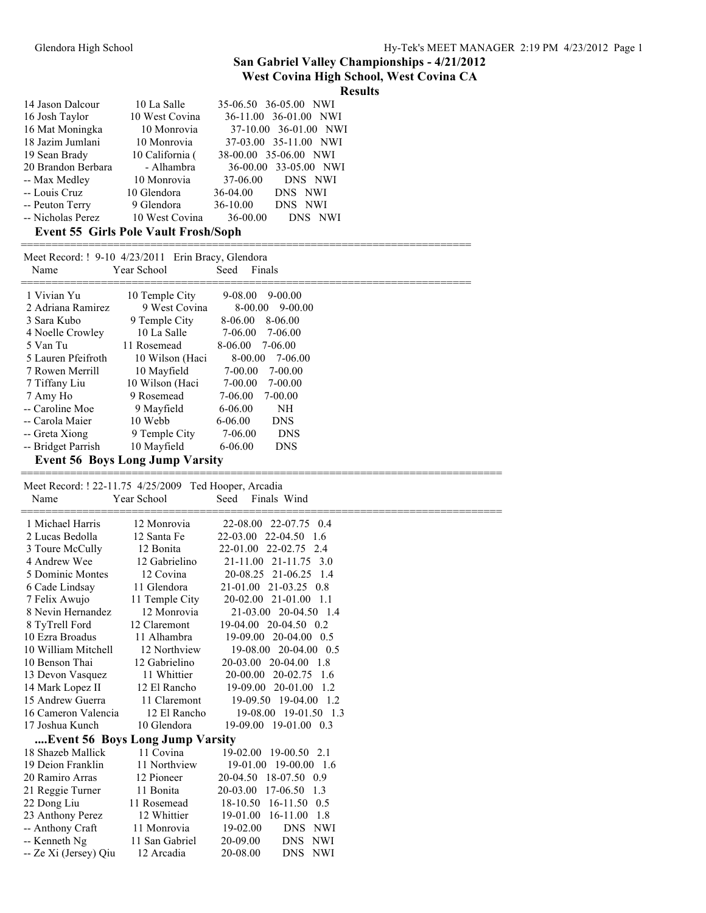### **West Covina High School, West Covina CA**

|  |  | <b>Results</b> |  |
|--|--|----------------|--|
|  |  |                |  |

| 14 Jason Dalcour                            | 10 La Salle     | 35-06.50 36-05.00 NWI |  |  |
|---------------------------------------------|-----------------|-----------------------|--|--|
| 16 Josh Taylor                              | 10 West Covina  | 36-11.00 36-01.00 NWI |  |  |
| 16 Mat Moningka                             | 10 Monrovia     | 37-10.00 36-01.00 NWI |  |  |
| 18 Jazim Jumlani                            | 10 Monrovia     | 37-03.00 35-11.00 NWI |  |  |
| 19 Sean Brady                               | 10 California ( | 38-00.00 35-06.00 NWI |  |  |
| 20 Brandon Berbara                          | - Alhambra      | 36-00.00 33-05.00 NWI |  |  |
| -- Max Medley                               | 10 Monrovia     | 37-06.00 DNS NWI      |  |  |
| -- Louis Cruz                               | 10 Glendora     | 36-04.00<br>DNS NWI   |  |  |
| -- Peuton Terry                             | 9 Glendora      | 36-10.00<br>DNS NWI   |  |  |
| -- Nicholas Perez                           | 10 West Covina  | 36-00.00<br>DNS NWI   |  |  |
| <b>Event 55 Girls Pole Vault Frosh/Soph</b> |                 |                       |  |  |

| Name               | Meet Record: ! 9-10 4/23/2011 Erin Bracy, Glendora<br>Year School | Seed    | Finals      |  |
|--------------------|-------------------------------------------------------------------|---------|-------------|--|
| 1 Vivian Yu        | 10 Temple City                                                    | 9-08.00 | 9-00.00     |  |
| 2 Adriana Ramirez  | 9 West Covina                                                     | 8-00.00 | $9 - 00.00$ |  |
| 3 Sara Kubo        | 9 Temple City                                                     | 8-06.00 | 8-06.00     |  |
| 4 Noelle Crowley   | 10 La Salle                                                       | 7-06.00 | 7-06.00     |  |
| 5 Van Tu           | 11 Rosemead                                                       | 8-06.00 | 7-06.00     |  |
| 5 Lauren Pfeifroth | 10 Wilson (Haci                                                   | 8-00.00 | 7-06.00     |  |
| 7 Rowen Merrill    | 10 Mayfield                                                       | 7-00.00 | 7-00.00     |  |
| 7 Tiffany Liu      | 10 Wilson (Haci                                                   | 7-00.00 | 7-00.00     |  |
| 7 Amy Ho           | 9 Rosemead                                                        | 7-06.00 | 7-00.00     |  |
| -- Caroline Moe    | 9 Mayfield                                                        | 6-06.00 | NH          |  |
| -- Carola Maier    | 10 Webb                                                           | 6-06.00 | <b>DNS</b>  |  |
| -- Greta Xiong     | 9 Temple City                                                     | 7-06.00 | <b>DNS</b>  |  |
| -- Bridget Parrish | 10 Mayfield                                                       | 6-06.00 | <b>DNS</b>  |  |
|                    | <b>Event 56 Boys Long Jump Varsity</b>                            |         |             |  |

==============================================================================

=========================================================================

 Meet Record: ! 22-11.75 4/25/2009 Ted Hooper, Arcadia Name Year School Seed Finals Wind

| 1 Michael Harris                | 12 Monrovia    | 22-08.00 22-07.75 0.4       |
|---------------------------------|----------------|-----------------------------|
| 2 Lucas Bedolla                 | 12 Santa Fe    | 22-03.00 22-04.50<br>-1.6   |
| 3 Toure McCully                 | 12 Bonita      | 22-01.00 22-02.75 2.4       |
| 4 Andrew Wee                    | 12 Gabrielino  | 21-11.00 21-11.75 3.0       |
| 5 Dominic Montes                | 12 Covina      | 20-08.25 21-06.25 1.4       |
| 6 Cade Lindsay                  | 11 Glendora    | 21-01.00 21-03.25 0.8       |
| 7 Felix Awujo                   | 11 Temple City | 20-02.00 21-01.00<br>-1.1   |
| 8 Nevin Hernandez               | 12 Monrovia    | 21-03.00 20-04.50 1.4       |
| 8 TyTrell Ford                  | 12 Claremont   | 19-04.00 20-04.50 0.2       |
| 10 Ezra Broadus                 | 11 Alhambra    | 19-09.00 20-04.00 0.5       |
| 10 William Mitchell             | 12 Northview   | 19-08.00 20-04.00 0.5       |
| 10 Benson Thai                  | 12 Gabrielino  | 20-03.00 20-04.00 1.8       |
| 13 Devon Vasquez                | 11 Whittier    | 20-00.00 20-02.75 1.6       |
| 14 Mark Lopez II                | 12 El Rancho   | $19-09.00$ 20-01.00 1.2     |
| 15 Andrew Guerra                | 11 Claremont   | 19-09.50 19-04.00 1.2       |
| 16 Cameron Valencia             | 12 El Rancho   | 19-08.00 19-01.50 1.3       |
| 17 Joshua Kunch                 | 10 Glendora    | 19-09.00 19-01.00 0.3       |
| Event 56 Boys Long Jump Varsity |                |                             |
| 18 Shazeb Mallick               | 11 Covina      | 19-02.00 19-00.50 2.1       |
| 19 Deion Franklin               | 11 Northview   | 19-01.00 19-00.00 1.6       |
| 20 Ramiro Arras                 | 12 Pioneer     | 20-04.50 18-07.50 0.9       |
| 21 Reggie Turner                | 11 Bonita      | 20-03.00<br>17-06.50<br>1.3 |
| 22 Dong Liu                     | 11 Rosemead    | 18-10.50 16-11.50 0.5       |
| 23 Anthony Perez                | 12 Whittier    | 19-01.00 16-11.00<br>1.8    |
| -- Anthony Craft                | 11 Monrovia    | 19-02.00<br>DNS NWI         |
| -- Kenneth Ng                   | 11 San Gabriel | 20-09.00<br>DNS NWI         |
| -- Ze Xi (Jersey) Qiu           | 12 Arcadia     | 20-08.00<br>DNS NWI         |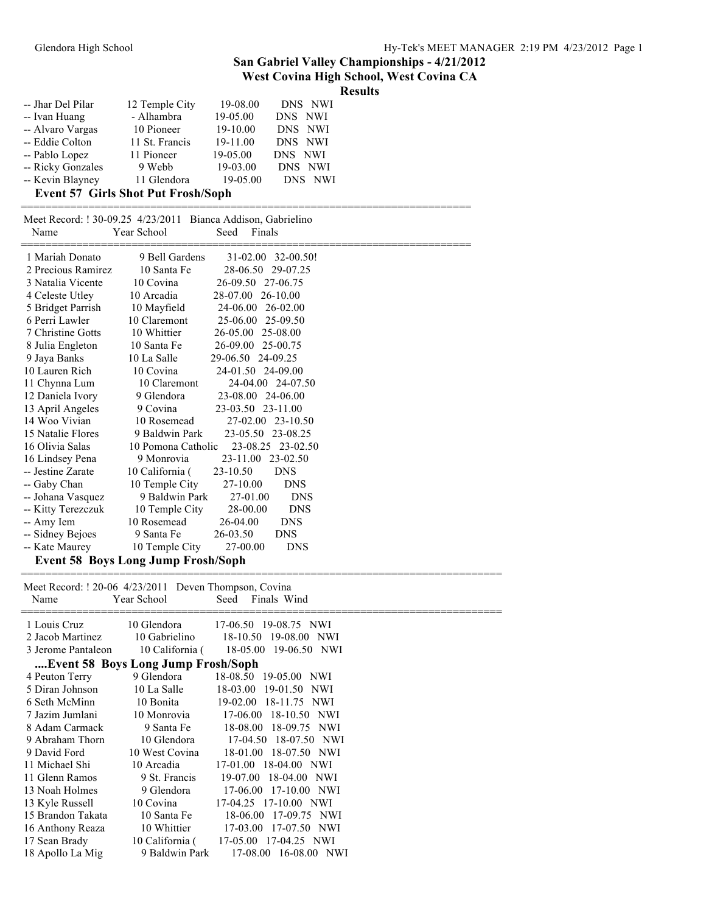### **West Covina High School, West Covina CA**

**Results**

| -- Jhar Del Pilar                         | 12 Temple City | 19-08.00 | DNS NWI |  |
|-------------------------------------------|----------------|----------|---------|--|
| -- Ivan Huang                             | - Alhambra     | 19-05.00 | DNS NWI |  |
| -- Alvaro Vargas                          | 10 Pioneer     | 19-10.00 | DNS NWI |  |
| -- Eddie Colton                           | 11 St. Francis | 19-11.00 | DNS NWI |  |
| -- Pablo Lopez                            | 11 Pioneer     | 19-05.00 | DNS NWI |  |
| -- Ricky Gonzales                         | 9 Webb         | 19-03.00 | DNS NWI |  |
| -- Kevin Blayney                          | 11 Glendora    | 19-05.00 | DNS NWI |  |
| <b>Event 57 Cirls Shot Put Frosh/Sonh</b> |                |          |         |  |

#### **Event 57 Girls Shot Put Frosh/Soph**

| Name               | Year School                               | Meet Record: ! 30-09.25 4/23/2011 Bianca Addison, Gabrielino<br>Finals<br>Seed |  |
|--------------------|-------------------------------------------|--------------------------------------------------------------------------------|--|
| 1 Mariah Donato    | 9 Bell Gardens                            | 32-00.50!<br>$31 - 02.00$                                                      |  |
| 2 Precious Ramirez | 10 Santa Fe                               | 28-06.50<br>29-07.25                                                           |  |
| 3 Natalia Vicente  | 10 Covina                                 | 26-09.50 27-06.75                                                              |  |
| 4 Celeste Utley    | 10 Arcadia                                | 26-10.00<br>28-07.00                                                           |  |
| 5 Bridget Parrish  | 10 Mayfield                               | 24-06.00 26-02.00                                                              |  |
| 6 Perri Lawler     | 10 Claremont                              | 25-06.00<br>25-09.50                                                           |  |
| 7 Christine Gotts  | 10 Whittier                               | 26-05.00<br>25-08.00                                                           |  |
| 8 Julia Engleton   | 10 Santa Fe                               | 26-09.00<br>25-00.75                                                           |  |
| 9 Jaya Banks       | 10 La Salle                               | 29-06.50<br>24-09.25                                                           |  |
| 10 Lauren Rich     | 10 Covina                                 | 24-01.50 24-09.00                                                              |  |
| 11 Chynna Lum      | 10 Claremont                              | 24-04.00 24-07.50                                                              |  |
| 12 Daniela Ivory   | 9 Glendora                                | 23-08.00 24-06.00                                                              |  |
| 13 April Angeles   | 9 Covina                                  | 23-03.50 23-11.00                                                              |  |
| 14 Woo Vivian      | 10 Rosemead                               | 27-02.00 23-10.50                                                              |  |
| 15 Natalie Flores  | 9 Baldwin Park                            | 23-05.50 23-08.25                                                              |  |
| 16 Olivia Salas    | 10 Pomona Catholic                        | 23-08.25 23-02.50                                                              |  |
| 16 Lindsey Pena    | 9 Monrovia                                | $23 - 11.00$<br>23-02.50                                                       |  |
| -- Jestine Zarate  | 10 California (                           | 23-10.50<br><b>DNS</b>                                                         |  |
| -- Gaby Chan       | 10 Temple City                            | 27-10.00<br><b>DNS</b>                                                         |  |
| -- Johana Vasquez  | 9 Baldwin Park                            | 27-01.00<br><b>DNS</b>                                                         |  |
| -- Kitty Terezczuk | 10 Temple City                            | 28-00.00<br><b>DNS</b>                                                         |  |
| -- Amy Iem         | 10 Rosemead                               | 26-04.00<br><b>DNS</b>                                                         |  |
| -- Sidney Bejoes   | 9 Santa Fe                                | 26-03.50<br><b>DNS</b>                                                         |  |
| -- Kate Maurey     | 10 Temple City                            | 27-00.00<br><b>DNS</b>                                                         |  |
|                    | <b>Event 58 Boys Long Jump Frosh/Soph</b> |                                                                                |  |

==============================================================================

Meet Record: ! 20-06 4/23/2011 Deven Thompson, Covina<br>Name Year School Seed Finals W Name Year School Seed Finals Wind ============================================================================== 1 Louis Cruz 10 Glendora 17-06.50 19-08.75 NWI 2 Jacob Martinez 10 Gabrielino 18-10.50 19-08.00 NWI 3 Jerome Pantaleon 10 California ( 18-05.00 19-06.50 NWI **....Event 58 Boys Long Jump Frosh/Soph** 4 Peuton Terry 9 Glendora 18-08.50 19-05.00 NWI

| 4 Peuton Terry    | 9 Glendora      | 18-08.50 19-05.00 NWI    |
|-------------------|-----------------|--------------------------|
| 5 Diran Johnson   | 10 La Salle     | 18-03.00 19-01.50 NWI    |
| 6 Seth McMinn     | 10 Bonita       | 19-02.00 18-11.75 NWI    |
| 7 Jazim Jumlani   | 10 Monrovia     | 17-06.00 18-10.50 NWI    |
| 8 Adam Carmack    | 9 Santa Fe      | 18-08.00 18-09.75 NWI    |
| 9 Abraham Thorn   | 10 Glendora     | 17-04.50 18-07.50 NWI    |
| 9 David Ford      | 10 West Covina  | 18-01.00 18-07.50 NWI    |
| 11 Michael Shi    | 10 Arcadia      | 17-01.00 18-04.00 NWI    |
| 11 Glenn Ramos    | 9 St. Francis   | 19-07.00 18-04.00 NWI    |
| 13 Noah Holmes    | 9 Glendora      | 17-06.00 17-10.00 NWI    |
| 13 Kyle Russell   | 10 Covina       | 17-04.25 17-10.00 NWI    |
| 15 Brandon Takata | 10 Santa Fe     | 18-06.00 17-09.75 NWI    |
| 16 Anthony Reaza  | 10 Whittier     | 17-03.00 17-07.50 NWI    |
| 17 Sean Brady     | 10 California ( | 17-05.00 17-04.25 NWI    |
| 18 Apollo La Mig  | 9 Baldwin Park  | 17-08.00 16-08.00<br>NWI |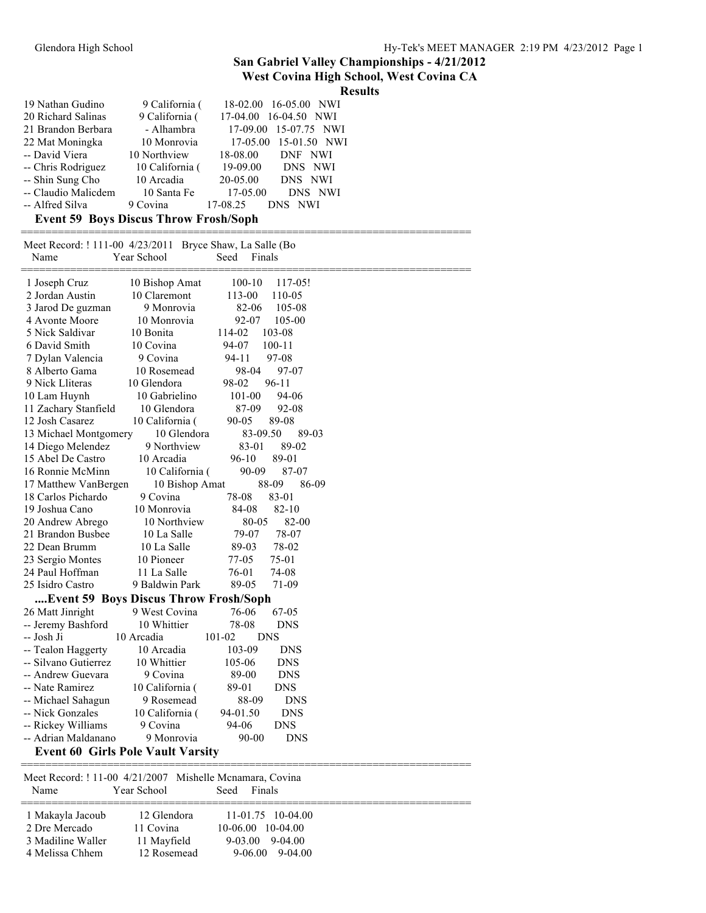#### **West Covina High School, West Covina CA**

|                                                          |                                              | west coving might sensor, west coving on<br><b>Results</b> |
|----------------------------------------------------------|----------------------------------------------|------------------------------------------------------------|
| 19 Nathan Gudino                                         | 9 California (                               | 18-02.00 16-05.00 NWI                                      |
| 20 Richard Salinas                                       | 9 California (                               | 17-04.00 16-04.50 NWI                                      |
| 21 Brandon Berbara                                       | - Alhambra                                   | 17-09.00<br>15-07.75 NWI                                   |
| 22 Mat Moningka                                          | 10 Monrovia                                  | 17-05.00<br>15-01.50 NWI                                   |
| -- David Viera                                           | 10 Northview                                 | 18-08.00<br>DNF NWI                                        |
| -- Chris Rodriguez                                       | 10 California (                              | 19-09.00<br>DNS NWI                                        |
| -- Shin Sung Cho                                         | 10 Arcadia                                   | 20-05.00<br>DNS NWI                                        |
| -- Claudio Malicdem                                      | 10 Santa Fe                                  | 17-05.00<br>DNS NWI                                        |
| -- Alfred Silva                                          | 9 Covina                                     | 17-08.25<br>DNS NWI                                        |
|                                                          | <b>Event 59 Boys Discus Throw Frosh/Soph</b> |                                                            |
| Meet Record: ! 111-00 4/23/2011 Bryce Shaw, La Salle (Bo |                                              |                                                            |
| Name                                                     | Year School                                  | Seed<br>Finals                                             |
| 1 Joseph Cruz                                            | 10 Bishop Amat                               | 100-10<br>117-05!                                          |
| 2 Jordan Austin                                          | 10 Claremont                                 | 113-00<br>110-05                                           |
| 3 Jarod De guzman                                        | 9 Monrovia                                   | 82-06<br>105-08                                            |
| 4 Avonte Moore                                           | 10 Monrovia                                  | 92-07<br>105-00                                            |
| 5 Nick Saldivar                                          | 10 Bonita                                    | 103-08<br>114-02                                           |
| 6 David Smith                                            | 10 Covina                                    | 94-07<br>100-11                                            |
| 7 Dylan Valencia                                         | 9 Covina                                     | 94-11<br>97-08                                             |
| 8 Alberto Gama                                           | 10 Rosemead                                  | 98-04<br>97-07                                             |
| 9 Nick Lliteras                                          | 10 Glendora                                  | 98-02<br>$96 - 11$                                         |
| 10 Lam Huynh                                             | 10 Gabrielino                                | 101-00<br>94-06                                            |
| 11 Zachary Stanfield                                     | 10 Glendora                                  | 87-09<br>92-08                                             |
| 12 Josh Casarez                                          | 10 California (                              | 90-05<br>89-08                                             |
| 13 Michael Montgomery<br>14 Diego Melendez               | 10 Glendora<br>9 Northview                   | 83-09.50<br>89-03<br>83-01<br>89-02                        |
| 15 Abel De Castro                                        | 10 Arcadia                                   | $96-10$<br>89-01                                           |
| 16 Ronnie McMinn                                         | 10 California (                              | 90-09<br>87-07                                             |
| 17 Matthew VanBergen                                     | 10 Bishop Amat                               | 88-09<br>86-09                                             |
| 18 Carlos Pichardo                                       | 9 Covina                                     | 83-01<br>78-08                                             |
| 19 Joshua Cano                                           | 10 Monrovia                                  | $82 - 10$<br>84-08                                         |
| 20 Andrew Abrego                                         | 10 Northview                                 | 80-05<br>82-00                                             |
| 21 Brandon Busbee                                        | 10 La Salle                                  | 79-07<br>78-07                                             |
| 22 Dean Brumm                                            | 10 La Salle                                  | 89-03<br>78-02                                             |
| 23 Sergio Montes                                         | 10 Pioneer                                   | 77-05<br>75-01                                             |
| 24 Paul Hoffman                                          | 11 La Salle                                  | 76-01<br>74-08                                             |
| 25 Isidro Castro                                         | 9 Baldwin Park                               | 89-05<br>71-09                                             |
|                                                          | Event 59 Boys Discus Throw Frosh/Soph        |                                                            |
| 26 Matt Jinright                                         | 9 West Covina                                | 76-06<br>67-05                                             |
| -- Jeremy Bashford                                       | 10 Whittier<br>10 Arcadia                    | 78-08<br><b>DNS</b><br>101-02<br><b>DNS</b>                |
| -- Josh Ji<br>-- Tealon Haggerty                         | 10 Arcadia                                   | 103-09<br><b>DNS</b>                                       |
| -- Silvano Gutierrez                                     | 10 Whittier                                  | <b>DNS</b><br>105-06                                       |
| -- Andrew Guevara                                        | 9 Covina                                     | 89-00<br><b>DNS</b>                                        |
| -- Nate Ramirez                                          | 10 California (                              | 89-01<br><b>DNS</b>                                        |
| -- Michael Sahagun                                       | 9 Rosemead                                   | 88-09<br><b>DNS</b>                                        |
| -- Nick Gonzales                                         | 10 California (                              | 94-01.50<br><b>DNS</b>                                     |
| -- Rickey Williams                                       | 9 Covina                                     | 94-06<br><b>DNS</b>                                        |
| -- Adrian Maldanano                                      | 9 Monrovia                                   | 90-00<br><b>DNS</b>                                        |
|                                                          | <b>Event 60 Girls Pole Vault Varsity</b>     |                                                            |
|                                                          |                                              |                                                            |
| Meet Record: ! 11-00 4/21/2007 Mishelle Mcnamara, Covina |                                              |                                                            |
| Name                                                     | Year School                                  | Finals<br>Seed                                             |
| 1 Makayla Jacoub                                         | 12 Glendora                                  | 11-01.75 10-04.00                                          |
| 2 Dre Mercado                                            | 11 Covina                                    | 10-06.00 10-04.00                                          |
| 3 Madiline Waller                                        | 11 Mayfield                                  | $9 - 03.00$<br>9-04.00                                     |

4 Melissa Chhem 12 Rosemead 9-06.00 9-04.00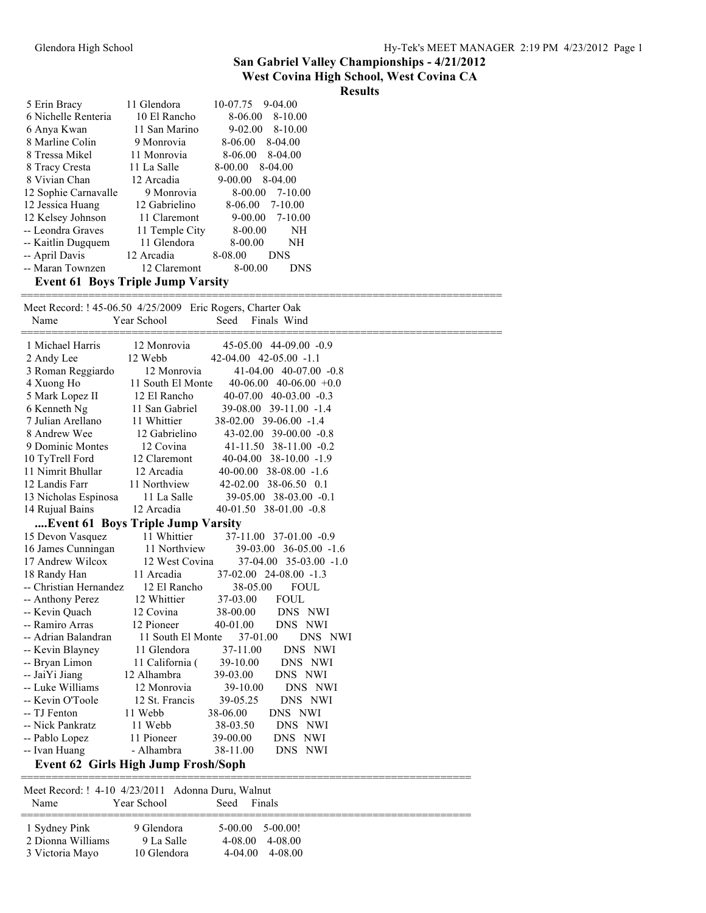#### **West Covina High School, West Covina CA**

### **Results**

| 5 Erin Bracy                             | 11 Glendora    | 10-07.75<br>$9-04.00$    |  |
|------------------------------------------|----------------|--------------------------|--|
| 6 Nichelle Renteria                      | 10 El Rancho   | $8 - 10.00$<br>8-06.00   |  |
| 6 Anya Kwan                              | 11 San Marino  | $8-10.00$<br>$9 - 02.00$ |  |
| 8 Marline Colin                          | 9 Monrovia     | 8-06.00<br>$8-04.00$     |  |
| 8 Tressa Mikel                           | 11 Monrovia    | 8-06.00<br>8-04.00       |  |
| 8 Tracy Cresta                           | 11 La Salle    | 8-00.00<br>8-04.00       |  |
| 8 Vivian Chan                            | 12 Arcadia     | $9 - 00.00$<br>8-04.00   |  |
| 12 Sophie Carnavalle                     | 9 Monrovia     | 8-00.00<br>7-10.00       |  |
| 12 Jessica Huang                         | 12 Gabrielino  | 8-06.00<br>$7 - 10.00$   |  |
| 12 Kelsey Johnson                        | 11 Claremont   | $9 - 00.00$<br>7-10.00   |  |
| -- Leondra Graves                        | 11 Temple City | 8-00.00<br>NH            |  |
| -- Kaitlin Dugquem                       | 11 Glendora    | 8-00.00<br>NΗ            |  |
| -- April Davis                           | 12 Arcadia     | 8-08.00<br><b>DNS</b>    |  |
| -- Maran Townzen                         | 12 Claremont   | 8-00.00<br><b>DNS</b>    |  |
| <b>Event 61 Boys Triple Jump Varsity</b> |                |                          |  |

| Meet Record: ! 45-06.50 4/25/2009 Eric Rogers, Charter Oak |                   |                              |                              |  |
|------------------------------------------------------------|-------------------|------------------------------|------------------------------|--|
| Name                                                       | Year School       | Seed                         | Finals Wind                  |  |
| 1 Michael Harris                                           | 12 Monrovia       |                              | 45-05.00 44-09.00 -0.9       |  |
| 2 Andy Lee                                                 | 12 Webb           | $42-04.00$ $42-05.00$ $-1.1$ |                              |  |
| 3 Roman Reggiardo                                          | 12 Monrovia       |                              | 41-04.00 40-07.00 -0.8       |  |
| 4 Xuong Ho                                                 | 11 South El Monte |                              | $40-06.00$ $40-06.00$ $+0.0$ |  |
| 5 Mark Lopez II                                            | 12 El Rancho      |                              | $40-07.00$ $40-03.00$ $-0.3$ |  |
| 6 Kenneth Ng                                               | 11 San Gabriel    |                              | 39-08.00 39-11.00 -1.4       |  |
| 7 Julian Arellano                                          | 11 Whittier       |                              | 38-02.00 39-06.00 -1.4       |  |
| 8 Andrew Wee                                               | 12 Gabrielino     |                              | 43-02.00 39-00.00 -0.8       |  |
| 9 Dominic Montes                                           | 12 Covina         |                              | 41-11.50 38-11.00 -0.2       |  |
| 10 TyTrell Ford                                            | 12 Claremont      |                              | $40-04.00$ $38-10.00$ $-1.9$ |  |
| 11 Nimrit Bhullar                                          | 12 Arcadia        |                              | $40-00.00$ 38-08.00 -1.6     |  |
| 12 Landis Farr                                             | 11 Northview      |                              | 42-02.00 38-06.50 0.1        |  |
| 13 Nicholas Espinosa                                       | 11 La Salle       |                              | 39-05.00 38-03.00 -0.1       |  |
| 14 Rujual Bains                                            | 12 Arcadia        |                              | 40-01.50 38-01.00 -0.8       |  |
| Event 61 Boys Triple Jump Varsity                          |                   |                              |                              |  |
| 15 Devon Vasquez                                           | 11 Whittier       |                              | 37-11.00 37-01.00 -0.9       |  |
| 16 James Cunningan                                         | 11 Northview      |                              | 39-03.00 36-05.00 -1.6       |  |
| 17 Andrew Wilcox                                           | 12 West Covina    |                              | $37-04.00$ $35-03.00$ $-1.0$ |  |
| 18 Randy Han                                               | 11 Arcadia        |                              | $37-02.00$ 24-08.00 -1.3     |  |
| -- Christian Hernandez                                     | 12 El Rancho      | 38-05.00                     | <b>FOUL</b>                  |  |
| -- Anthony Perez                                           | 12 Whittier       | 37-03.00                     | <b>FOUL</b>                  |  |
| -- Kevin Quach                                             | 12 Covina         | 38-00.00                     | DNS NWI                      |  |
| -- Ramiro Arras                                            | 12 Pioneer        | 40-01.00                     | DNS NWI                      |  |
| -- Adrian Balandran                                        | 11 South El Monte | 37-01.00                     | DNS NWI                      |  |
| -- Kevin Blayney                                           | 11 Glendora       | 37-11.00                     | DNS NWI                      |  |
| -- Bryan Limon                                             | 11 California (   | 39-10.00                     | DNS NWI                      |  |
| -- JaiYi Jiang                                             | 12 Alhambra       | 39-03.00                     | DNS NWI                      |  |
| -- Luke Williams                                           | 12 Monrovia       | 39-10.00                     | DNS NWI                      |  |
| -- Kevin O'Toole                                           | 12 St. Francis    | 39-05.25                     | DNS NWI                      |  |
| -- TJ Fenton                                               | 11 Webb           | 38-06.00                     | DNS NWI                      |  |
| -- Nick Pankratz                                           | 11 Webb           | 38-03.50                     | DNS NWI                      |  |
| -- Pablo Lopez                                             | 11 Pioneer        | 39-00.00                     | DNS NWI                      |  |
| -- Ivan Huang                                              | - Alhambra        | 38-11.00                     | DNS NWI                      |  |
| <b>Event 62 Girls High Jump Frosh/Soph</b>                 |                   |                              |                              |  |
|                                                            |                   |                              |                              |  |

| <b>Name</b>                                           | Meet Record: ! 4-10 4/23/2011 Adonna Duru, Walnut<br>Year School | Seed<br>Finals                                                   |  |
|-------------------------------------------------------|------------------------------------------------------------------|------------------------------------------------------------------|--|
| 1 Sydney Pink<br>2 Dionna Williams<br>3 Victoria Mayo | 9 Glendora<br>9 La Salle<br>10 Glendora                          | -5-00-001<br>5-00.00<br>4-08.00<br>4-08.00<br>4-08.00<br>4-04.00 |  |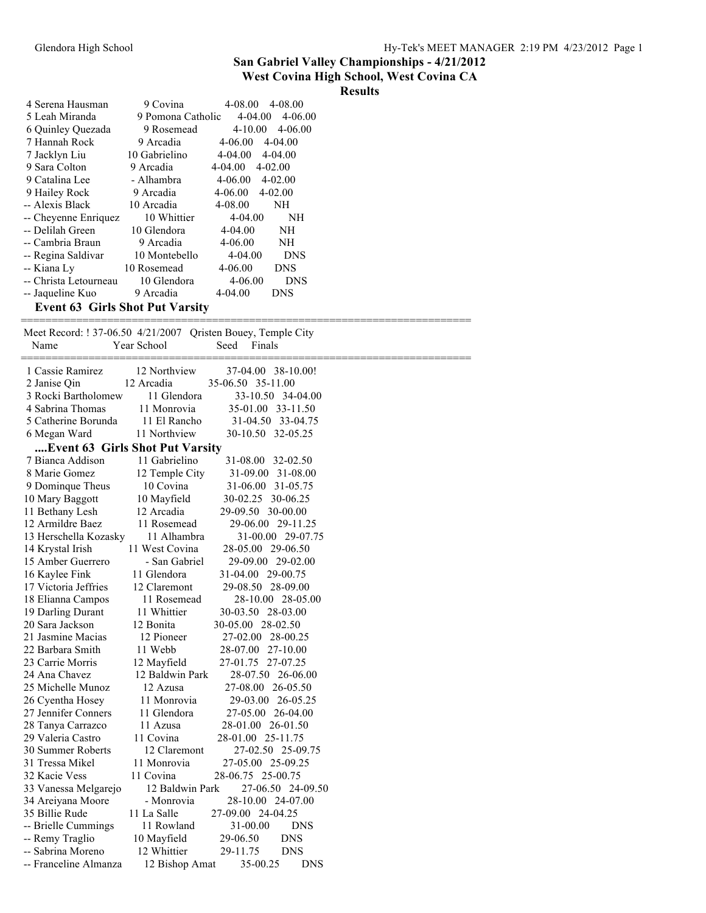#### **West Covina High School, West Covina CA**

#### **Results**

| 4 Serena Hausman                       | 9 Covina          | 4-08.00     | 4-08.00     |
|----------------------------------------|-------------------|-------------|-------------|
| 5 Leah Miranda                         | 9 Pomona Catholic | $4 - 04.00$ | $4 - 06.00$ |
| 6 Quinley Quezada                      | 9 Rosemead        | $4 - 10.00$ | $4 - 06.00$ |
| 7 Hannah Rock                          | 9 Arcadia         | $4 - 06.00$ | $4 - 04.00$ |
| 7 Jacklyn Liu                          | 10 Gabrielino     | $4 - 04.00$ | $4 - 04.00$ |
| 9 Sara Colton                          | 9 Arcadia         | 4-04.00     | $4 - 02.00$ |
| 9 Catalina Lee                         | - Alhambra        | 4-06.00     | $4 - 02.00$ |
| 9 Hailey Rock                          | 9 Arcadia         | 4-06.00     | $4 - 02.00$ |
| -- Alexis Black                        | 10 Arcadia        | $4 - 08.00$ | <b>NH</b>   |
| -- Cheyenne Enriquez                   | 10 Whittier       | $4 - 04.00$ | NH          |
| -- Delilah Green                       | 10 Glendora       | $4 - 04.00$ | NH          |
| -- Cambria Braun                       | 9 Arcadia         | 4-06.00     | NH          |
| -- Regina Saldivar                     | 10 Montebello     | $4 - 04.00$ | <b>DNS</b>  |
| -- Kiana Ly                            | 10 Rosemead       | 4-06.00     | <b>DNS</b>  |
| -- Christa Letourneau                  | 10 Glendora       | $4 - 06.00$ | <b>DNS</b>  |
| -- Jaqueline Kuo                       | 9 Arcadia         | $4 - 04.00$ | <b>DNS</b>  |
| <b>Event 63 Girls Shot Put Varsity</b> |                   |             |             |

========================================================================= Meet Record: ! 37-06.50 4/21/2007 Qristen Bouey, Temple City Name Year School Seed Finals ========================================================================= 1 Cassie Ramirez 12 Northview 37-04.00 38-10.00! 2 Janise Qin 12 Arcadia 35-06.50 35-11.00 3 Rocki Bartholomew 11 Glendora 33-10.50 34-04.00 4 Sabrina Thomas 11 Monrovia 35-01.00 33-11.50 5 Catherine Borunda 11 El Rancho 31-04.50 33-04.75 6 Megan Ward 11 Northview 30-10.50 32-05.25 **....Event 63 Girls Shot Put Varsity** 7 Bianca Addison 11 Gabrielino 31-08.00 32-02.50 8 Marie Gomez 12 Temple City 31-09.00 31-08.00 9 Dominque Theus 10 Covina 31-06.00 31-05.75 10 Mary Baggott 10 Mayfield 30-02.25 30-06.25 11 Bethany Lesh 12 Arcadia 29-09.50 30-00.00 12 Armildre Baez 11 Rosemead 29-06.00 29-11.25 13 Herschella Kozasky 11 Alhambra 31-00.00 29-07.75 14 Krystal Irish 11 West Covina 28-05.00 29-06.50 15 Amber Guerrero - San Gabriel 29-09.00 29-02.00 16 Kaylee Fink 11 Glendora 31-04.00 29-00.75 17 Victoria Jeffries 12 Claremont 29-08.50 28-09.00 18 Elianna Campos 11 Rosemead 28-10.00 28-05.00 19 Darling Durant 11 Whittier 30-03.50 28-03.00 20 Sara Jackson 12 Bonita 30-05.00 28-02.50 21 Jasmine Macias 12 Pioneer 27-02.00 28-00.25 22 Barbara Smith 11 Webb 28-07.00 27-10.00 23 Carrie Morris 12 Mayfield 27-01.75 27-07.25 24 Ana Chavez 12 Baldwin Park 28-07.50 26-06.00 25 Michelle Munoz 12 Azusa 27-08.00 26-05.50 26 Cyentha Hosey 11 Monrovia 29-03.00 26-05.25 27 Jennifer Conners 11 Glendora 27-05.00 26-04.00 28 Tanya Carrazco 11 Azusa 28-01.00 26-01.50 29 Valeria Castro 11 Covina 28-01.00 25-11.75<br>30 Summer Roberts 12 Claremont 27-02.50 25-09 30 Summer Roberts 12 Claremont 27-02.50 25-09.75 31 Tressa Mikel 11 Monrovia 27-05.00 25-09.25 32 Kacie Vess 11 Covina 28-06.75 25-00.75 33 Vanessa Melgarejo 12 Baldwin Park 27-06.50 24-09.50 34 Areiyana Moore - Monrovia 28-10.00 24-07.00 35 Billie Rude 11 La Salle 27-09.00 24-04.25 -- Brielle Cummings 11 Rowland 31-00.00 DNS -- Remy Traglio 10 Mayfield 29-06.50 DNS -- Sabrina Moreno 12 Whittier 29-11.75 DNS -- Franceline Almanza 12 Bishop Amat 35-00.25 DNS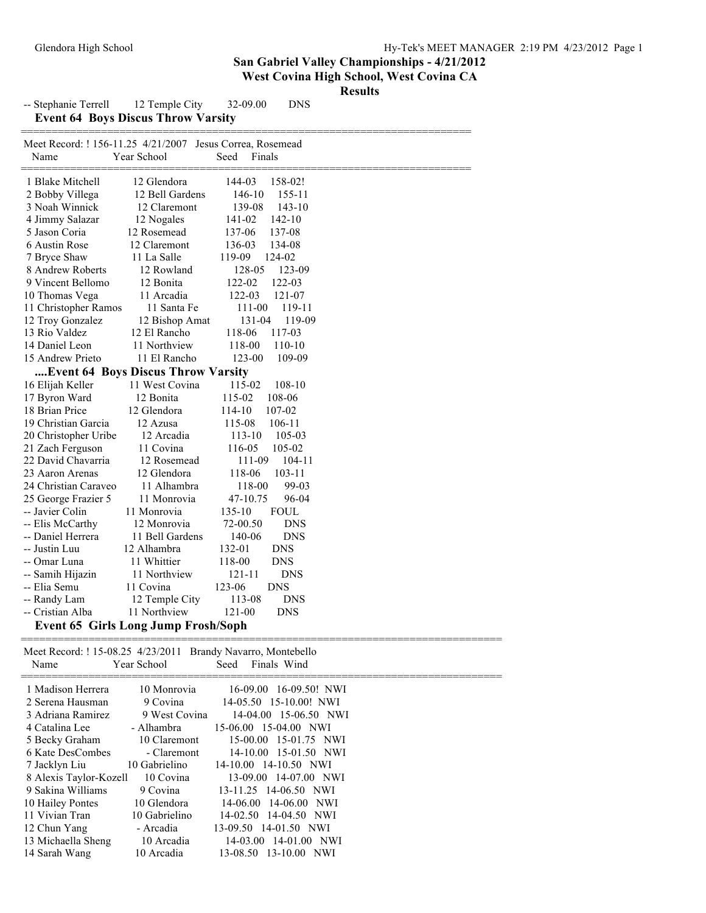|                                                                   |                                           |                      | San Gabriel Valley Championships - 4/21/20<br>West Covina High School, West Covina C.<br><b>Results</b> |
|-------------------------------------------------------------------|-------------------------------------------|----------------------|---------------------------------------------------------------------------------------------------------|
| -- Stephanie Terrell                                              | 12 Temple City                            | 32-09.00             | <b>DNS</b>                                                                                              |
|                                                                   | <b>Event 64 Boys Discus Throw Varsity</b> |                      |                                                                                                         |
| Meet Record: ! 156-11.25 4/21/2007 Jesus Correa, Rosemead<br>Name | Year School                               | Seed<br>Finals       |                                                                                                         |
| 1 Blake Mitchell                                                  | 12 Glendora                               | 158-02!<br>144-03    |                                                                                                         |
| 2 Bobby Villega                                                   | 12 Bell Gardens                           | 146-10               | 155-11                                                                                                  |
| 3 Noah Winnick                                                    | 12 Claremont                              | 139-08               | $143 - 10$                                                                                              |
| 4 Jimmy Salazar                                                   | 12 Nogales                                | 141-02<br>$142 - 10$ |                                                                                                         |
| 5 Jason Coria                                                     | 12 Rosemead                               | 137-06<br>137-08     |                                                                                                         |
| 6 Austin Rose                                                     | 12 Claremont                              | 136-03<br>134-08     |                                                                                                         |
| 7 Bryce Shaw                                                      | 11 La Salle                               | 119-09<br>124-02     |                                                                                                         |
| 8 Andrew Roberts                                                  | 12 Rowland                                | 128-05               | 123-09                                                                                                  |
| 9 Vincent Bellomo                                                 | 12 Bonita                                 | 122-03<br>122-02     |                                                                                                         |
| 10 Thomas Vega                                                    | 11 Arcadia                                | $122 - 03$<br>121-07 |                                                                                                         |
| 11 Christopher Ramos                                              | 11 Santa Fe                               | 111-00               | 119-11                                                                                                  |
| 12 Troy Gonzalez                                                  | 12 Bishop Amat                            | 131-04               | 119-09                                                                                                  |
| 13 Rio Valdez                                                     | 12 El Rancho                              | 118-06<br>117-03     |                                                                                                         |
| 14 Daniel Leon                                                    | 11 Northview                              | 118-00<br>110-10     |                                                                                                         |
| 15 Andrew Prieto                                                  | 11 El Rancho                              | 123-00               | 109-09                                                                                                  |
|                                                                   | Event 64 Boys Discus Throw Varsity        |                      |                                                                                                         |
| 16 Elijah Keller                                                  | 11 West Covina                            | 115-02               | 108-10                                                                                                  |
| 17 Byron Ward                                                     | 12 Bonita                                 | 115-02<br>108-06     |                                                                                                         |
| 18 Brian Price                                                    | 12 Glendora                               | 114-10<br>107-02     |                                                                                                         |
| 19 Christian Garcia                                               | 12 Azusa                                  | 115-08<br>106-11     |                                                                                                         |
| 20 Christopher Uribe                                              | 12 Arcadia                                | 113-10               | 105-03                                                                                                  |
| 21 Zach Ferguson                                                  | 11 Covina                                 | 116-05<br>105-02     |                                                                                                         |
| 22 David Chavarria                                                | 12 Rosemead                               | 111-09               | $104 - 11$                                                                                              |
| 23 Aaron Arenas                                                   | 12 Glendora                               | $103 - 11$<br>118-06 |                                                                                                         |

-- Cristian Alba 11 Northview 121-00 DNS **Event 65 Girls Long Jump Frosh/Soph**

 24 Christian Caraveo 11 Alhambra 118-00 99-03 25 George Frazier 5 11 Monrovia 47-10.75 96-04 -- Javier Colin 11 Monrovia 135-10 FOUL -- Elis McCarthy 12 Monrovia 72-00.50 DNS -- Daniel Herrera 11 Bell Gardens 140-06 DNS<br>-- Justin Luu 12 Alhambra 132-01 DNS 12 Alhambra<br>11 Whittier -- Omar Luna 11 Whittier 118-00 DNS<br>-- Samih Hijazin 11 Northview 121-11 DNS -- Samih Hijazin 11 Northview 121-11 D<br>
-- Elia Semu 11 Covina 123-06 DNS -- Elia Semu 11 Covina 123-06<br>-- Randy Lam 12 Temple City 113-08

| Name                   | Year School   | Meet Record: ! 15-08.25 4/23/2011 Brandy Navarro, Montebello<br>Seed<br>Finals Wind |  |
|------------------------|---------------|-------------------------------------------------------------------------------------|--|
| 1 Madison Herrera      | 10 Monrovia   | 16-09.00 16-09.50! NWI                                                              |  |
| 2 Serena Hausman       | 9 Covina      | 14-05.50 15-10.00! NWI                                                              |  |
| 3 Adriana Ramirez      | 9 West Covina | 14-04.00 15-06.50 NWI                                                               |  |
| 4 Catalina Lee         | - Alhambra    | 15-06.00 15-04.00 NWI                                                               |  |
| 5 Becky Graham         | 10 Claremont  | 15-00.00 15-01.75 NWI                                                               |  |
| 6 Kate DesCombes       | - Claremont   | 14-10.00 15-01.50 NWI                                                               |  |
| 7 Jacklyn Liu          | 10 Gabrielino | 14-10.00 14-10.50 NWI                                                               |  |
| 8 Alexis Taylor-Kozell | 10 Covina     | 13-09.00 14-07.00 NWI                                                               |  |
| 9 Sakina Williams      | 9 Covina      | 13-11.25 14-06.50 NWI                                                               |  |
| 10 Hailey Pontes       | 10 Glendora   | 14-06.00 14-06.00 NWI                                                               |  |
| 11 Vivian Tran         | 10 Gabrielino | 14-04.50 NWI<br>14-02.50                                                            |  |
| 12 Chun Yang           | - Arcadia     | 13-09.50 14-01.50 NWI                                                               |  |
| 13 Michaella Sheng     | 10 Arcadia    | 14-01.00 NWI<br>14-03.00                                                            |  |
| 14 Sarah Wang          | 10 Arcadia    | 13-08.50 13-10.00 NWI                                                               |  |

12 Temple City 113-08 DNS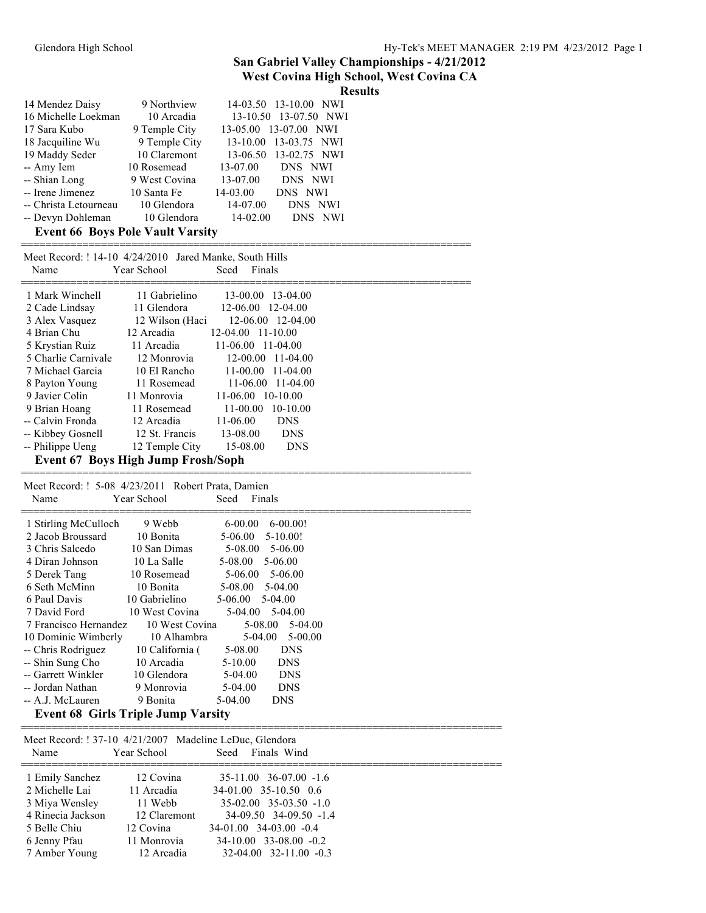### **West Covina High School, West Covina CA**

|                                         |               | <b>Results</b>          |  |
|-----------------------------------------|---------------|-------------------------|--|
| 14 Mendez Daisy                         | 9 Northview   | 14-03.50 13-10.00 NWI   |  |
| 16 Michelle Loekman                     | 10 Arcadia    | 13-10.50 13-07.50 NWI   |  |
| 17 Sara Kubo                            | 9 Temple City | 13-05.00 13-07.00 NWI   |  |
| 18 Jacquiline Wu                        | 9 Temple City | 13-10.00 13-03.75 NWI   |  |
| 19 Maddy Seder                          | 10 Claremont  | 13-06.50 13-02.75 NWI   |  |
| -- Amy Iem                              | 10 Rosemead   | 13-07.00<br>DNS NWI     |  |
| -- Shian Long                           | 9 West Covina | 13-07.00<br>DNS NWI     |  |
| -- Irene Jimenez                        | 10 Santa Fe   | 14-03.00<br>DNS NWI     |  |
| -- Christa Letourneau                   | 10 Glendora   | 14-07.00<br>DNS NWI     |  |
| -- Devyn Dohleman                       | 10 Glendora   | $14 - 02.00$<br>DNS NWI |  |
| <b>Event 66 Boys Pole Vault Varsity</b> |               |                         |  |

| Name                                                                                                                                                                                                      | Meet Record: ! 14-10 4/24/2010 Jared Manke, South Hills<br>Year School                                                                                                | Finals<br>Seed                                                                                                                                                         |                                                                                                                                             |  |  |
|-----------------------------------------------------------------------------------------------------------------------------------------------------------------------------------------------------------|-----------------------------------------------------------------------------------------------------------------------------------------------------------------------|------------------------------------------------------------------------------------------------------------------------------------------------------------------------|---------------------------------------------------------------------------------------------------------------------------------------------|--|--|
| 1 Mark Winchell<br>2 Cade Lindsay<br>3 Alex Vasquez<br>4 Brian Chu<br>5 Krystian Ruiz<br>5 Charlie Carnivale<br>7 Michael Garcia<br>8 Payton Young<br>9 Javier Colin<br>9 Brian Hoang<br>-- Calvin Fronda | 11 Gabrielino<br>11 Glendora<br>12 Wilson (Haci<br>12 Arcadia<br>11 Arcadia<br>12 Monrovia<br>10 El Rancho<br>11 Rosemead<br>11 Monrovia<br>11 Rosemead<br>12 Arcadia | 13-00.00<br>$12 - 06.00$<br>$12-04.00$ 11-10.00<br>$11-06.00$ 11-04.00<br>$12 - 00.00$<br>$11 - 00.00$<br>$11 - 06.00$<br>$11 - 06.00$<br>$11 - 00.00$<br>$11 - 06.00$ | $13-04.00$<br>$12 - 04.00$<br>$12-06.00$ $12-04.00$<br>$11 - 04.00$<br>$11 - 04.00$<br>$11-04.00$<br>$10-10.00$<br>$10-10.00$<br><b>DNS</b> |  |  |
| -- Kibbey Gosnell<br>-- Philippe Ueng                                                                                                                                                                     | 12 St. Francis<br>12 Temple City                                                                                                                                      | 13-08.00<br>15-08.00                                                                                                                                                   | <b>DNS</b><br><b>DNS</b>                                                                                                                    |  |  |
| Event 67 Boys High Jump Frosh/Soph                                                                                                                                                                        |                                                                                                                                                                       |                                                                                                                                                                        |                                                                                                                                             |  |  |
|                                                                                                                                                                                                           |                                                                                                                                                                       |                                                                                                                                                                        |                                                                                                                                             |  |  |

 Meet Record: ! 5-08 4/23/2011 Robert Prata, Damien Name Year School Seed Finals

| 1 Stirling McCulloch               | 9 Webb          | $6 - 00.00$ | 6-00.00!            |
|------------------------------------|-----------------|-------------|---------------------|
| 2 Jacob Broussard                  | 10 Bonita       | $5-06.00$   | $5-10.00!$          |
| 3 Chris Salcedo                    | 10 San Dimas    | 5-08.00     | 5-06.00             |
| 4 Diran Johnson                    | 10 La Salle     | 5-08.00     | 5-06.00             |
| 5 Derek Tang                       | 10 Rosemead     |             | $5-06.00$ $5-06.00$ |
| 6 Seth McMinn                      | 10 Bonita       | 5-08.00     | 5-04.00             |
| 6 Paul Davis                       | 10 Gabrielino   | 5-06.00     | 5-04.00             |
| 7 David Ford                       | 10 West Covina  |             | $5-04.00$ $5-04.00$ |
| 7 Francisco Hernandez              | 10 West Covina  |             | $5-08.00$ $5-04.00$ |
| 10 Dominic Wimberly                | 10 Alhambra     | $5-04.00$   | 5-00.00             |
| -- Chris Rodriguez                 | 10 California ( | 5-08.00     | <b>DNS</b>          |
| -- Shin Sung Cho                   | 10 Arcadia      | $5 - 10.00$ | <b>DNS</b>          |
| -- Garrett Winkler                 | 10 Glendora     | $5-04.00$   | <b>DNS</b>          |
| -- Jordan Nathan                   | 9 Monrovia      | $5-04.00$   | <b>DNS</b>          |
| -- A.J. McLauren                   | 9 Bonita        | 5-04.00     | <b>DNS</b>          |
| Fyant 68 Cirle Trinla Lumn Vareity |                 |             |                     |

#### **Event 68 Girls Triple Jump Varsity**

============================================================================== Meet Record: ! 37-10 4/21/2007 Madeline LeDuc, Glendora Name Year School Seed Finals Wind ============================================================================== 1 Emily Sanchez 12 Covina 35-11.00 36-07.00 -1.6<br>2 Michelle Lai 11 Arcadia 34-01.00 35-10.50 0.6 11 Arcadia 34-01.00 35-10.50 0.6 3 Miya Wensley 11 Webb 35-02.00 35-03.50 -1.0 4 Rinecia Jackson 12 Claremont 34-09.50 34-09.50 -1.4 5 Belle Chiu 12 Covina 34-01.00 34-03.00 -0.4 6 Jenny Pfau 11 Monrovia 34-10.00 33-08.00 -0.2 7 Amber Young 12 Arcadia 32-04.00 32-11.00 -0.3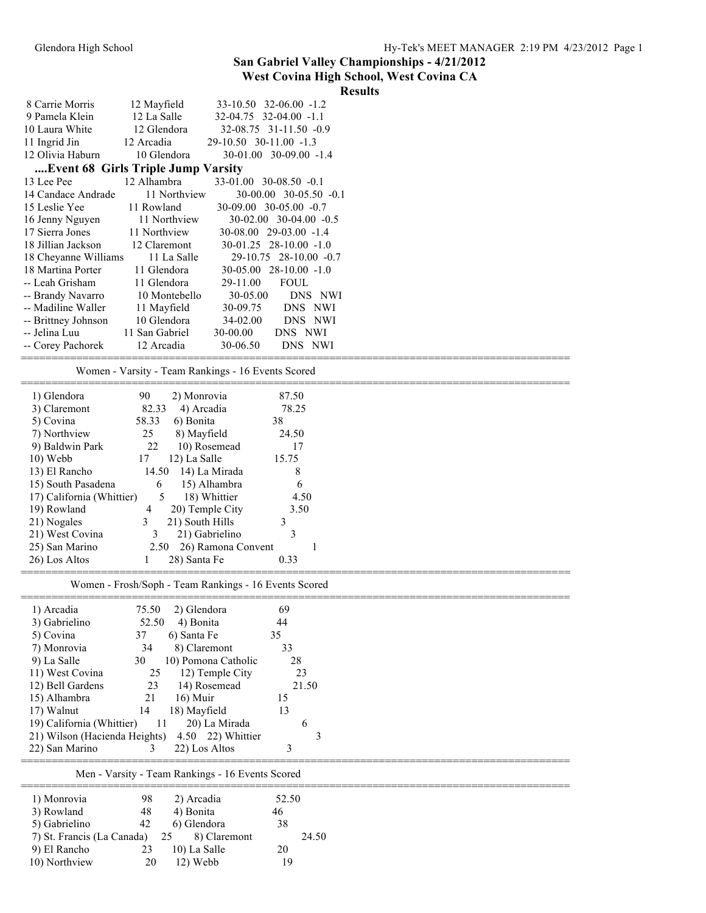#### **West Covina High School, West Covina CA**

|                                    |                                                       |                        |                          | <b>Results</b> |
|------------------------------------|-------------------------------------------------------|------------------------|--------------------------|----------------|
| 8 Carrie Morris                    | 12 Mayfield                                           | 33-10.50 32-06.00 -1.2 |                          |                |
| 9 Pamela Klein                     | 12 La Salle                                           | 32-04.75 32-04.00 -1.1 |                          |                |
| 10 Laura White                     | 12 Glendora                                           |                        | 32-08.75 31-11.50 -0.9   |                |
| 11 Ingrid Jin                      | 12 Arcadia                                            | 29-10.50 30-11.00 -1.3 |                          |                |
| 12 Olivia Haburn                   | 10 Glendora                                           |                        | 30-01.00 30-09.00 -1.4   |                |
| Event 68 Girls Triple Jump Varsity |                                                       |                        |                          |                |
| 13 Lee Pee                         | 12 Alhambra                                           | 33-01.00 30-08.50 -0.1 |                          |                |
| 14 Candace Andrade                 | 11 Northview                                          |                        | 30-00.00 30-05.50 -0.1   |                |
| 15 Leslie Yee                      | 11 Rowland                                            | 30-09.00 30-05.00 -0.7 |                          |                |
| 16 Jenny Nguyen                    | 11 Northview                                          |                        | 30-02.00 30-04.00 -0.5   |                |
| 17 Sierra Jones                    | 11 Northview                                          | 30-08.00 29-03.00 -1.4 |                          |                |
| 18 Jillian Jackson                 | 12 Claremont                                          |                        | 30-01.25 28-10.00 -1.0   |                |
| 18 Cheyanne Williams               | 11 La Salle                                           |                        | 29-10.75 28-10.00 -0.7   |                |
| 18 Martina Porter                  | 11 Glendora                                           |                        | $30-05.00$ 28-10.00 -1.0 |                |
| -- Leah Grisham                    | 11 Glendora                                           | 29-11.00               | <b>FOUL</b>              |                |
| -- Brandy Navarro                  | 10 Montebello                                         | 30-05.00               | DNS NWI                  |                |
| -- Madiline Waller                 | 11 Mayfield                                           | 30-09.75               | DNS NWI                  |                |
| -- Brittney Johnson                | 10 Glendora                                           | 34-02.00               | DNS NWI                  |                |
| -- Jelina Luu                      | 11 San Gabriel                                        | 30-00.00               | DNS NWI                  |                |
| -- Corey Pachorek                  | 12 Arcadia                                            | 30-06.50               | DNS NWI                  |                |
|                                    |                                                       |                        |                          |                |
|                                    | Women - Varsity - Team Rankings - 16 Events Scored    |                        |                          |                |
| 1) Glendora                        | 90<br>2) Monrovia                                     |                        | 87.50                    |                |
| 3) Claremont                       | 82.33                                                 | 4) Arcadia             | 78.25                    |                |
| 5) Covina                          | 6) Bonita<br>58.33                                    |                        | 38                       |                |
| 7) Northview                       | 25<br>8) Mayfield                                     |                        | 24.50                    |                |
| 9) Baldwin Park                    | 22                                                    | 10) Rosemead           | 17                       |                |
| 10) Webb                           | 17<br>12) La Salle                                    |                        | 15.75                    |                |
| 13) El Rancho                      | 14.50                                                 | 14) La Mirada          | 8                        |                |
| 15) South Pasadena                 | 6                                                     | 15) Alhambra           | 6                        |                |
| 17) California (Whittier)          | 5                                                     | 18) Whittier           | 4.50                     |                |
| 19) Rowland                        | $\overline{4}$                                        | 20) Temple City        | 3.50                     |                |
| 21) Nogales                        | 21) South Hills<br>3                                  |                        | 3                        |                |
| 21) West Covina                    | 3                                                     | 21) Gabrielino         | 3                        |                |
| 25) San Marino                     | 2.50                                                  | 26) Ramona Convent     | -1                       |                |
| 26) Los Altos                      | 28) Santa Fe<br>1                                     |                        | 0.33                     |                |
|                                    | Women - Frosh/Soph - Team Rankings - 16 Events Scored |                        |                          |                |
|                                    |                                                       |                        |                          |                |
| 1) Arcadia                         | 75.50<br>2) Glendora                                  |                        | 69                       |                |
| 3) Gabrielino                      | 52.50<br>4) Bonita                                    |                        | 44                       |                |
| 5) Covina                          | 37<br>6) Santa Fe                                     |                        | 35                       |                |
| 7) Monrovia                        | 34                                                    | 8) Claremont           | 33                       |                |
| 9) La Salle                        | 30                                                    | 10) Pomona Catholic    | 28                       |                |
| 11) West Covina                    | 25                                                    | 12) Temple City        | 23                       |                |
| 12) Bell Gardens                   | 23                                                    | 14) Rosemead           | 21.50                    |                |
| 15) Alhambra                       | 21<br>16) Muir                                        |                        | 15                       |                |
| 17) Walnut                         | 14<br>18) Mayfield                                    |                        | 13                       |                |
| 19) California (Whittier)          | 11                                                    | 20) La Mirada          | 6                        |                |
| 21) Wilson (Hacienda Heights)      |                                                       | 4.50 22) Whittier      | 3                        |                |
| 22) San Marino                     | 3                                                     | 22) Los Altos          | 3                        |                |
|                                    | Men - Varsity - Team Rankings - 16 Events Scored      |                        |                          |                |
| 1) Monrovia                        | 98<br>2) Arcadia                                      |                        | 52.50                    |                |
| 3) Rowland                         | 48<br>4) Bonita                                       |                        | 46                       |                |
| 5) Gabrielino                      | 6) Glendora<br>42                                     |                        | 38                       |                |
| 7) St. Francis (La Canada)         | 25                                                    | 8) Claremont           | 24.50                    |                |
| 9) El Rancho                       | 10) La Salle<br>23                                    |                        | 20                       |                |
| 10) Northview                      | 12) Webb<br>20                                        |                        | 19                       |                |
|                                    |                                                       |                        |                          |                |